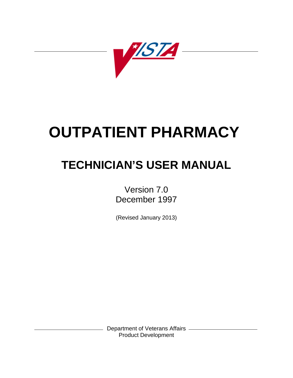

# **OUTPATIENT PHARMACY**

# **TECHNICIAN'S USER MANUAL**

Version 7.0 December 1997

(Revised January 2013)

Department of Veterans Affairs Product Development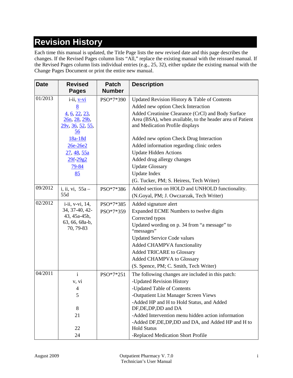# **Revision History**

Each time this manual is updated, the Title Page lists the new revised date and this page describes the changes. If the Revised Pages column lists "All," replace the existing manual with the reissued manual. If the Revised Pages column lists individual entries (e.g., 25, 32), either update the existing manual with the Change Pages Document or print the entire new manual.

| <b>Date</b> | <b>Revised</b><br><b>Pages</b>                                                                                     | <b>Patch</b><br><b>Number</b> | <b>Description</b>                                                                                                                                 |
|-------------|--------------------------------------------------------------------------------------------------------------------|-------------------------------|----------------------------------------------------------------------------------------------------------------------------------------------------|
| 01/2013     | i-ii, <u>v-vi</u>                                                                                                  | PSO*7*390                     | Updated Revision History & Table of Contents                                                                                                       |
|             | <u>8</u>                                                                                                           |                               | Added new option Check Interaction                                                                                                                 |
|             | $\underline{4}, \underline{6}, \underline{22}, \underline{23},$<br>26n, 28, 29b,<br><u>29v, 36, 52, 55, </u><br>56 |                               | Added Creatinine Clearance (CrCl) and Body Surface<br>Area (BSA), when available, to the header area of Patient<br>and Medication Profile displays |
|             | 18a-18d                                                                                                            |                               | Added new option Check Drug Interaction                                                                                                            |
|             | 26e-26e2                                                                                                           |                               | Added information regarding clinic orders                                                                                                          |
|             | 27, 48, 55a                                                                                                        |                               | <b>Update Hidden Actions</b>                                                                                                                       |
|             | 29f-29g2                                                                                                           |                               | Added drug allergy changes                                                                                                                         |
|             | <u>79-84</u>                                                                                                       |                               | <b>Update Glossary</b>                                                                                                                             |
|             | 85                                                                                                                 |                               | <b>Update Index</b>                                                                                                                                |
|             |                                                                                                                    |                               | (G. Tucker, PM; S. Heiress, Tech Writer)                                                                                                           |
| 09/2012     | i, ii, vi, $55a -$                                                                                                 | PSO*7*386                     | Added section on HOLD and UNHOLD functionality.                                                                                                    |
|             | 55d                                                                                                                |                               | (N.Goyal, PM; J. Owczarzak, Tech Writer)                                                                                                           |
| 02/2012     | i-ii, v-vi, 14,                                                                                                    | PSO*7*385                     | Added signature alert                                                                                                                              |
|             | 34, 37-40, 42-                                                                                                     | PSO*7*359                     | Expanded ECME Numbers to twelve digits                                                                                                             |
|             | 43, 45a-45h,                                                                                                       |                               | Corrected typos                                                                                                                                    |
|             | 63, 66, 68a-b,<br>70, 79-83                                                                                        |                               | Updated wording on p. 34 from "a message" to<br>"messages"                                                                                         |
|             |                                                                                                                    |                               | <b>Updated Service Code values</b>                                                                                                                 |
|             |                                                                                                                    |                               | Added CHAMPVA functionality                                                                                                                        |
|             |                                                                                                                    |                               | <b>Added TRICARE to Glossary</b>                                                                                                                   |
|             |                                                                                                                    |                               | Added CHAMPVA to Glossary                                                                                                                          |
|             |                                                                                                                    |                               | (S. Spence, PM; C. Smith, Tech Writer)                                                                                                             |
| 04/2011     | $\mathbf{i}$                                                                                                       | PSO*7*251                     | The following changes are included in this patch:                                                                                                  |
|             | v, vi                                                                                                              |                               | -Updated Revision History                                                                                                                          |
|             | $\overline{4}$                                                                                                     |                               | -Updated Table of Contents                                                                                                                         |
|             | 5                                                                                                                  |                               | -Outpatient List Manager Screen Views                                                                                                              |
|             | 8                                                                                                                  |                               | -Added HP and H to Hold Status, and Added<br>DF, DE, DP, DD and DA                                                                                 |
|             | 21                                                                                                                 |                               | -Added Intervention menu hidden action information                                                                                                 |
|             | 22                                                                                                                 |                               | -Added DF, DE, DP, DD and DA, and Added HP and H to<br><b>Hold Status</b>                                                                          |
|             | 24                                                                                                                 |                               | -Replaced Medication Short Profile                                                                                                                 |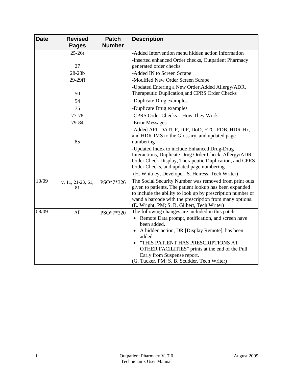| <b>Date</b> | <b>Revised</b><br><b>Pages</b> | <b>Patch</b><br><b>Number</b> | <b>Description</b>                                                                                                                                                                                                                                                                                                                                           |  |  |
|-------------|--------------------------------|-------------------------------|--------------------------------------------------------------------------------------------------------------------------------------------------------------------------------------------------------------------------------------------------------------------------------------------------------------------------------------------------------------|--|--|
|             | $25-26r$                       |                               | -Added Intervention menu hidden action information                                                                                                                                                                                                                                                                                                           |  |  |
|             |                                |                               | -Inserted enhanced Order checks, Outpatient Pharmacy                                                                                                                                                                                                                                                                                                         |  |  |
|             | 27                             |                               | generated order checks                                                                                                                                                                                                                                                                                                                                       |  |  |
|             | 28-28b                         |                               | -Added IN to Screen Scrape                                                                                                                                                                                                                                                                                                                                   |  |  |
|             | 29-29ff                        |                               | -Modified New Order Screen Scrape                                                                                                                                                                                                                                                                                                                            |  |  |
|             | 50                             |                               | -Updated Entering a New Order, Added Allergy/ADR,<br>Therapeutic Duplication, and CPRS Order Checks                                                                                                                                                                                                                                                          |  |  |
|             | 54                             |                               | -Duplicate Drug examples                                                                                                                                                                                                                                                                                                                                     |  |  |
|             | 75                             |                               | -Duplicate Drug examples                                                                                                                                                                                                                                                                                                                                     |  |  |
|             | 77-78                          |                               | -CPRS Order Checks - How They Work                                                                                                                                                                                                                                                                                                                           |  |  |
|             | 79-84                          |                               | -Error Messages                                                                                                                                                                                                                                                                                                                                              |  |  |
|             | 85                             |                               | -Added API, DATUP, DIF, DoD, ETC, FDB, HDR-Hx,<br>and HDR-IMS to the Glossary, and updated page<br>numbering                                                                                                                                                                                                                                                 |  |  |
|             |                                |                               | -Updated Index to include Enhanced Drug-Drug<br>Interactions, Duplicate Drug Order Check, Allergy/ADR<br>Order Check Display, Therapeutic Duplication, and CPRS<br>Order Checks, and updated page numbering<br>(H. Whitney, Developer, S. Heiress, Tech Writer)                                                                                              |  |  |
| 10/09       | v, 11, 21-23, 61,<br>81        | PSO*7*326                     | The Social Security Number was removed from print outs<br>given to patients. The patient lookup has been expanded<br>to include the ability to look up by prescription number or<br>wand a barcode with the prescription from many options.<br>(E. Wright, PM; S. B. Gilbert, Tech Writer)                                                                   |  |  |
| 08/09       | All                            | PSO*7*320                     | The following changes are included in this patch.<br>• Remote Data prompt, notification, and screen have<br>been added.<br>• A hidden action, DR [Display Remote], has been<br>added.<br>"THIS PATIENT HAS PRESCRIPTIONS AT<br>OTHER FACILITIES" prints at the end of the Pull<br>Early from Suspense report.<br>(G. Tucker, PM; S. B. Scudder, Tech Writer) |  |  |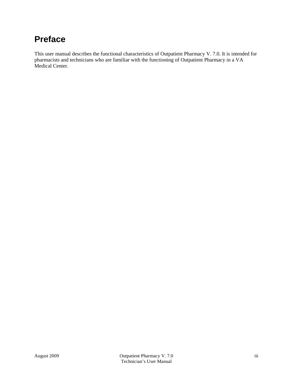# **Preface**

This user manual describes the functional characteristics of Outpatient Pharmacy V. 7.0. It is intended for pharmacists and technicians who are familiar with the functioning of Outpatient Pharmacy in a VA Medical Center.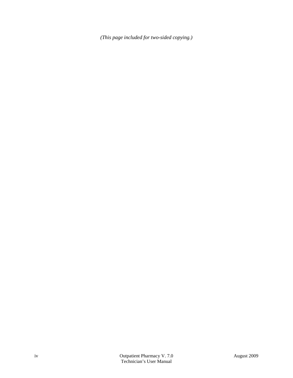*(This page included for two-sided copying.)*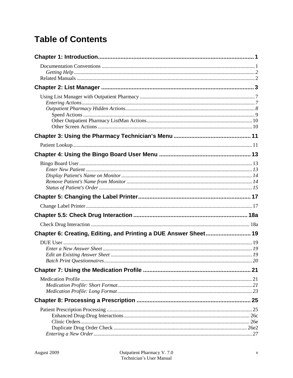# **Table of Contents**

| Chapter 6: Creating, Editing, and Printing a DUE Answer Sheet 19 |  |
|------------------------------------------------------------------|--|
|                                                                  |  |
|                                                                  |  |
|                                                                  |  |
|                                                                  |  |
|                                                                  |  |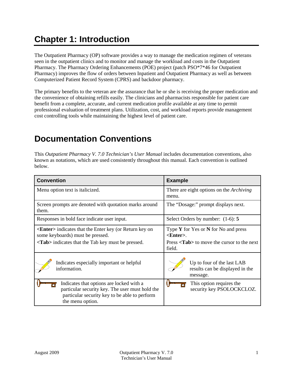# <span id="page-8-0"></span>**Chapter 1: Introduction**

The Outpatient Pharmacy (OP) software provides a way to manage the medication regimen of veterans seen in the outpatient clinics and to monitor and manage the workload and costs in the Outpatient Pharmacy. The Pharmacy Ordering Enhancements (POE) project (patch PSO\*7\*46 for Outpatient Pharmacy) improves the flow of orders between Inpatient and Outpatient Pharmacy as well as between Computerized Patient Record System (CPRS) and backdoor pharmacy.

The primary benefits to the veteran are the assurance that he or she is receiving the proper medication and the convenience of obtaining refills easily. The clinicians and pharmacists responsible for patient care benefit from a complete, accurate, and current medication profile available at any time to permit professional evaluation of treatment plans. Utilization, cost, and workload reports provide management cost controlling tools while maintaining the highest level of patient care.

### <span id="page-8-1"></span>**Documentation Conventions**

This *Outpatient Pharmacy V. 7.0 Technician's User Manual* includes documentation conventions, also known as notations, which are used consistently throughout this manual. Each convention is outlined below.

| <b>Convention</b>                                                                                                                                                    | <b>Example</b>                                                                                                                    |  |  |  |
|----------------------------------------------------------------------------------------------------------------------------------------------------------------------|-----------------------------------------------------------------------------------------------------------------------------------|--|--|--|
| Menu option text is italicized.                                                                                                                                      | There are eight options on the <i>Archiving</i><br>menu.                                                                          |  |  |  |
| Screen prompts are denoted with quotation marks around<br>them.                                                                                                      | The "Dosage:" prompt displays next.                                                                                               |  |  |  |
| Responses in bold face indicate user input.                                                                                                                          | Select Orders by number: $(1-6)$ : 5                                                                                              |  |  |  |
| <b><enter></enter></b> indicates that the Enter key (or Return key on<br>some keyboards) must be pressed.<br><tab> indicates that the Tab key must be pressed.</tab> | Type $Y$ for Yes or $N$ for No and press<br>$\epsilon$ Enter $>$ .<br>Press <tab> to move the cursor to the next<br/>field.</tab> |  |  |  |
| Indicates especially important or helpful<br>information.                                                                                                            | Up to four of the last LAB<br>results can be displayed in the<br>message.                                                         |  |  |  |
| Indicates that options are locked with a<br>particular security key. The user must hold the<br>particular security key to be able to perform<br>the menu option.     | This option requires the<br>security key PSOLOCKCLOZ.                                                                             |  |  |  |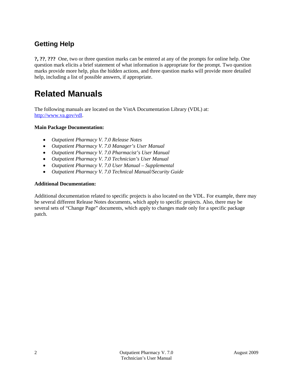### <span id="page-9-0"></span>**Getting Help**

**?, ??**, **???** One, two or three question marks can be entered at any of the prompts for online help. One question mark elicits a brief statement of what information is appropriate for the prompt. Two question marks provide more help, plus the hidden actions, and three question marks will provide more detailed help, including a list of possible answers, if appropriate.

### <span id="page-9-1"></span>**Related Manuals**

The following manuals are located on the VistA Documentation Library (VDL) at: [http://www.va.gov/vdl.](http://www.va.gov/vdl)

#### **Main Package Documentation:**

- *Outpatient Pharmacy V. 7.0 Release Notes*
- *Outpatient Pharmacy V. 7.0 Manager's User Manual*
- *Outpatient Pharmacy V. 7.0 Pharmacist's User Manual*
- *Outpatient Pharmacy V. 7.0 Technician's User Manual*
- *Outpatient Pharmacy V. 7.0 User Manual – Supplemental*
- *Outpatient Pharmacy V. 7.0 Technical Manual/Security Guide*

#### **Additional Documentation:**

Additional documentation related to specific projects is also located on the VDL. For example, there may be several different Release Notes documents, which apply to specific projects. Also, there may be several sets of "Change Page" documents, which apply to changes made only for a specific package patch.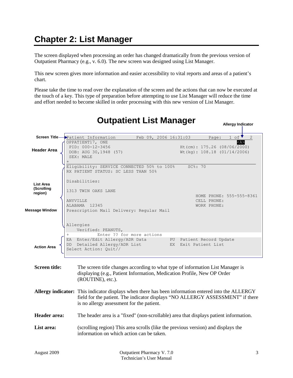# <span id="page-10-0"></span>**Chapter 2: List Manager**

The screen displayed when processing an order has changed dramatically from the previous version of Outpatient Pharmacy (e.g., v. 6.0). The new screen was designed using List Manager.

This new screen gives more information and easier accessibility to vital reports and areas of a patient's chart.

Please take the time to read over the explanation of the screen and the actions that can now be executed at the touch of a key. This type of preparation before attempting to use List Manager will reduce the time and effort needed to become skilled in order processing with this new version of List Manager.

| Screen Title-                                               | Patient Information<br>Feb 09, 2006 16:31:03<br>1 of<br>2<br>Page:                                                                                                                                                                 |  |  |  |  |
|-------------------------------------------------------------|------------------------------------------------------------------------------------------------------------------------------------------------------------------------------------------------------------------------------------|--|--|--|--|
| <b>Header Area</b>                                          | OPPATIENT17, ONE<br>PID: 000-12-3456<br>Ht(cm): 175.26 (08/06/2000)<br>DOB: AUG 30, 1948 (57)<br>Wt (kg): 108.18 (01/14/2006)<br>SEX: MALE<br>Eligibility: SERVICE CONNECTED 50% to 100%<br>SC%: 70                                |  |  |  |  |
| List Area<br>(Scrolling<br>region)<br><b>Message Window</b> | RX PATIENT STATUS: SC LESS THAN 50%<br>Disabilities:<br>1313 TWIN OAKS LANE<br>HOME PHONE: 555-555-8361<br>ANYVILLE<br>CELL PHONE:<br>ALABAMA 12345<br>WORK PHONE:<br>Prescription Mail Delivery: Regular Mail                     |  |  |  |  |
| <b>Action Area</b>                                          | Allergies<br>Verified: PEANUTS,<br>Enter ?? for more actions<br>EA Enter/Edit Allergy/ADR Data<br>PU Patient Record Update<br>DD Detailed Allergy/ADR List<br>EX Exit Patient List<br>Select Action: Quit//                        |  |  |  |  |
| <b>Screen title:</b>                                        | The screen title changes according to what type of information List Manager is<br>displaying (e.g., Patient Information, Medication Profile, New OP Order<br>(ROUTINE), etc.).                                                     |  |  |  |  |
|                                                             | Allergy indicator: This indicator displays when there has been information entered into the ALLERGY<br>field for the patient. The indicator displays "NO ALLERGY ASSESSMENT" if there<br>is no allergy assessment for the patient. |  |  |  |  |
| <b>Header</b> area:                                         | The header area is a "fixed" (non-scrollable) area that displays patient information.                                                                                                                                              |  |  |  |  |
| List area:                                                  | (scrolling region) This area scrolls (like the previous version) and displays the<br>information on which action can be taken.                                                                                                     |  |  |  |  |
|                                                             |                                                                                                                                                                                                                                    |  |  |  |  |

### **Outpatient List Manager**

**Allergy Indicator**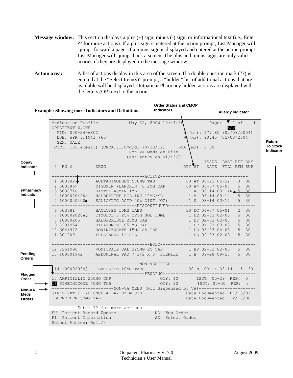<span id="page-11-0"></span>**Message window:** This section displays a plus (+) sign, minus (-) sign, or informational text (i.e., Enter ?? for more actions). If a plus sign is entered at the action prompt, List Manager will "jump" forward a page. If a minus sign is displayed and entered at the action prompt, List Manager will "jump" back a screen. The plus and minus signs are only valid actions if they are displayed in the message window.

**Action area:** A list of actions display in this area of the screen. If a double question mark (??) is entered at the "Select Item(s)" prompt, a "hidden" list of additional actions that are available will be displayed. Outpatient Pharmacy hidden actions are displayed with the letters (OP) next to the action.

|                                        | <b>Order Status and CMOP</b>                                                                    |                                                                                                                                                                                                                                                                                                                                                |                                               |                           |                                                                    |                          |  |  |                                     |
|----------------------------------------|-------------------------------------------------------------------------------------------------|------------------------------------------------------------------------------------------------------------------------------------------------------------------------------------------------------------------------------------------------------------------------------------------------------------------------------------------------|-----------------------------------------------|---------------------------|--------------------------------------------------------------------|--------------------------|--|--|-------------------------------------|
|                                        | <b>Example: Showing more Indicators and Definitions</b>                                         |                                                                                                                                                                                                                                                                                                                                                | <b>Indicators</b>                             |                           |                                                                    | <b>Allergy Indicator</b> |  |  |                                     |
|                                        | Medication Profile<br>OPPATIENT16, ONE<br>PID: 000-24-6802<br>DOB: APR 3,1941 (65)<br>SEX: MALE | May 22, 2006 10:44:54 Page: $\bullet$ 1 of 1                                                                                                                                                                                                                                                                                                   |                                               |                           | $Ht$ (cm): 177.80 (02/08/2004)<br>$W_{c}$ (kg): 90.45 (02/08/2004) | $<$ A>                   |  |  | Return                              |
| Copay                                  |                                                                                                 | CrCL: $102.4$ (est.) (CREAT: $1.0$ mg/dL $10/30/12$ ) BSA (m2): 2.08                                                                                                                                                                                                                                                                           | Non-VA Meds on File<br>Last entry on 01/13/01 |                           | ISSUE LAST REF DAY                                                 |                          |  |  | <b>To Stock</b><br><b>Indicator</b> |
| <b>Indicator</b>                       | # RX # DRUG                                                                                     |                                                                                                                                                                                                                                                                                                                                                |                                               |                           | QTY ST DATE FILL REM SUP                                           |                          |  |  |                                     |
|                                        |                                                                                                 |                                                                                                                                                                                                                                                                                                                                                |                                               |                           |                                                                    |                          |  |  |                                     |
| ePharmacy                              |                                                                                                 | $\begin{tabular}{l c c c c c c c c} \hline & $\Lambda$CETAMINOPHEN & 500MG TAB & 60 AT 05-22 05-22 & 3 & 30 & 2 & 503886$\circ$ & DIGOXIN & (LANOXIN) & 0.2MG CAP & 60 A> 05-07 05-07 & 5 & 30 & 3 & 503871$\circ$ & HISTOPLASMIN1ML & 1 & A & 03-14 03-14R & 5 & 30 & 5 & 100002042$\circ$ & SALICYLIC ACID & 40$\circ$ OINT (0Z) & 1 & S & $ |                                               |                           |                                                                    |                          |  |  |                                     |
| Indicator                              |                                                                                                 | ----------------------------------DISCONTINUED----------------------------------                                                                                                                                                                                                                                                               |                                               |                           |                                                                    |                          |  |  |                                     |
|                                        |                                                                                                 | 6 503881 BACLOFEN 10MG TABS<br>7 100002020A\$ TIMOLOL 0.25% OPTH SOL 10ML 1 DE 02-03 02-03 5 30<br>8 10000205 HALOPERIDOL 20MG TAB 1 DF 02-03 02-03 5 30<br>9 8201954 BILAFUMIN .05 MG CAP 1 DP 01-03 03-03 5 30<br>10 6041972 RONINPEN                                                                                                        |                                               |                           |                                                                    |                          |  |  |                                     |
| Pending<br><b>Orders</b>               |                                                                                                 | 12 8251996   VONITRATE CAL 325MG EC TAB   1 HP 02-03 02-03   5   30<br>13 100001942   ABDOMINAL PAD   7   1/2   X   8   STERILE   1   H   09-28 09-28   5   30                                                                                                                                                                                 |                                               |                           |                                                                    |                          |  |  |                                     |
|                                        |                                                                                                 | 14 100002039\$ BACLOFEN 10MG TABS 30 N 03-14 03-14 5 30                                                                                                                                                                                                                                                                                        |                                               |                           |                                                                    |                          |  |  |                                     |
| Flagged<br>Order                       |                                                                                                 |                                                                                                                                                                                                                                                                                                                                                |                                               |                           |                                                                    |                          |  |  |                                     |
| Non-VA<br><b>Meds</b><br><b>Orders</b> | IBUPROFPEN 50MG TAB                                                                             | -------------------------NON-VA MEDS (Not dispensed by VA)----------------------<br>GINKO EXT 1 TAB ONCE A DAY BY MOUTH<br>TRIPPOEDEN 50MC TAB                                                                                                                                                                                                 |                                               | Date Documented: 12/10/00 |                                                                    |                          |  |  |                                     |
|                                        | Select Action: Ouit//                                                                           | Enter ?? for more actions<br>PU Patient Record Update<br>PU Patient Record Update<br>PI Patient Information 50 Select Order                                                                                                                                                                                                                    |                                               |                           |                                                                    |                          |  |  |                                     |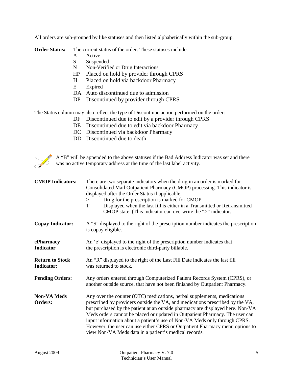All orders are sub-grouped by like statuses and then listed alphabetically within the sub-group.

**Order Status:** The current status of the order. These statuses include:

- A Active
- S Suspended
- N Non-Verified or Drug Interactions
- HP Placed on hold by provider through CPRS
- H Placed on hold via backdoor Pharmacy
- E Expired
- DA Auto discontinued due to admission
- DP Discontinued by provider through CPRS

The Status column may also reflect the type of Discontinue action performed on the order:

- DF Discontinued due to edit by a provider through CPRS
- DE Discontinued due to edit via backdoor Pharmacy
- DC Discontinued via backdoor Pharmacy
- DD Discontinued due to death



A "B" will be appended to the above statuses if the Bad Address Indicator was set and there was no active temporary address at the time of the last label activity.

| <b>CMOP Indicators:</b>                     | There are two separate indicators when the drug in an order is marked for<br>Consolidated Mail Outpatient Pharmacy (CMOP) processing. This indicator is<br>displayed after the Order Status if applicable.<br>Drug for the prescription is marked for CMOP<br>><br>$\mathbf T$<br>Displayed when the last fill is either in a Transmitted or Retransmitted<br>CMOP state. (This indicator can overwrite the ">" indicator.                                                                                                                       |  |  |  |
|---------------------------------------------|--------------------------------------------------------------------------------------------------------------------------------------------------------------------------------------------------------------------------------------------------------------------------------------------------------------------------------------------------------------------------------------------------------------------------------------------------------------------------------------------------------------------------------------------------|--|--|--|
| <b>Copay Indicator:</b>                     | A "\$" displayed to the right of the prescription number indicates the prescription<br>is copay eligible.                                                                                                                                                                                                                                                                                                                                                                                                                                        |  |  |  |
| ePharmacy<br>Indicator                      | An 'e' displayed to the right of the prescription number indicates that<br>the prescription is electronic third-party billable.                                                                                                                                                                                                                                                                                                                                                                                                                  |  |  |  |
| <b>Return to Stock</b><br><b>Indicator:</b> | An "R" displayed to the right of the Last Fill Date indicates the last fill<br>was returned to stock.                                                                                                                                                                                                                                                                                                                                                                                                                                            |  |  |  |
| <b>Pending Orders:</b>                      | Any orders entered through Computerized Patient Records System (CPRS), or<br>another outside source, that have not been finished by Outpatient Pharmacy.                                                                                                                                                                                                                                                                                                                                                                                         |  |  |  |
| <b>Non-VA Meds</b><br>Orders:               | Any over the counter (OTC) medications, herbal supplements, medications<br>prescribed by providers outside the VA, and medications prescribed by the VA,<br>but purchased by the patient at an outside pharmacy are displayed here. Non-VA<br>Meds orders cannot be placed or updated in Outpatient Pharmacy. The user can<br>input information about a patient's use of Non-VA Meds only through CPRS.<br>However, the user can use either CPRS or Outpatient Pharmacy menu options to<br>view Non-VA Meds data in a patient's medical records. |  |  |  |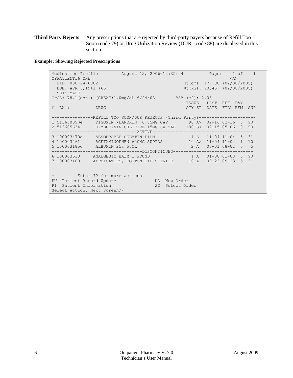**Third Party Rejects** Any prescriptions that are rejected by third-party payers because of Refill Too Soon (code 79) or Drug Utilization Review (DUR - code 88) are displayed in this section.

**Example: Showing Rejected Prescriptions**

<span id="page-13-0"></span>

| Medication Profile                                                            | August 12, 2006@12:35:04           |                               |  | Page: 1 of 1 |  |
|-------------------------------------------------------------------------------|------------------------------------|-------------------------------|--|--------------|--|
| OPPATIENT16, ONE<br>$<\lambda>$                                               |                                    |                               |  |              |  |
| PID: 000-24-6802                                                              |                                    | Ht(cm): $177.80$ (02/08/2005) |  |              |  |
| DOB: APR 3, 1941 (65)                                                         |                                    | $Wt$ (kg): 90.45 (02/08/2005) |  |              |  |
| SEX: MALE                                                                     |                                    |                               |  |              |  |
| CrCL: 78.1 (est.) (CREAT:1.0mg/dL 6/24/03) BSA (m2): 2.08                     |                                    |                               |  |              |  |
|                                                                               |                                    | ISSUE LAST REF DAY            |  |              |  |
| # RX # DRUG                                                                   |                                    | OTY ST DATE FILL REM SUP      |  |              |  |
|                                                                               |                                    |                               |  |              |  |
| --------------REFILL_TOO_SOON/DUR_REJECTS_(Third_Party)---------------------- |                                    |                               |  |              |  |
| 1 51368009\$e DIGOXIN (LANOXIN) 0.05MG CAP 90 A> 02-16 02-16 3 90             |                                    |                               |  |              |  |
|                                                                               |                                    |                               |  |              |  |
|                                                                               |                                    |                               |  |              |  |
| 3 100003470e ABSORBABLE GELATIN FILM 1 A 11-04 11-04 5 31                     |                                    |                               |  |              |  |
| 4 100003461 ACETAMINOPHEN 650MG SUPPOS. 10 A> 11-04 11-04 1 10                |                                    |                               |  |              |  |
| 5 100003185e ALBUMIN 25% 50ML                                                 |                                    | 2 A 08-01 08-01 5 5           |  |              |  |
| -------------------------------DISCONTINUED--------------------------         |                                    |                               |  |              |  |
| 6 100003530 ANALGESIC BALM 1 POUND 1 A 01-08 01-08 3 90                       |                                    |                               |  |              |  |
| 7 100003400 APPLICATORS, COTTON TIP STERILE 10 A 09-23 09-23 5 31             |                                    |                               |  |              |  |
|                                                                               |                                    |                               |  |              |  |
|                                                                               |                                    |                               |  |              |  |
| + Enter ?? for more actions                                                   |                                    |                               |  |              |  |
| PU                                                                            | Patient Record Update MO New Order |                               |  |              |  |
| Patient Information<br>SO Select Order<br>PI                                  |                                    |                               |  |              |  |
| Select Action: Next Screen//                                                  |                                    |                               |  |              |  |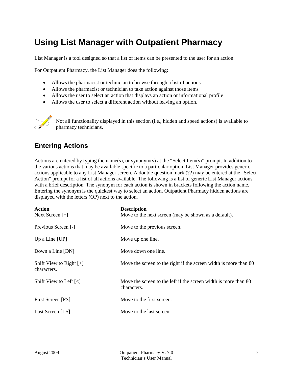### <span id="page-14-0"></span>**Using List Manager with Outpatient Pharmacy**

List Manager is a tool designed so that a list of items can be presented to the user for an action.

For Outpatient Pharmacy, the List Manager does the following:

- Allows the pharmacist or technician to browse through a list of actions
- Allows the pharmacist or technician to take action against those items
- Allows the user to select an action that displays an action or informational profile
- Allows the user to select a different action without leaving an option.



Not all functionality displayed in this section (i.e., hidden and speed actions) is available to pharmacy technicians.

#### <span id="page-14-1"></span>**Entering Actions**

Actions are entered by typing the name(s), or synonym(s) at the "Select Item(s)" prompt. In addition to the various actions that may be available specific to a particular option, List Manager provides generic actions applicable to any List Manager screen. A double question mark (??) may be entered at the "Select Action" prompt for a list of all actions available. The following is a list of generic List Manager actions with a brief description. The synonym for each action is shown in brackets following the action name. Entering the synonym is the quickest way to select an action. Outpatient Pharmacy hidden actions are displayed with the letters (OP) next to the action.

| Action<br>Next Screen $[+]$              | <b>Description</b><br>Move to the next screen (may be shown as a default).     |
|------------------------------------------|--------------------------------------------------------------------------------|
| Previous Screen [-]                      | Move to the previous screen.                                                   |
| Up a Line $[UP]$                         | Move up one line.                                                              |
| Down a Line [DN]                         | Move down one line.                                                            |
| Shift View to Right $[>]$<br>characters. | Move the screen to the right if the screen width is more than 80               |
| Shift View to Left $\left[\right]$       | Move the screen to the left if the screen width is more than 80<br>characters. |
| First Screen [FS]                        | Move to the first screen.                                                      |
| Last Screen [LS]                         | Move to the last screen.                                                       |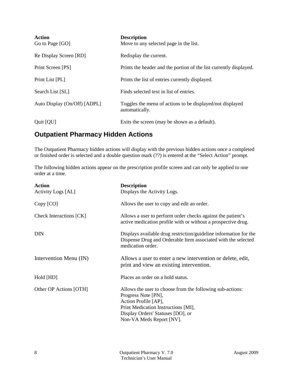| <b>Action</b><br>Go to Page [GO] | <b>Description</b><br>Move to any selected page in the list.                |
|----------------------------------|-----------------------------------------------------------------------------|
| Re Display Screen [RD]           | Redisplay the current.                                                      |
| Print Screen [PS]                | Prints the header and the portion of the list currently displayed.          |
| Print List [PL]                  | Prints the list of entries currently displayed.                             |
| Search List [SL]                 | Finds selected text in list of entries.                                     |
| Auto Display (On/Off) [ADPL]     | Toggles the menu of actions to be displayed/not displayed<br>automatically. |
| Quit [QU]                        | Exits the screen (may be shown as a default).                               |

### <span id="page-15-1"></span>**Outpatient Pharmacy Hidden Actions**

The Outpatient Pharmacy hidden actions will display with the previous hidden actions once a completed or finished order is selected and a double question mark (??) is entered at the "Select Action" prompt.

The following hidden actions appear on the prescription profile screen and can only be applied to one order at a time.

<span id="page-15-0"></span>

| Action<br><b>Activity Logs [AL]</b> | <b>Description</b><br>Displays the Activity Logs.                                                                                                                                                                |
|-------------------------------------|------------------------------------------------------------------------------------------------------------------------------------------------------------------------------------------------------------------|
| Copy [CO]                           | Allows the user to copy and edit an order.                                                                                                                                                                       |
| Check Interactions [CK]             | Allows a user to perform order checks against the patient's<br>active medication profile with or without a prospective drug.                                                                                     |
| <b>DIN</b>                          | Displays available drug restriction/guideline information for the<br>Dispense Drug and Orderable Item associated with the selected<br>medication order.                                                          |
| Intervention Menu (IN)              | Allows a user to enter a new intervention or delete, edit,<br>print and view an existing intervention.                                                                                                           |
| Hold [HD]                           | Places an order on a hold status.                                                                                                                                                                                |
| Other OP Actions [OTH]              | Allows the user to choose from the following sub-actions:<br>Progress Note [PN],<br>Action Profile [AP],<br>Print Medication Instructions [MI],<br>Display Orders' Statuses [DO], or<br>Non-VA Meds Report [NV]. |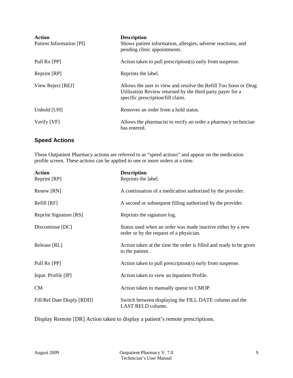| <b>Action</b><br>Patient Information [PI] | <b>Description</b><br>Shows patient information, allergies, adverse reactions, and<br>pending clinic appointments.                                                 |
|-------------------------------------------|--------------------------------------------------------------------------------------------------------------------------------------------------------------------|
| Pull Rx [PP]                              | Action taken to pull prescription(s) early from suspense.                                                                                                          |
| Reprint [RP]                              | Reprints the label.                                                                                                                                                |
| View Reject [REJ]                         | Allows the user to view and resolve the Refill Too Soon or Drug<br>Utilization Review returned by the third party payer for a<br>specific prescription/fill claim. |
| Unhold [UH]                               | Removes an order from a hold status.                                                                                                                               |
| Verify [VF]                               | Allows the pharmacist to verify an order a pharmacy technician<br>has entered.                                                                                     |

#### <span id="page-16-0"></span>**Speed Actions**

These Outpatient Pharmacy actions are referred to as "speed actions" and appear on the medication profile screen. These actions can be applied to one or more orders at a time.

| <b>Action</b><br>Reprint [RP] | <b>Description</b><br>Reprints the label.                                                              |
|-------------------------------|--------------------------------------------------------------------------------------------------------|
| Renew [RN]                    | A continuation of a medication authorized by the provider.                                             |
| Refill [RF]                   | A second or subsequent filling authorized by the provider.                                             |
| Reprint Signature [RS]        | Reprints the signature log.                                                                            |
| Discontinue [DC]              | Status used when an order was made inactive either by a new<br>order or by the request of a physician. |
| Release [RL]                  | Action taken at the time the order is filled and ready to be given<br>to the patient.                  |
| Pull Rx [PP]                  | Action taken to pull prescription(s) early from suspense.                                              |
| Inpat. Profile [IP]           | Action taken to view an Inpatient Profile.                                                             |
| <b>CM</b>                     | Action taken to manually queue to CMOP.                                                                |
| Fill/Rel Date Disply [RDD]    | Switch between displaying the FILL DATE column and the<br>LAST RELD column.                            |

Display Remote [DR] Action taken to display a patient's remote prescriptions.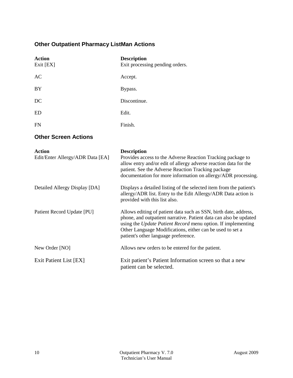### <span id="page-17-0"></span>**Other Outpatient Pharmacy ListMan Actions**

<span id="page-17-1"></span>

| <b>Action</b>                                     | <b>Description</b>                                                                                                                                                                                                                                                                                         |
|---------------------------------------------------|------------------------------------------------------------------------------------------------------------------------------------------------------------------------------------------------------------------------------------------------------------------------------------------------------------|
| Exit [EX]                                         | Exit processing pending orders.                                                                                                                                                                                                                                                                            |
| <b>AC</b>                                         | Accept.                                                                                                                                                                                                                                                                                                    |
| <b>BY</b>                                         | Bypass.                                                                                                                                                                                                                                                                                                    |
| DC                                                | Discontinue.                                                                                                                                                                                                                                                                                               |
| ED                                                | Edit.                                                                                                                                                                                                                                                                                                      |
| <b>FN</b>                                         | Finish.                                                                                                                                                                                                                                                                                                    |
| <b>Other Screen Actions</b>                       |                                                                                                                                                                                                                                                                                                            |
| <b>Action</b><br>Edit/Enter Allergy/ADR Data [EA] | <b>Description</b><br>Provides access to the Adverse Reaction Tracking package to<br>allow entry and/or edit of allergy adverse reaction data for the<br>patient. See the Adverse Reaction Tracking package<br>documentation for more information on allergy/ADR processing.                               |
| Detailed Allergy Display [DA]                     | Displays a detailed listing of the selected item from the patient's<br>allergy/ADR list. Entry to the Edit Allergy/ADR Data action is<br>provided with this list also.                                                                                                                                     |
| Patient Record Update [PU]                        | Allows editing of patient data such as SSN, birth date, address,<br>phone, and outpatient narrative. Patient data can also be updated<br>using the Update Patient Record menu option. If implementing<br>Other Language Modifications, either can be used to set a<br>patient's other language preference. |
| New Order [NO]                                    | Allows new orders to be entered for the patient.                                                                                                                                                                                                                                                           |
| Exit Patient List [EX]                            | Exit patient's Patient Information screen so that a new<br>patient can be selected.                                                                                                                                                                                                                        |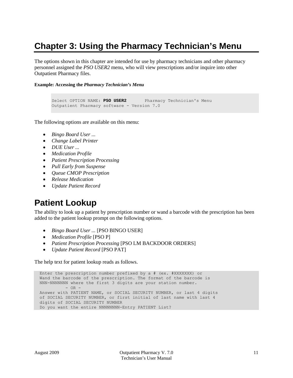# <span id="page-18-0"></span>**Chapter 3: Using the Pharmacy Technician's Menu**

The options shown in this chapter are intended for use by pharmacy technicians and other pharmacy personnel assigned the *PSO USER2* menu, who will view prescriptions and/or inquire into other Outpatient Pharmacy files.

#### **Example: Accessing the** *Pharmacy Technician's Menu*

```
Select OPTION NAME: PSO USER2 Pharmacy Technician's Menu
Outpatient Pharmacy software - Version 7.0
```
The following options are available on this menu:

- *Bingo Board User ...*
- *Change Label Printer*
- *DUE User ...*
- *Medication Profile*
- *Patient Prescription Processing*
- *Pull Early from Suspense*
- *Queue CMOP Prescription*
- *Release Medication*
- *Update Patient Record*

### <span id="page-18-1"></span>**Patient Lookup**

The ability to look up a patient by prescription number or wand a barcode with the prescription has been added to the patient lookup prompt on the following options.

- *Bingo Board User ...* [PSO BINGO USER]
- *Medication Profile* [PSO P]
- *Patient Prescription Processing* [PSO LM BACKDOOR ORDERS]
- *Update Patient Record* [PSO PAT]

The help text for patient lookup reads as follows.

```
 Enter the prescription number prefixed by a # (ex. #XXXXXXX) or
 Wand the barcode of the prescription. The format of the barcode is
 NNN-NNNNNNN where the first 3 digits are your station number.
        - OR -Answer with PATIENT NAME, or SOCIAL SECURITY NUMBER, or last 4 digits
 of SOCIAL SECURITY NUMBER, or first initial of last name with last 4
 digits of SOCIAL SECURITY NUMBER
Do you want the entire NNNNNNNNN-Entry PATIENT List?
```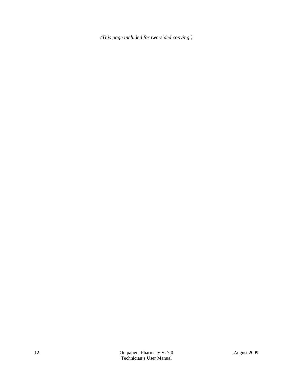*(This page included for two-sided copying.)*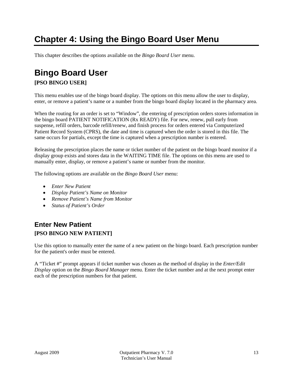# <span id="page-20-0"></span>**Chapter 4: Using the Bingo Board User Menu**

This chapter describes the options available on the *Bingo Board User* menu.

# <span id="page-20-1"></span>**Bingo Board User**

#### **[PSO BINGO USER]**

This menu enables use of the bingo board display. The options on this menu allow the user to display, enter, or remove a patient's name or a number from the bingo board display located in the pharmacy area.

When the routing for an order is set to "Window", the entering of prescription orders stores information in the bingo board PATIENT NOTIFICATION (Rx READY) file. For new, renew, pull early from suspense, refill orders, barcode refill/renew, and finish process for orders entered via Computerized Patient Record System (CPRS), the date and time is captured when the order is stored in this file. The same occurs for partials, except the time is captured when a prescription number is entered.

Releasing the prescription places the name or ticket number of the patient on the bingo board monitor if a display group exists and stores data in the WAITING TIME file. The options on this menu are used to manually enter, display, or remove a patient's name or number from the monitor.

The following options are available on the *Bingo Board User* menu:

- *Enter New Patient*
- *Display Patient's Name on Monitor*
- *Remove Patient's Name from Monitor*
- *Status of Patient's Order*

#### <span id="page-20-2"></span>**Enter New Patient [PSO BINGO NEW PATIENT]**

Use this option to manually enter the name of a new patient on the bingo board. Each prescription number for the patient's order must be entered.

A "Ticket #" prompt appears if ticket number was chosen as the method of display in the *Enter/Edit Display* option on the *Bingo Board Manager* menu. Enter the ticket number and at the next prompt enter each of the prescription numbers for that patient.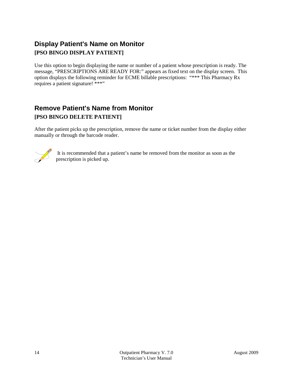### <span id="page-21-0"></span>**Display Patient's Name on Monitor [PSO BINGO DISPLAY PATIENT]**

Use this option to begin displaying the name or number of a patient whose prescription is ready. The message, "PRESCRIPTIONS ARE READY FOR:" appears as fixed text on the display screen. This option displays the following reminder for ECME billable prescriptions: "\*\*\* This Pharmacy Rx requires a patient signature! \*\*\*"

#### <span id="page-21-1"></span>**Remove Patient's Name from Monitor [PSO BINGO DELETE PATIENT]**

After the patient picks up the prescription, remove the name or ticket number from the display either manually or through the barcode reader.



It is recommended that a patient's name be removed from the monitor as soon as the prescription is picked up.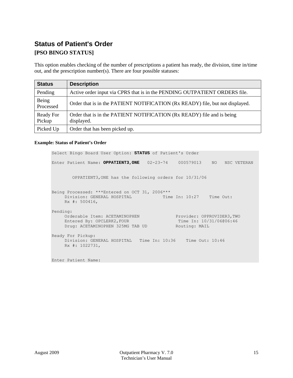### <span id="page-22-0"></span>**Status of Patient's Order [PSO BINGO STATUS]**

This option enables checking of the number of prescriptions a patient has ready, the division, time in/time out, and the prescription number(s). There are four possible statuses:

| <b>Status</b>              | <b>Description</b>                                                                   |
|----------------------------|--------------------------------------------------------------------------------------|
| Pending                    | Active order input via CPRS that is in the PENDING OUTPATIENT ORDERS file.           |
| Being<br>Processed         | Order that is in the PATIENT NOTIFICATION (Rx READY) file, but not displayed.        |
| <b>Ready For</b><br>Pickup | Order that is in the PATIENT NOTIFICATION (Rx READY) file and is being<br>displayed. |
| Picked Up                  | Order that has been picked up.                                                       |

#### **Example: Status of Patient's Order**

```
Select Bingo Board User Option: STATUS of Patient's Order
Enter Patient Name: OPPATIENT3,ONE 02-23-74 000579013 NO NSC VETERAN 
        OPPATIENT3,ONE has the following orders for 10/31/06
Being Processed: ***Entered on OCT 31, 2006***
    Division: GENERAL HOSPITAL Time In: 10:27 Time Out:
     Rx #: 500416, 
Pending: 
 Orderable Item: ACETAMINOPHEN Provider: OPPROVIDER3,TWO
Entered By: OPCLERK2, FOUR Time In: 10/31/06006:46
Drug: ACETAMINOPHEN 325MG TAB UD Routing: MAIL
Ready For Pickup: 
     Division: GENERAL HOSPITAL Time In: 10:36 Time Out: 10:46
     Rx #: 1022731,
Enter Patient Name:
```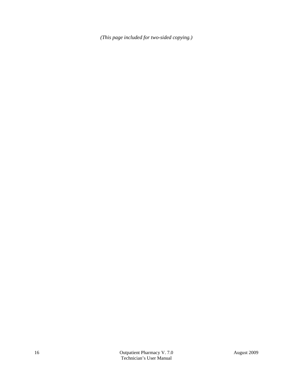*(This page included for two-sided copying.)*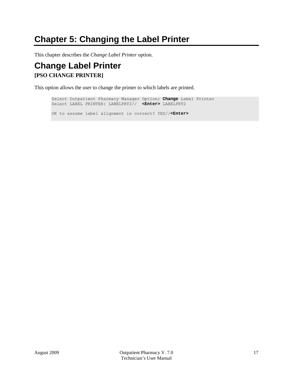### <span id="page-24-0"></span>**Chapter 5: Changing the Label Printer**

This chapter describes the *Change Label Printer* option.

### <span id="page-24-1"></span>**Change Label Printer [PSO CHANGE PRINTER]**

This option allows the user to change the printer to which labels are printed.

Select Outpatient Pharmacy Manager Option: **Change** Label Printer Select LABEL PRINTER: LABELPRT2// **<Enter>** LABELPRT2 OK to assume label alignment is correct? YES//**<Enter>**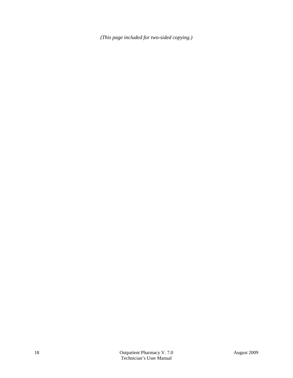*(This page included for two-sided copying.)*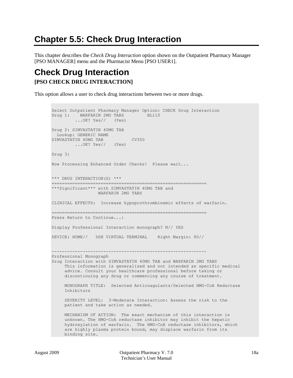# <span id="page-26-0"></span>**Chapter 5.5: Check Drug Interaction**

This chapter describes the *Check Drug Interaction* option shown on the Outpatient Pharmacy Manager [PSO MANAGER] menu and the Pharmacist Menu [PSO USER1].

### <span id="page-26-1"></span>**Check Drug Interaction [PSO CHECK DRUG INTERACTION]**

This option allows a user to check drug interactions between two or more drugs.

```
Select Outpatient Pharmacy Manager Option: CHECK Drug Interaction
Drug 1: WARFARIN 2MG TABS BL110
          ...OK? Yes// (Yes)
Drug 2: SIMVASTATIN 40MG TAB
 Lookup: GENERIC NAME
SIMVASTATIN 40MG TAB CV350
        ...OK? Yes// (Yes)
Drug 3: 
Now Processing Enhanced Order Checks! Please wait...
*** DRUG INTERACTION(S) ***
============================================================
***Significant*** with SIMVASTATIN 40MG TAB and
                  WARFARIN 2MG TABS
CLINICAL EFFECTS: Increase hypoprothrombinemic effects of warfarin.
 ============================================================
Press Return to Continue...: 
Display Professional Interaction monograph? N// YES
DEVICE: HOME// SSH VIRTUAL TERMINAL Right Margin: 80// 
   ------------------------------------------------------------
Professional Monograph
Drug Interaction with SIMVASTATIN 40MG TAB and WARFARIN 2MG TABS
     This information is generalized and not intended as specific medical 
      advice. Consult your healthcare professional before taking or 
     discontinuing any drug or commencing any course of treatment.
     MONOGRAPH TITLE: Selected Anticoagulants/Selected HMG-CoA Reductase 
      Inhibitors
      SEVERITY LEVEL: 3-Moderate Interaction: Assess the risk to the 
      patient and take action as needed.
      MECHANISM OF ACTION: The exact mechanism of this interaction is 
      unknown. The HMG-CoA reductase inhibitor may inhibit the hepatic 
      hydroxylation of warfarin. The HMG-CoA reductase inhibitors, which 
      are highly plasma protein bound, may displace warfarin from its 
      binding site.
```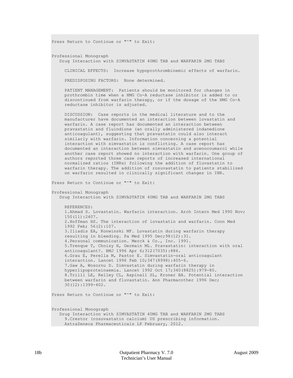Press Return to Continue or "^" to Exit: Professional Monograph Drug Interaction with SIMVASTATIN 40MG TAB and WARFARIN 2MG TABS CLINICAL EFFECTS: Increase hypoprothrombinemic effects of warfarin. PREDISPOSING FACTORS: None determined. PATIENT MANAGEMENT: Patients should be monitored for changes in prothrombin time when a HMG Co-A reductase inhibitor is added to or discontinued from warfarin therapy, or if the dosage of the HMG Co-A reductase inhibitor is adjusted. DISCUSSION: Case reports in the medical literature and to the manufacturer have documented an interaction between lovastatin and warfarin. A case report has documented an interaction between pravastatin and fluindione (an orally administered indanedione anticoagulant), suggesting that pravastatin could also interact similarly with warfarin. Information concerning a potential interaction with simvastatin is conflicting. A case report has documented an interaction between simvastatin and acenocoumarol while another case report showed no interaction with warfarin. One group of authors reported three case reports of increased international normalized ratios (INRs) following the addition of fluvastatin to warfarin therapy. The addition of rosuvastatin to patients stabilized on warfarin resulted in clinically significant changes in INR. Press Return to Continue or "^" to Exit: Professional Monograph Drug Interaction with SIMVASTATIN 40MG TAB and WARFARIN 2MG TABS REFERENCES: 1.Ahmad S. Lovastatin. Warfarin interaction. Arch Intern Med 1990 Nov; 150(11):2407. 2.Hoffman HS. The interaction of lovastatin and warfarin. Conn Med 1992 Feb; 56(2):107. 3.Iliadis EA, Konwinski MF. Lovastatin during warfarin therapy resulting in bleeding. Pa Med 1995 Dec;98(12):31. 4.Personal communication. Merck & Co., Inc. 1991. 5.Trenque T, Choisy H, Germain ML. Pravastatin: interaction with oral anticoagulant?. BMJ 1996 Apr 6;312(7035):886. 6.Grau E, Perella M, Pastor E. Simvastatin-oral anticoagulant interaction. Lancet 1996 Feb 10;347(8998):405-6. 7.Gaw A, Wosornu D. Simvastatin during warfarin therapy in hyperlipoproteinaemia. Lancet 1992 Oct 17;340(8825):979-80. 8.Trilli LE, Kelley CL, Aspinall SL, Kroner BA. Potential interaction between warfarin and fluvastatin. Ann Pharmacother 1996 Dec; 30(12):1399-402. Press Return to Continue or "^" to Exit: Professional Monograph Drug Interaction with SIMVASTATIN 40MG TAB and WARFARIN 2MG TABS 9.Crestor (rosuvastatin calcium) US prescribing information. AstraZeneca Pharmaceuticals LP February, 2012.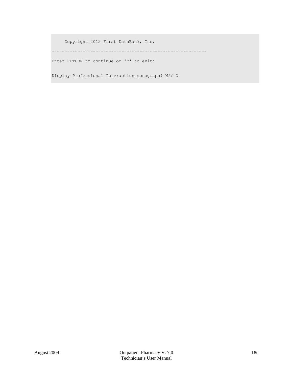Copyright 2012 First DataBank, Inc.

------------------------------------------------------------

Enter RETURN to continue or '^' to exit:

Display Professional Interaction monograph? N// O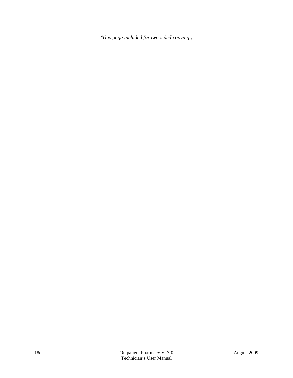*(This page included for two-sided copying.)*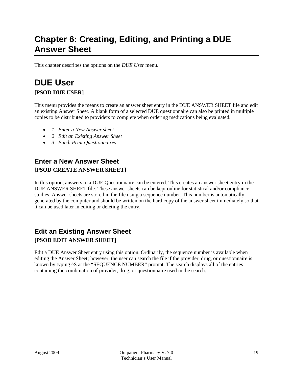### <span id="page-30-0"></span>**Chapter 6: Creating, Editing, and Printing a DUE Answer Sheet**

This chapter describes the options on the *DUE User* menu.

### <span id="page-30-1"></span>**DUE User [PSOD DUE USER]**

This menu provides the means to create an answer sheet entry in the DUE ANSWER SHEET file and edit an existing Answer Sheet. A blank form of a selected DUE questionnaire can also be printed in multiple copies to be distributed to providers to complete when ordering medications being evaluated.

- *1 Enter a New Answer sheet*
- *2 Edit an Existing Answer Sheet*
- *3 Batch Print Questionnaires*

### <span id="page-30-2"></span>**Enter a New Answer Sheet [PSOD CREATE ANSWER SHEET]**

In this option, answers to a DUE Questionnaire can be entered. This creates an answer sheet entry in the DUE ANSWER SHEET file. These answer sheets can be kept online for statistical and/or compliance studies. Answer sheets are stored in the file using a sequence number. This number is automatically generated by the computer and should be written on the hard copy of the answer sheet immediately so that it can be used later in editing or deleting the entry.

#### <span id="page-30-3"></span>**Edit an Existing Answer Sheet [PSOD EDIT ANSWER SHEET]**

Edit a DUE Answer Sheet entry using this option. Ordinarily, the sequence number is available when editing the Answer Sheet; however, the user can search the file if the provider, drug, or questionnaire is known by typing ^S at the "SEQUENCE NUMBER" prompt. The search displays all of the entries containing the combination of provider, drug, or questionnaire used in the search.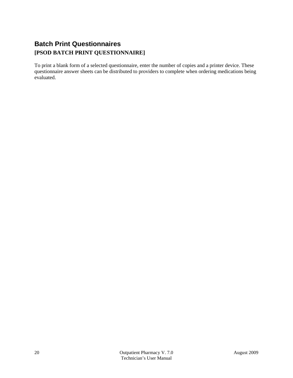### <span id="page-31-0"></span>**Batch Print Questionnaires [PSOD BATCH PRINT QUESTIONNAIRE]**

To print a blank form of a selected questionnaire, enter the number of copies and a printer device. These questionnaire answer sheets can be distributed to providers to complete when ordering medications being evaluated.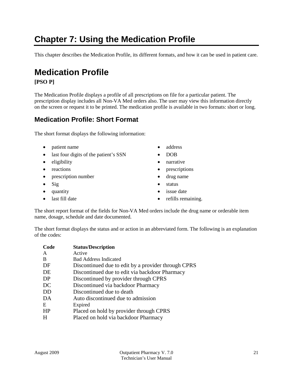## <span id="page-32-0"></span>**Chapter 7: Using the Medication Profile**

This chapter describes the Medication Profile, its different formats, and how it can be used in patient care.

### <span id="page-32-1"></span>**Medication Profile**

#### **[PSO P]**

The Medication Profile displays a profile of all prescriptions on file for a particular patient. The prescription display includes all Non-VA Med orders also. The user may view this information directly on the screen or request it to be printed. The medication profile is available in two formats: short or long.

#### <span id="page-32-2"></span>**Medication Profile: Short Format**

The short format displays the following information:

- patient name address
- last four digits of the patient's SSN DOB
- eligibility narrative
- 
- prescription number drug name
- 
- 
- 
- 
- 
- 
- reactions prescriptions
	-
- Sig status
- quantity issue date
- last fill date refills remaining.

The short report format of the fields for Non-VA Med orders include the drug name or orderable item name, dosage, schedule and date documented.

The short format displays the status and or action in an abbreviated form. The following is an explanation of the codes:

| Code | <b>Status/Description</b>                           |
|------|-----------------------------------------------------|
| A    | Active                                              |
| B    | <b>Bad Address Indicated</b>                        |
| DF   | Discontinued due to edit by a provider through CPRS |
| DE   | Discontinued due to edit via backdoor Pharmacy      |
| DP   | Discontinued by provider through CPRS               |
| DC   | Discontinued via backdoor Pharmacy                  |
| DD   | Discontinued due to death                           |
| DA   | Auto discontinued due to admission                  |
| E    | Expired                                             |
| HP   | Placed on hold by provider through CPRS             |
| H    | Placed on hold via backdoor Pharmacy                |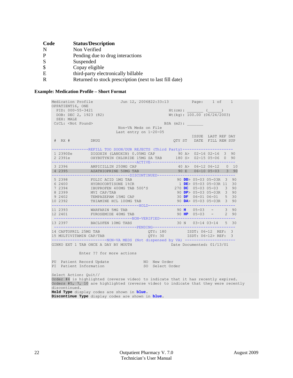| Code | <b>Status/Description</b>                               |
|------|---------------------------------------------------------|
| N    | Non Verified                                            |
|      | Pending due to drug interactions                        |
| -S   | Suspended                                               |
|      | Copay eligible                                          |
| E    | third-party electronically billable                     |
|      | Returned to stock prescription (next to last fill date) |

#### **Example: Medication Profile – Short Format**

<span id="page-33-0"></span>

| Medication Profile<br>OPPATIENT16, ONE                                                                                                                                                                                                                            | Jun 12, 2006@22:33:13 Page: 1 of 1                                                                                                                                                                           |                                |           |                                                        |  |  |  |
|-------------------------------------------------------------------------------------------------------------------------------------------------------------------------------------------------------------------------------------------------------------------|--------------------------------------------------------------------------------------------------------------------------------------------------------------------------------------------------------------|--------------------------------|-----------|--------------------------------------------------------|--|--|--|
| PID: 000-55-3421<br>DOB: DEC 2, 1923 (82)<br>SEX: MALE                                                                                                                                                                                                            |                                                                                                                                                                                                              |                                |           | $Ht$ (cm): ( )<br>$Wt$ (kg): 100.00 (06/24/2003)       |  |  |  |
| CrCL: <not found=""></not>                                                                                                                                                                                                                                        |                                                                                                                                                                                                              |                                | BSA (m2): |                                                        |  |  |  |
|                                                                                                                                                                                                                                                                   | Non-VA Meds on File<br>Last entry on 1-20-05                                                                                                                                                                 |                                |           |                                                        |  |  |  |
| # RX # DRUG                                                                                                                                                                                                                                                       |                                                                                                                                                                                                              |                                |           | ISSUE LAST REF DAY<br>QTY ST DATE FILL REM SUP         |  |  |  |
|                                                                                                                                                                                                                                                                   | --------REFILL TOO SOON/DUR REJECTS (Third Party)----------------------<br>1 2390\$e DIGOXIN (LANOXIN) 0.05MG CAP 90 A> 02-16 02-16 3 90                                                                     |                                |           |                                                        |  |  |  |
|                                                                                                                                                                                                                                                                   | 3 2396 AMPICILLIN 250MG CAP 40 A> 06-12 06-12 0 10<br>4 2395 AZATHIOPRINE 50MG TAB 90 E 06-10 05-03 3 90                                                                                                     |                                |           |                                                        |  |  |  |
| 5 2398<br>7 2394                                                                                                                                                                                                                                                  | FOLIC ACID 1MG TAB<br>6 2400 HYDROCORTISONE 1%CR<br>05-03R 3 90<br>HY UNCORTISONE 1%CR<br>IDE> 05-0305-03R 11 30<br>IBUPROFEN 400MG TAB 500'S<br>270 DC 05-0305-03390<br>MVICAP/TAB<br>200 PD: 05-0305-03390 |                                |           | 90 $DD$ > 05-03 05-03R 3 90                            |  |  |  |
| 8 2 3 9 9                                                                                                                                                                                                                                                         | 9 2402 TEMPAZEPAM 15MG CAP<br>10 2392 THIAMINE HCL 100MG TAB                                                                                                                                                 |                                |           | 30 DF $06-01$ $06-01$ 5 30<br>90 DA> 05-03 05-03R 3 90 |  |  |  |
|                                                                                                                                                                                                                                                                   | 11 2393 WARFARIN 5MG TAB<br>12 2401 FUROSEMIDE 40MG TAB<br>----------------------------------NON-VERIFIED----------------------------------                                                                  |                                |           | $90 \text{ H}$ $05-03$ - 3 90<br>90 HP $05-03$ - 2 90  |  |  |  |
|                                                                                                                                                                                                                                                                   | 13 2397 BACLOFEN 10MG TABS<br>----------------------------------PENDING-------------------                                                                                                                   |                                |           | 30 N 03-14 03-14 5 30                                  |  |  |  |
| 14 CAPTOPRIL 25MG TAB                                                                                                                                                                                                                                             | 15 MULTIVITAMIN CAP/TAB $\overline{Q}$ TY: 30 ISDT: 06-12> REF: 3<br>-----------------------NON-VA MEDS (Not dispensed by VA) ----------------------                                                         | QTY: 180    ISDT: 06-12 REF: 3 |           |                                                        |  |  |  |
|                                                                                                                                                                                                                                                                   | GINKO EXT 1 TAB ONCE A DAY BY MOUTH DATE Date Documented: 01/13/01                                                                                                                                           |                                |           |                                                        |  |  |  |
|                                                                                                                                                                                                                                                                   | Enter ?? for more actions                                                                                                                                                                                    |                                |           |                                                        |  |  |  |
| PI Patient Information                                                                                                                                                                                                                                            | PU Patient Record Update MO New Order                                                                                                                                                                        | SO Select Order                |           |                                                        |  |  |  |
| Select Action: Quit//<br>Order #4 is highlighted (reverse video) to indicate that it has recently expired.<br>Orders #5, 7, 10 are highlighted (reverse video) to indicate that they were recently<br>discontinued.<br>Hold Type display codes are shown in blue. |                                                                                                                                                                                                              |                                |           |                                                        |  |  |  |

**Discontinue Type** display codes are shown in **blue.**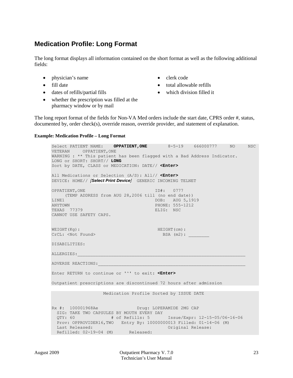#### <span id="page-34-1"></span>**Medication Profile: Long Format**

The long format displays all information contained on the short format as well as the following additional fields:

- physician's name clerk code
- 
- dates of refills/partial fills which division filled it
- whether the prescription was filled at the pharmacy window or by mail
- <span id="page-34-0"></span>
- fill date total allowable refills
	-

The long report format of the fields for Non-VA Med orders include the start date, CPRS order #, status, documented by, order check(s), override reason, override provider, and statement of explanation.

#### **Example: Medication Profile – Long Format**

Select PATIENT NAME: **OPPATIENT, ONE** 8-5-19 666000777 NO NSC VETERAN OPPATIENT,ONE WARNING : \*\* This patient has been flagged with a Bad Address Indicator. LONG or SHORT: SHORT// **LONG** Sort by DATE, CLASS or MEDICATION: DATE// **<Enter>** All Medications or Selection (A/S): All// **<Enter>** DEVICE: HOME// *[Select Print Device]* GENERIC INCOMING TELNET OPPATIENT, ONE ID#: 0777 (TEMP ADDRESS from AUG 28,2006 till (no end date)) LINE1 DOB: AUG 5,1919<br>
ANYTOWN DOB: AUG 5,1919 PHONE: 555-1212<br>ELIG: NSC TEXAS 77379 CANNOT USE SAFETY CAPS. WEIGHT(Kg):<br>CrCL: <Not Found> BSA (m2): CrCL: <Not Found> DISABILITIES: ALLERGIES:\_\_\_\_\_\_\_\_\_\_\_\_\_\_\_\_\_\_\_\_\_\_\_\_\_\_\_\_\_\_\_\_\_\_\_\_\_\_\_\_\_\_\_\_\_\_\_\_\_\_\_\_\_\_\_\_\_\_\_\_\_\_\_\_\_ ADVERSE REACTIONS: Enter RETURN to continue or '^' to exit: **<Enter>** Outpatient prescriptions are discontinued 72 hours after admission Medication Profile Sorted by ISSUE DATE Rx #: 100001968Ae Drug: LOPERAMIDE 2MG CAP SIG: TAKE TWO CAPSULES BY MOUTH EVERY DAY<br>QTY: 60 # of Refills: 5 QTY: 60 # of Refills: 5 Issue/Expr: 12-15-05/06-16-06 Prov: OPPROVIDER16,TWO Entry By: 10000000013 Filled: 01-14-06 (M)<br>Last Released: 01-14-06 (M) Original Release: Refilled: 02-19-04 (M) Released: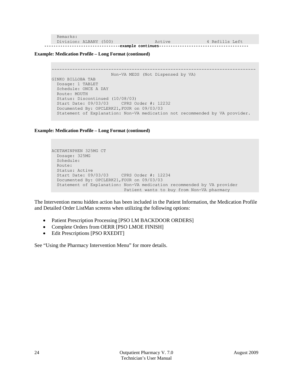|  | Division: ALBANY (500) |  |  |  |  | Refills Left |  |
|--|------------------------|--|--|--|--|--------------|--|
|  |                        |  |  |  |  |              |  |

**Example: Medication Profile – Long Format (continued)**

```
-------------------------------------------------------------------------------
                       Non-VA MEDS (Not Dispensed by VA)
GINKO BILLOBA TAB
  Dosage: 1 TABLET
  Schedule: ONCE A DAY
  Route: MOUTH 
  Status: Discontinued (10/08/03)
  Start Date: 09/03/03 CPRS Order #: 12232
   Documented By: OPCLERK21,FOUR on 09/03/03
   Statement of Explanation: Non-VA medication not recommended by VA provider.
```
#### **Example: Medication Profile – Long Format (continued)**

```
ACETAMINPHEN 325MG CT
  Dosage: 325MG 
  Schedule: 
  Route: 
  Status: Active
   Start Date: 09/03/03 CPRS Order #: 12234
   Documented By: OPCLERK21,FOUR on 09/03/03
   Statement of Explanation: Non-VA medication recommended by VA provider 
                             Patient wants to buy from Non-VA pharmacy
```
The Intervention menu hidden action has been included in the Patient Information, the Medication Profile and Detailed Order ListMan screens when utilizing the following options:

- Patient Prescription Processing [PSO LM BACKDOOR ORDERS]
- Complete Orders from OERR [PSO LMOE FINISH]
- Edit Prescriptions [PSO RXEDIT]

See "Using the Pharmacy Intervention Menu" for more details.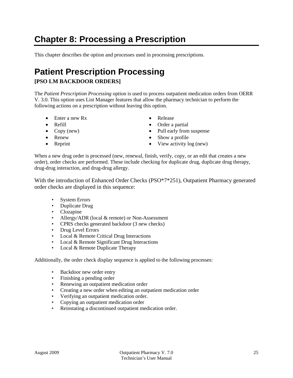## **Chapter 8: Processing a Prescription**

This chapter describes the option and processes used in processing prescriptions.

# **Patient Prescription Processing**

## **[PSO LM BACKDOOR ORDERS]**

The *Patient Prescription Processing* option is used to process outpatient medication orders from OERR V. 3.0. This option uses List Manager features that allow the pharmacy technician to perform the following actions on a prescription without leaving this option.

- Enter a new Rx Release
- 
- 
- 
- 
- 
- Refill Order a partial
- Copy (new) Pull early from suspense
- Renew Show a profile
- Reprint View activity log (new)

When a new drug order is processed (new, renewal, finish, verify, copy, or an edit that creates a new order), order checks are performed. These include checking for duplicate drug, duplicate drug therapy, drug-drug interaction, and drug-drug allergy.

With the introduction of Enhanced Order Checks (PSO\*7\*251), Outpatient Pharmacy generated order checks are displayed in this sequence:

- System Errors
- Duplicate Drug
- Clozapine
- Allergy/ADR (local & remote) or Non-Assessment
- CPRS checks generated backdoor (3 new checks)
- Drug Level Errors
- Local & Remote Critical Drug Interactions
- Local & Remote Significant Drug Interactions
- Local & Remote Duplicate Therapy

Additionally, the order check display sequence is applied to the following processes:

- Backdoor new order entry
- Finishing a pending order
- Renewing an outpatient medication order
- Creating a new order when editing an outpatient medication order
- Verifying an outpatient medication order.
- Copying an outpatient medication order
- Reinstating a discontinued outpatient medication order.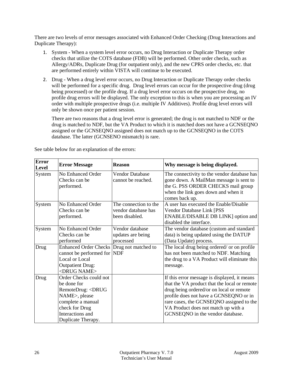There are two levels of error messages associated with Enhanced Order Checking (Drug Interactions and Duplicate Therapy):

- 1. System When a system level error occurs, no Drug Interaction or Duplicate Therapy order checks that utilize the COTS database (FDB) will be performed. Other order checks, such as Allergy/ADRs, Duplicate Drug (for outpatient only), and the new CPRS order checks, etc. that are performed entirely within VISTA will continue to be executed.
- 2. Drug When a drug level error occurs, no Drug Interaction or Duplicate Therapy order checks will be performed for a specific drug. Drug level errors can occur for the prospective drug (drug being processed) or the profile drug. If a drug level error occurs on the prospective drug, no profile drug errors will be displayed. The only exception to this is when you are processing an IV order with multiple prospective drugs (i.e. multiple IV Additives). Profile drug level errors will only be shown once per patient session.

There are two reasons that a drug level error is generated; the drug is not matched to NDF or the drug is matched to NDF, but the VA Product to which it is matched does not have a GCNSEQNO assigned or the GCNSEQNO assigned does not match up to the GCNSEQNO in the COTS database. The latter (GCNSENO mismatch) is rare.

| Error<br>Level | <b>Error Message</b>                                                                                                                                                          | <b>Reason</b>                                                  | Why message is being displayed.                                                                                                                                                                                                                                                                           |
|----------------|-------------------------------------------------------------------------------------------------------------------------------------------------------------------------------|----------------------------------------------------------------|-----------------------------------------------------------------------------------------------------------------------------------------------------------------------------------------------------------------------------------------------------------------------------------------------------------|
| System         | No Enhanced Order<br>Checks can be<br>performed.                                                                                                                              | Vendor Database<br>cannot be reached.                          | The connectivity to the vendor database has<br>gone down. A MailMan message is sent to<br>the G. PSS ORDER CHECKS mail group<br>when the link goes down and when it<br>comes back up.                                                                                                                     |
| System         | No Enhanced Order<br>Checks can be<br>performed.                                                                                                                              | The connection to the<br>vendor database has<br>been disabled. | A user has executed the Enable/Disable<br>Vendor Database Link [PSS<br>ENABLE/DISABLE DB LINK] option and<br>disabled the interface.                                                                                                                                                                      |
| System         | No Enhanced Order<br>Checks can be.<br>performed                                                                                                                              | Vendor database<br>updates are being<br>processed              | The vendor database (custom and standard<br>data) is being updated using the DATUP<br>(Data Update) process.                                                                                                                                                                                              |
| Drug           | Enhanced Order Checks   Drug not matched to<br>cannot be performed for NDF<br>Local or Local<br><b>Outpatient Drug:</b><br><drug name=""></drug>                              |                                                                | The local drug being ordered/ or on profile<br>has not been matched to NDF. Matching<br>the drug to a VA Product will eliminate this<br>message.                                                                                                                                                          |
| Drug           | Order Checks could not<br>be done for<br>RemoteDrug: <drug<br>NAME&gt;, please<br/>complete a manual<br/>check for Drug<br/>Interactions and<br/>Duplicate Therapy.</drug<br> |                                                                | If this error message is displayed, it means<br>that the VA product that the local or remote<br>drug being ordered/or on local or remote<br>profile does not have a GCNSEQNO or in<br>rare cases, the GCNSEQNO assigned to the<br>VA Product does not match up with a<br>GCNSEQNO in the vendor database. |

See table below for an explanation of the errors: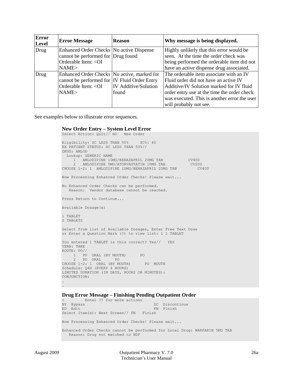| Error<br>Level | <b>Error Message</b>                          | <b>Reason</b>               | Why message is being displayed.              |
|----------------|-----------------------------------------------|-----------------------------|----------------------------------------------|
| Drug           | Enhanced Order Checks No active Dispense      |                             | Highly unlikely that this error would be     |
|                | cannot be performed for Drug found            |                             | seen. At the time the order check was        |
|                | Orderable Item: < OI                          |                             | being performed the orderable item did not   |
|                | NAME>                                         |                             | have an active dispense drug associated.     |
| Drug           | Enhanced Order Checks   No active, marked for |                             | The orderable item associate with an IV      |
|                | cannot be performed for IV Fluid Order Entry  |                             | Fluid order did not have an active IV        |
|                | Orderable Item: < OI                          | <b>IV</b> Additive/Solution | Additive/IV Solution marked for IV fluid     |
|                | NAME>                                         | found                       | order entry use at the time the order check  |
|                |                                               |                             | was executed. This is another error the user |
|                |                                               |                             | will probably not see.                       |

See examples below to illustrate error sequences.

#### **New Order Entry – System Level Error**

```
Select Action: Quit// NO New Order 
Eligibility: SC LESS THAN 50% SC%: 40
RX PATIENT STATUS: SC LESS THAN 50%// 
DRUG: AMLOD
  Lookup: GENERIC NAME
    1 AMLODIPINE 10MG/BENAZAPRIL 20MG TAB CV400 
 2 AMLODIPINE 5MG/ATORVASTATIN 10MG TAB CV200 
CHOOSE 1-2: 1 AMLODIPINE 10MG/BENAZAPRIL 20MG TAB CV400
Now Processing Enhanced Order Checks! Please wait...
No Enhanced Order Checks can be performed.
   Reason: Vendor database cannot be reached.
Press Return to Continue...
Available Dosage(s)
1 TABLET
2 TABLETS
Select from list of Available Dosages, Enter Free Text Dose
or Enter a Question Mark (?) to view list: 1 1 TABLET
You entered 1 TABLET is this correct? Yes// YES
VERB: TAKE
ROUTE: PO// 
 1 PO ORAL (BY MOUTH) PO
 2 PO ORAL PO
CHOOSE 1-2: 1 ORAL (BY MOUTH) PO MOUTH
Schedule: Q4H (EVERY 4 HOURS)
LIMITED DURATION (IN DAYS, HOURS OR MINUTES): 
CONJUNCTION: 
.
.
```
#### **Drug Error Message – Finishing Pending Outpatient Order**

+ Enter ?? for more actions BY Bypass DC Discontinue<br>
ED Edit Herbert Herbert EN Finish ED Edit FN Finish Select Item(s): Next Screen// FN Finish Now Processing Enhanced Order Checks! Please wait... Enhanced Order Checks cannot be performed for Local Drug: WARFARIN 5MG TAB Reason: Drug not matched to NDF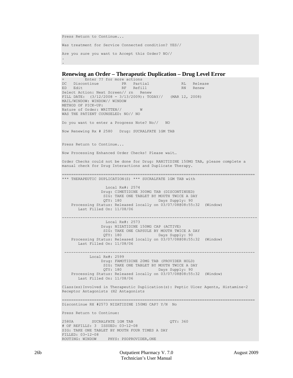```
Press Return to Continue...
Was treatment for Service Connected condition? YES//
Are you sure you want to Accept this Order? NO// 
.
.
```
#### **Renewing an Order – Therapeutic Duplication – Drug Level Error**

```
+ Enter ?? for more actions 
DC Discontinue PR Partial RL Release
ED Edit Renew RF Refill RN Renew RN Renew
Select Action: Next Screen// rn Renew 
FILL DATE: (3/12/2008 - 3/13/2009): TODAY// (MAR 12, 2008)
MAIL/WINDOW: WINDOW// WINDOW
METHOD OF PICK-UP: 
Nature of Order: WRITTEN// W
WAS THE PATIENT COUNSELED: NO// NO
Do you want to enter a Progress Note? No// NO
Now Renewing Rx # 2580 Drug: SUCRALFATE 1GM TAB
Press Return to Continue...
Now Processing Enhanced Order Checks! Please wait…
Order Checks could not be done for Drug: RANITIDINE 150MG TAB, please complete a 
manual check for Drug Interactions and Duplicate Therapy.
====================================================================================
*** THERAPEUTIC DUPLICATION(S) *** SUCRALFATE 1GM TAB with 
                   Local Rx#: 2574
                  Drug: CIMETIDINE 300MG TAB (DISCONTINUED)
                 SIG: TAKE ONE TABLET BY MOUTH TWICE A DAY<br>OTY: 180 Days Supply: 90
                  QTY: 180 Days Supply: 90 
 Processing Status: Released locally on 03/07/08@08:55:32 (Window) 
       Last Filled On: 11/08/06
                                       -------------------------------------------------------------------------------------
                   Local Rx#: 2573
                  Drug: NIZATIDINE 150MG CAP (ACTIVE)
                  SIG: TAKE ONE CAPSULE BY MOUTH TWICE A DAY 
                 QTY: 180 Days Supply: 90
     Processing Status: Released locally on 03/07/08@08:55:32 (Window) 
       Last Filled On: 11/08/06
 -----------------------------------------------------------------------------------
           Local Rx#: 2599
                 Drug: FAMOTIDINE 20MG TAB (PROVIDER HOLD)
                 SIG: TAKE ONE TABLET BY MOUTH TWICE A DAY<br>QTY: 180 Days Supply: 90
                                         Days Supply: 90
     Processing Status: Released locally on 03/07/08@08:55:32 (Window) 
        Last Filled On: 11/08/06
Class(es)Involved in Therapeutic Duplication(s): Peptic Ulcer Agents, Histamine-2 
Receptor Antagonists (H2 Antagonists
====================================================================================
Discontinue RX #2573 NIZATIDINE 150MG CAP? Y/N No
Press Return to Continue: 
2580A SUCRALFATE 1GM TAB QTY: 360
# OF REFILLS: 3 ISSUED: 03-12-08
SIG: TAKE ONE TABLET BY MOUTH FOUR TIMES A DAY
FILLED: 03-12-08
```
ROUTING: WINDOW PHYS: PSOPROVIDER, ONE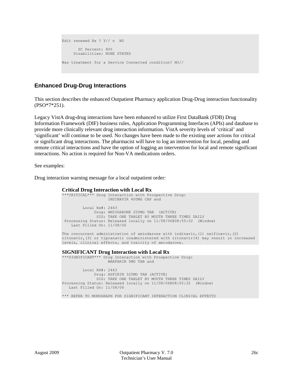```
Edit renewed Rx ? Y// n NO
       SC Percent: 80%
      Disabilities: NONE STATED
Was treatment for a Service Connected condition? NO//
```
## **Enhanced Drug-Drug Interactions**

This section describes the enhanced Outpatient Pharmacy application Drug-Drug interaction functionality (PSO\*7\*251).

Legacy VistA drug-drug interactions have been enhanced to utilize First DataBank (FDB) Drug Information Framework (DIF) business rules, Application Programming Interfaces (APIs) and database to provide more clinically relevant drug interaction information. VistA severity levels of 'critical' and 'significant' will continue to be used. No changes have been made to the existing user actions for critical or significant drug interactions. The pharmacist will have to log an intervention for local, pending and remote critical interactions and have the option of logging an intervention for local and remote significant interactions. No action is required for Non-VA medications orders.

See examples:

Drug interaction warning message for a local outpatient order:

**Critical Drug Interaction with Local Rx** \*\*\*CRITICAL\*\*\* Drug Interaction with Prospective Drug: INDINAVIR 400MG CAP and Local Rx#: 2443 Drug: AMIODARONE 200MG TAB (ACTIVE) SIG: TAKE ONE TABLET BY MOUTH THREE TIMES DAILY Processing Status: Released locally on 11/08/06@08:55:32 (Window) Last Filled On: 11/08/06 The concurrent administration of amiodarone with indinavir, (1) nelfinavir, (2)

ritonavir,(3) or tipranavir coadministered with ritonavir(4) may result in increased levels, clinical effects, and toxicity of amiodarone.

#### **SIGNIFICANT Drug Interaction with Local Rx**

\*\*\*SIGNIFICANT\*\*\* Drug Interaction with Prospective Drug: WARFARIN 5MG TAB and Local RX#: 2443 Drug: ASPIRIN 325MG TAB (ACTIVE) SIG: TAKE ONE TABLET BY MOUTH THREE TIMES DAILY Processing Status: Released locally on 11/08/06@08:55:32 (Window) Last Filled On: 11/08/06

\*\*\* REFER TO MONOGRAPH FOR SIGNIFICANT INTERACTION CLINICAL EFFECTS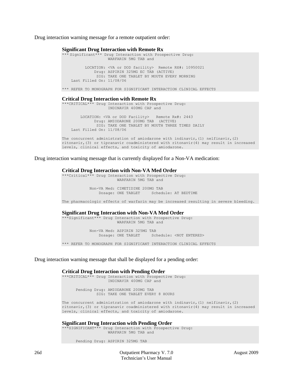Drug interaction warning message for a remote outpatient order:

#### **Significant Drug Interaction with Remote Rx** \* Significant\*\*\* Drug Interaction with Prospective Drug: WARFARIN 5MG TAB and LOCATION: <VA or DOD facility> Remote RX#: 10950021 Drug: ASPIRIN 325MG EC TAB (ACTIVE) SIG: TAKE ONE TABLET BY MOUTH EVERY MORNING Last Filled On: 11/08/06 \*\*\* REFER TO MONOGRAPH FOR SIGNIFICANT INTERACTION CLINICAL EFFECTS **Critical Drug Interaction with Remote Rx** \*\*\*CRITICAL\*\*\* Drug Interaction with Prospective Drug: INDINAVIR 400MG CAP and

 LOCATION: <VA or DOD Facility> Remote Rx#: 2443 Drug: AMIODARONE 200MG TAB (ACTIVE) SIG: TAKE ONE TABLET BY MOUTH THREE TIMES DAILY Last Filled On: 11/08/06

The concurrent administration of amiodarone with indinavir, (1) nelfinavir, (2) ritonavir,(3) or tipranavir coadministered with ritonavir(4) may result in increased levels, clinical effects, and toxicity of amiodarone.

Drug interaction warning message that is currently displayed for a Non-VA medication:

**Critical Drug Interaction with Non-VA Med Order** \*\*\*Critical\*\*\* Drug Interaction with Prospective Drug: WARFARIN 5MG TAB and Non-VA Med: CIMETIDINE 200MG TAB Schedule: AT BEDTIME

The pharmacologic effects of warfarin may be increased resulting in severe bleeding.

#### **Significant Drug Interaction with Non-VA Med Order**

\*Significant\*\*\* Drug Interaction with Prospective Drug: WARFARIN 5MG TAB and

> Non-VA Med: ASPIRIN 325MG TAB Schedule: <NOT ENTERED>

\*\*\* REFER TO MONOGRAPH FOR SIGNIFICANT INTERACTION CLINICAL EFFECTS

Drug interaction warning message that shall be displayed for a pending order:

#### **Critical Drug Interaction with Pending Order**

\*\*\*CRITICAL\*\*\* Drug Interaction with Prospective Drug: INDINAVIR 400MG CAP and

> Pending Drug: AMIODARONE 200MG TAB SIG: TAKE ONE TABLET EVERY 8 HOURS

The concurrent administration of amiodarone with indinavir, (1) nelfinavir, (2) ritonavir,(3) or tipranavir coadministered with ritonavir(4) may result in increased levels, clinical effects, and toxicity of amiodarone.

**Significant Drug Interaction with Pending Order**

\*\*\*SIGNIFICANT\*\*\* Drug Interaction with Prospective Drug: WARFARIN 5MG TAB and

Pending Drug: ASPIRIN 325MG TAB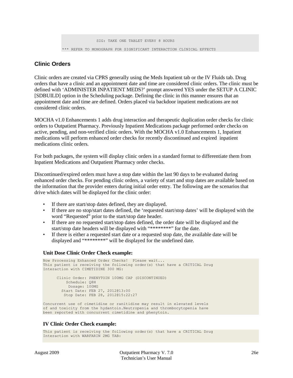SIG: TAKE ONE TABLET EVERY 8 HOURS \*\*\* REFER TO MONOGRAPH FOR SIGNIFICANT INTERACTION CLINICAL EFFECTS

## **Clinic Orders**

Clinic orders are created via CPRS generally using the Meds Inpatient tab or the IV Fluids tab. Drug orders that have a clinic and an appointment date and time are considered clinic orders. The clinic must be defined with 'ADMINISTER INPATIENT MEDS?' prompt answered YES under the SETUP A CLINIC [SDBUILD] option in the Scheduling package. Defining the clinic in this manner ensures that an appointment date and time are defined. Orders placed via backdoor inpatient medications are not considered clinic orders.

MOCHA v1.0 Enhancements 1 adds drug interaction and therapeutic duplication order checks for clinic orders to Outpatient Pharmacy. Previously Inpatient Medications package performed order checks on active, pending, and non-verified clinic orders. With the MOCHA v1.0 Enhancements 1, Inpatient medications will perform enhanced order checks for recently discontinued and expired inpatient medications clinic orders.

For both packages, the system will display clinic orders in a standard format to differentiate them from Inpatient Medications and Outpatient Pharmacy order checks.

Discontinued/expired orders must have a stop date within the last 90 days to be evaluated during enhanced order checks. For pending clinic orders, a variety of start and stop dates are available based on the information that the provider enters during initial order entry. The following are the scenarios that drive which dates will be displayed for the clinic order:

If there are start/stop dates defined, they are displayed.

been reported with concurrent cimetidine and phenytoin.

- If there are no stop/start dates defined, the 'requested start/stop dates' will be displayed with the word "Requested" prior to the start/stop date header.
- If there are no requested start/stop dates defined, the order date will be displayed and the start/stop date headers will be displayed with "\*\*\*\*\*\*\*\*" for the date.
- If there is either a requested start date or a requested stop date, the available date will be displayed and "\*\*\*\*\*\*\*\*" will be displayed for the undefined date.

#### **Unit Dose Clinic Order Check example:**

```
Now Processing Enhanced Order Checks! Please wait...
This patient is receiving the following order(s) that have a CRITICAL Drug
Interaction with CIMETIDINE 300 MG:
     Clinic Order: PHENYTOIN 100MG CAP (DISCONTINUED)
        Schedule: Q8H
          Dosage: 100MG
        Start Date: FEB 27, 2012@13:00
         Stop Date: FEB 28, 2012@15:22:27
Concurrent use of cimetidine or ranitidine may result in elevated levels
of and toxicity from the hydantoin.Neutropenia and thrombocytopenia have
```
#### **IV Clinic Order Check example:**

```
This patient is receiving the following order(s) that have a CRITICAL Drug
Interaction with WARFARIN 2MG TAB:
```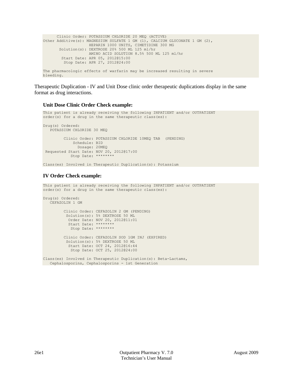```
Clinic Order: POTASSIUM CHLORIDE 20 MEQ (ACTIVE)
Other Additive(s): MAGNESIUM SULFATE 1 GM (1), CALCIUM GLUCONATE 1 GM (2),
                   HEPARIN 1000 UNITS, CIMETIDINE 300 MG 
      Solution(s): DEXTROSE 20% 500 ML 125 ml/hr
                   AMINO ACID SOLUTION 8.5% 500 ML 125 ml/hr
        Start Date: APR 05, 2012@15:00
         Stop Date: APR 27, 2012@24:00
The pharmacologic effects of warfarin may be increased resulting in severe
bleeding.
```
Therapeutic Duplication - IV and Unit Dose clinic order therapeutic duplications display in the same format as drug interactions.

#### **Unit Dose Clinic Order Check example:**

```
This patient is already receiving the following INPATIENT and/or OUTPATIENT
order(s) for a drug in the same therapeutic class(es): 
Drug(s) Ordered:
    POTASSIUM CHLORIDE 30 MEQ
          Clinic Order: POTASSIUM CHLORIDE 10MEQ TAB (PENDING)
              Schedule: BID
               Dosage: 20MEQ
 Requested Start Date: NOV 20, 2012@17:00
             Stop Date: ********
```
Class(es) Involved in Therapeutic Duplication(s): Potassium

### **IV Order Check example:**

```
This patient is already receiving the following INPATIENT and/or OUTPATIENT
order(s) for a drug in the same therapeutic class(es): 
Drug(s) Ordered:
    CEFAZOLIN 1 GM
          Clinic Order: CEFAZOLIN 2 GM (PENDING)
           Solution(s): 5% DEXTROSE 50 ML 
            Order Date: NOV 20, 2012@11:01
            Start Date: ********
             Stop Date: ********
          Clinic Order: CEFAZOLIN SOD 1GM INJ (EXPIRED)
           Solution(s): 5% DEXTROSE 50 ML
            Start Date: OCT 24, 2012@16:44
             Stop Date: OCT 25, 2012@24:00
Class(es) Involved in Therapeutic Duplication(s): Beta-Lactams,
 Cephalosporins, Cephalosporins - 1st Generation
```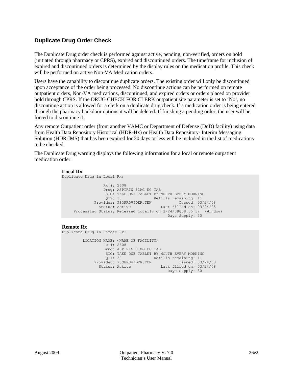## **Duplicate Drug Order Check**

The Duplicate Drug order check is performed against active, pending, non-verified, orders on hold (initiated through pharmacy or CPRS), expired and discontinued orders. The timeframe for inclusion of expired and discontinued orders is determined by the display rules on the medication profile. This check will be performed on active Non-VA Medication orders.

Users have the capability to discontinue duplicate orders. The existing order will only be discontinued upon acceptance of the order being processed. No discontinue actions can be performed on remote outpatient orders, Non-VA medications, discontinued, and expired orders or orders placed on provider hold through CPRS. If the DRUG CHECK FOR CLERK outpatient site parameter is set to 'No', no discontinue action is allowed for a clerk on a duplicate drug check. If a medication order is being entered through the pharmacy backdoor options it will be deleted. If finishing a pending order, the user will be forced to discontinue it.

Any remote Outpatient order (from another VAMC or Department of Defense (DoD) facility) using data from Health Data Repository Historical (HDR-Hx) or Health Data Repository- Interim Messaging Solution (HDR-IMS) that has been expired for 30 days or less will be included in the list of medications to be checked.

The Duplicate Drug warning displays the following information for a local or remote outpatient medication order:

```
Local Rx
```

```
Duplicate Drug in Local Rx: 
                      Rx #: 2608
                     Drug: ASPIRIN 81MG EC TAB
                      SIG: TAKE ONE TABLET BY MOUTH EVERY MORNING<br>OTY: 30 Refills remaining: 11
                                    Refills remaining: 11<br>
OVIDER, TEN Tssued: 03/24/08
                 Provider: PSOPROVIDER, TEN<br>Status: Active
                                                   Last filled on: 03/24/08
       Processing Status: Released locally on 3/24/08@08:55:32 (Window)
                                                       Days Supply: 30
```
#### **Remote Rx**

Duplicate Drug in Remote Rx:

 LOCATION NAME: <NAME OF FACILITY> Rx #: 2608 Drug: ASPIRIN 81MG EC TAB SIG: TAKE ONE TABLET BY MOUTH EVERY MORNING<br>QTY: 30 Refills remaining: 11 Refills remaining: 11<br>N Issued: 03/24/08 Provider: PSOPROVIDER,TEN Issued: 03/24/08<br>Status: Active Last filled on: 03/24/08 Status: Active Days Supply: 30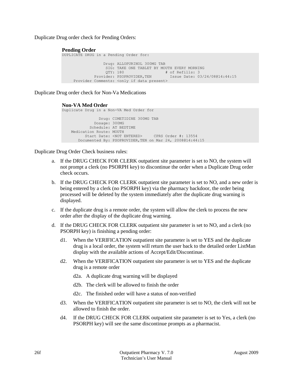Duplicate Drug order check for Pending Orders:

### **Pending Order**

```
DUPLICATE DRUG in a Pending Order for: 
                Drug: ALLOPURINOL 300MG TAB
                 SIG: TAKE ONE TABLET BY MOUTH EVERY MORNING 
 QTY: 180 \qquad # of Refills: 3
 Provider: PSOPROVIDER,TEN Issue Date: 03/24/08@14:44:15
     Provider Comments: <only if data present>
```
Duplicate Drug order check for Non-Va Medications

#### **Non-VA Med Order**

```
Duplicate Drug in a Non-VA Med Order for
                 Drug: CIMETIDINE 300MG TAB
              Dosage: 300MG
             Schedule: AT BEDTIME 
    Medication Route: MOUTH
          Start Date: <NOT ENTERED> CPRS Order #: 13554
        Documented By: PSOPROVIDER,TEN on Mar 24, 2008@14:44:15
```
Duplicate Drug Order Check business rules:

- a. If the DRUG CHECK FOR CLERK outpatient site parameter is set to NO, the system will not prompt a clerk (no PSORPH key) to discontinue the order when a Duplicate Drug order check occurs.
- b. If the DRUG CHECK FOR CLERK outpatient site parameter is set to NO, and a new order is being entered by a clerk (no PSORPH key) via the pharmacy backdoor, the order being processed will be deleted by the system immediately after the duplicate drug warning is displayed.
- c. If the duplicate drug is a remote order, the system will allow the clerk to process the new order after the display of the duplicate drug warning.
- d. If the DRUG CHECK FOR CLERK outpatient site parameter is set to NO, and a clerk (no PSORPH key) is finishing a pending order:
	- d1. When the VERIFICATION outpatient site parameter is set to YES and the duplicate drug is a local order, the system will return the user back to the detailed order ListMan display with the available actions of Accept/Edit/Discontinue.
	- d2. When the VERIFICATION outpatient site parameter is set to YES and the duplicate drug is a remote order
		- d2a. A duplicate drug warning will be displayed
		- d2b. The clerk will be allowed to finish the order
		- d2c. The finished order will have a status of non-verified
	- d3. When the VERIFICATION outpatient site parameter is set to NO, the clerk will not be allowed to finish the order.
	- d4. If the DRUG CHECK FOR CLERK outpatient site parameter is set to Yes, a clerk (no PSORPH key) will see the same discontinue prompts as a pharmacist.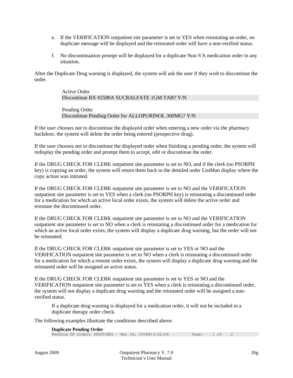- e. If the VERIFICATION outpatient site parameter is set to YES when reinstating an order, no duplicate message will be displayed and the reinstated order will have a non-verified status.
- f. No discontinuation prompt will be displayed for a duplicate Non-VA medication order in any situation.

After the Duplicate Drug warning is displayed, the system will ask the user if they wish to discontinue the order.

> Active Order Discontinue RX #2580A SUCRALFATE 1GM TAB? Y/N Pending Order Discontinue Pending Order for ALLOPURINOL 300MG? Y/N

If the user chooses not to discontinue the displayed order when entering a new order via the pharmacy backdoor, the system will delete the order being entered (prospective drug).

If the user chooses not to discontinue the displayed order when finishing a pending order, the system will redisplay the pending order and prompt them to accept, edit or discontinue the order.

If the DRUG CHECK FOR CLERK outpatient site parameter is set to NO, and if the clerk (no PSORPH key) is copying an order, the system will return them back to the detailed order ListMan display where the copy action was initiated.

If the DRUG CHECK FOR CLERK outpatient site parameter is set to NO and the VERIFICATION outpatient site parameter is set to YES when a clerk (no PSORPH key) is reinstating a discontinued order for a medication for which an active local order exists, the system will delete the active order and reinstate the discontinued order.

If the DRUG CHECK FOR CLERK outpatient site parameter is set to NO and the VERIFICATION outpatient site parameter is set to NO when a clerk is reinstating a discontinued order for a medication for which an active local order exists, the system will display a duplicate drug warning, but the order will not be reinstated.

If the DRUG CHECK FOR CLERK outpatient site parameter is set to YES or NO and the VERIFICATION outpatient site parameter is set to NO when a clerk is reinstating a discontinued order for a medication for which a remote order exists, the system will display a duplicate drug warning and the reinstated order will be assigned an active status.

If the DRUG CHECK FOR CLERK outpatient site parameter is set to YES or NO and the VERIFICATION outpatient site parameter is set to YES when a clerk is reinstating a discontinued order, the system will not display a duplicate drug warning and the reinstated order will be assigned a nonverified status.

If a duplicate drug warning is displayed for a medication order, it will not be included in a duplicate therapy order check.

The following examples illustrate the conditions described above.

#### **Duplicate Pending Order**

| $=$ whereas $=$ examples $=$ |  |  |                                                   |              |  |  |
|------------------------------|--|--|---------------------------------------------------|--------------|--|--|
|                              |  |  | Pending OP Orders (ROUTINE) Mar 24, 2008@13:52:04 | Page: 1 of 2 |  |  |
|                              |  |  |                                                   |              |  |  |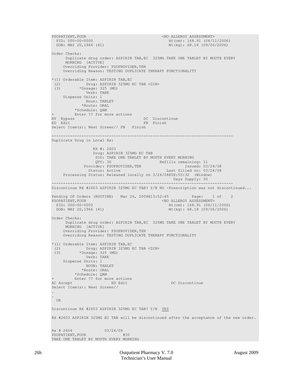```
PSOPATIENT, FOUR \leq NQ ALLERGY ASSESSMENT><br>PID: 000-00-0000 Ht (cm): 168.91 (04/1
  PID: 000-00-0000 Ht(cm): 168.91 (04/11/2006)<br>
DOB: MAY 20,1966 (41) Wt(kg): 68.18 (09/06/2006)
                                                  Wt(kq): 68.18 (09/06/2006)Order Checks: 
       Duplicate drug order: ASPIRIN TAB,EC 325MG TAKE ONE TABLET BY MOUTH EVERY
      MORNING [ACTIVE] 
     Overriding Provider: PSOPROVIDER, TEN
     Overriding Reason: TESTING DUPLICATE THERAPY FUNCTIONALITY 
*(1) Orderable Item: ASPIRIN TAB,EC 
 (2) Drug: ASPIRIN 325MG EC TAB <DIN><br>
\starDosage: 325 (MG)
            (3) *Dosage: 325 (MG) 
               Verb: TAKE 
     Dispense Units: 1 
               Noun: TABLET 
             *Route: ORAL 
          *Schedule: QAM 
+ Enter ?? for more actions 
BY Bypass DC Discontinue
ED Edit FN Finish
Select Item(s): Next Screen// FN Finish
                           -------------------------------------------------------------------------------
Duplicate Drug in Local Rx: 
                   RX #: 2603
                  Drug: ASPIRIN 325MG EC TAB
                  SIG: TAKE ONE TABLET BY MOUTH EVERY MORNING<br>QTY: 30 Refills remainir
                   QTY: 30 Refills remaining: 11
Provider: PSOPROVIDER, TEN Issued: 03/24/08
 Status: Active Last filled on: 03/24/08
      Processing Status: Released locally on 3/24/08@08:55:32 (Window)
        Days Supply: 30
-------------------------------------------------------------------------------
Discontinue RX #2603 ASPIRIN 325MG EC TAB? Y/N NO -Prescription was not discontinued...
Pending OP Orders (ROUTINE) Mar 24, 2008@13:52:45 Page: 1 of PSOPATIENT. FOUR
  PSOPATIENT, FOUR SOPATIENT, FOUR SOPATIENT, FOUR SOPATIENT, FOUR SOPATIENT, SOURCE ASSESSMENT SOFT A SAME SOFT A
  PID: 000-00-0000 Ht(cm): 168.91 (04/11/2006)<br>
DOB: MAY 20,1966 (41) Wt(kg): 68.18 (09/06/2006)
                                                  Wt(kq): 68.18 (09/06/2006)Order Checks: 
      Duplicate drug order: ASPIRIN TAB,EC 325MG TAKE ONE TABLET BY MOUTH EVERY
      MORNING [ACTIVE] 
     Overriding Provider: PSOPROVIDER, TEN
      Overriding Reason: TESTING DUPLICATE THERAPY FUNCTIONALITY 
*(1) Orderable Item: ASPIRIN TAB,EC 
 (2) Drug: ASPIRIN 325MG EC TAB <DIN><br>
\starDosage: 325 (MG)
            *Dosage: 325 (MG)
               Verb: TAKE 
     Dispense Units: 1 
               NOUN: TABLET 
             *Route: ORAL 
           *Schedule: QAM 
+ Enter ?? for more actions 
                                         DC Discontinue
Select Item(s): Next Screen//
.
.
  OR
Discontinue RX #2603 ASPIRIN 325MG EC TAB? Y/N YES
RX #2603 ASPIRIN 325MG EC TAB will be discontinued after the acceptance of the new order.
Rx # 2604 03/24/08
PSOPATIENT, FOUR #30
TAKE ONE TABLET BY MOUTH EVERY MORNING
```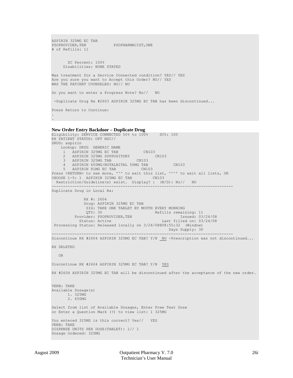```
ASPIRIN 325MG EC TAB
                        PSOPHARMACIST, ONE
# of Refills: 11
       SC Percent: 100%
      Disabilities: NONE STATED
Was treatment for a Service Connected condition? YES// YES
Are you sure you want to Accept this Order? NO// YES
WAS THE PATIENT COUNSELED: NO// NO
Do you want to enter a Progress Note? No// NO
 -Duplicate Drug Rx #2603 ASPIRIN 325MG EC TAB has been discontinued...
Press Return to Continue:
.
.
```
#### **New Order Entry Backdoor – Duplicate Drug**

```
Eligibility: SERVICE CONNECTED 50% to 100% SC%: 100
RX PATIENT STATUS: OPT NSC// 
DRUG: aspirin
    Lookup: DRUG GENERIC NAME
1 ASPIRIN 325MG EC TAB CN103
 2 ASPIRIN 325MG SUPPOSITORY CN103 
 3 ASPIRIN 325MG TAB CN103 
     4 ASPIRIN 650MG/BUTALBITAL 50MG TAB CN103 
5 ASPIRIN 81MG EC TAB CN103
Press <RETURN> to see more, '^' to exit this list, '^^' to exit all lists, OR
CHOOSE 1-5: 1 ASPIRIN 325MG EC TAB CN103 
  Restriction/Guideline(s) exist. Display? : (N/D): No// NO
-------------------------------------------------------------------------------
Duplicate Drug in Local Rx:
              RX #: 2604
              Drug: ASPIRIN 325MG EC TAB
             SIG: TAKE ONE TABLET BY MOUTH EVERY MORNING<br>OTY: 30
                                   Refills remaining: 11<br>Issued: 03/24/08
         Provider: PSOPROVIDER, TEN<br>Status: Active
                                             Last filled on: 03/24/08
 Processing Status: Released locally on 3/24/08@08:55:32 (Window)
  Days Supply: 30 
-------------------------------------------------------------------------------
Discontinue RX #2604 ASPIRIN 325MG EC TAB? Y/N <u>_NO</u> -Prescription was not discontinued...
RX DELETED
   OR
Discontinue RX #2604 ASPIRIN 325MG EC TAB? Y/N YES
RX #2604 ASPIRIN 325MG EC TAB will be discontinued after the acceptance of the new order.
VERB: TAKE
Available Dosage(s)
       1. 325MG
       2. 650MG
Select from list of Available Dosages, Enter Free Text Dose
or Enter a Question Mark (?) to view list: 1 325MG
You entered 325MG is this correct? Yes// YES
VERB: TAKE
DISPENSE UNITS PER DOSE(TABLET): 1// 1
Dosage Ordered: 325MG
```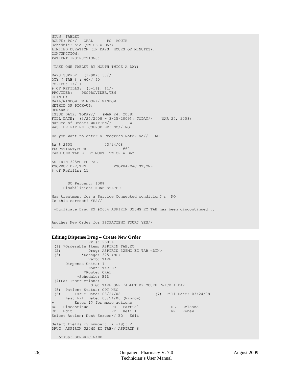NOUN: TABLET ROUTE: PO// ORAL PO MOUTH Schedule: bid (TWICE A DAY) LIMITED DURATION (IN DAYS, HOURS OR MINUTES): CONJUNCTION: PATIENT INSTRUCTIONS: (TAKE ONE TABLET BY MOUTH TWICE A DAY) DAYS SUPPLY: (1-90): 30// QTY ( TAB ) : 60// 60 COPIES: 1// 1 # OF REFILLS: (0-11): 11// PROVIDER: PSOPROVIDER, TEN CLINIC: MAIL/WINDOW: WINDOW// WINDOW METHOD OF PICK-UP: REMARKS: ISSUE DATE: TODAY// (MAR 24, 2008) FILL DATE: (3/24/2008 - 3/25/2009): TODAY// (MAR 24, 2008) Nature of Order: WRITTEN// W WAS THE PATIENT COUNSELED: NO// NO Do you want to enter a Progress Note? No// NO Rx # 2605 03/24/08<br>PSOPATIENT, FOUR #60 PSOPATIENT, FOUR #60 TAKE ONE TABLET BY MOUTH TWICE A DAY ASPIRIN 325MG EC TAB<br>PSOPROVIDER, TEN PSOPHARMACIST, ONE # of Refills: 11 SC Percent: 100% Disabilities: NONE STATED Was treatment for a Service Connected condition? n NO Is this correct? YES// -Duplicate Drug RX #2604 ASPIRIN 325MG EC TAB has been discontinued... Another New Order for PSOPATIENT,FOUR? YES// .

#### **Editing Dispense Drug – Create New Order**

```
 Rx #: 2605A 
 (1) *Orderable Item: ASPIRIN TAB, EC<br>(2) Drug: ASPIRIN 325MG
 (2) Drug: ASPIRIN 325MG EC TAB <DIN><br>
\starDosage: 325 (MG)
              (3) *Dosage: 325 (MG) 
                  Verb: TAKE 
       Dispense Units: 1 
                  Noun: TABLET 
                 *Route: ORAL 
             *Schedule: BID 
 (4)Pat Instructions: 
                   SIG: TAKE ONE TABLET BY MOUTH TWICE A DAY 
 (5) Patient Status: OPT NSC 
                                                  (6) Issue Date: 03/24/08 (7) Fill Date: 03/24/08 
      Last Fill Date: 03/24/08 (Window) 
          Enter ?? for more actions
DC Discontinue PR Partial RL Release<br>
RL Rdit RF Refill RN Renew
                            RF Refill
Select Action: Next Screen// ED Edit 
Select fields by number: (1-19): 2
DRUG: ASPIRIN 325MG EC TAB// ASPIRIN 8
 Lookup: GENERIC NAME
```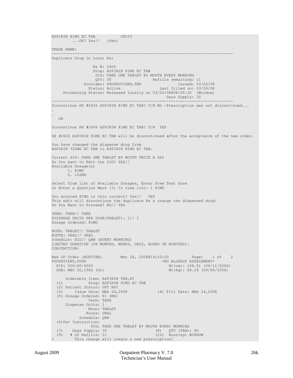ASPIRIN 81MG EC TAB CN103 ...OK? Yes// (Yes) TRADE NAME: ------------------------------------------------------------------------------- Duplicate Drug in Local Rx: Rx #: 2606 Drug: ASPIRIN 81MG EC TAB SIG: TAKE ONE TABLET BY MOUTH EVERY MORNING<br>QTY: 30 Refills remaining: QTY: 30 Refills remaining: 11<br>Provider: PSOPROVIDER, TEN Issued: 03/24/08 Provider: PSOPROVIDER,TEN Issued: 03/24/08 Status: Active Last filled on: 03/24/08 Processing Status: Released locally on 03/24/08@08:55:32 (Window) Days Supply: 30 ------------------------------------------------------------------------------- Discontinue RX #2606 ASPIRIN 81MG EC TAB? Y/N NO -Prescription was not discontinued... . . OR Discontinue RX #2606 ASPIRIN 81MG EC TAB? Y/N YES RX #2606 ASPIRIN 81MG EC TAB will be discontinued after the acceptance of the new order. You have changed the dispense drug from ASPIRIN 325MG EC TAB to ASPIRIN 81MG EC TAB. Current SIG: TAKE ONE TABLET BY MOUTH TWICE A DAY Do You want to Edit the SIG? YES// Available Dosage(s) 1. 81MG 2. 162MG Select from list of Available Dosages, Enter Free Text Dose or Enter a Question Mark (?) to view list: 1 81MG You entered 81MG is this correct? Yes// YES This edit will discontinue the duplicate Rx & change the dispensed drug! Do You Want to Proceed? NO// YES VERB: TAKE// TAKE DISPENSE UNITS PER DOSE(TABLET): 1// 1 Dosage Ordered: 81MG NOUN: TABLET// TABLET ROUTE: ORAL// ORAL Schedule: BID// QAM (EVERY MORNING) LIMITED DURATION (IN MONTHS, WEEKS, DAYS, HOURS OR MINUTES): CONJUNCTION: New OP Order (ROUTINE) Mar 24, 2008@14:10:20 Page: 1 of 2<br>PSOPATIENT, FOUR CORPETENT CNO ALLERGY ASSESSMENT> PSOPATIENT, FOUR SOPATIENT, FOUR SOPATIENT, FOUR SOPATIENT, FOUR SOPATIENT, FOUR SOPATIENT SUBSESS AND ALLERGY ASSESSMENT SOFTING A SAMPLE SOFTING A SAMPLE SOFTING A SAMPLE SOFTING AND THE CONTROL OF SAMPLE SOFTING AND A S PID: 000-00-0000 Ht(cm): 168.91 (04/11/2006)<br>
DOB: MAY 20,1966 (41) Wt(kg): 68.18 (09/06/2006)  $Wt(kg): 68.18 (09/06/2006)$ Orderable Item: ASPIRIN TAB, EC<br>(1) Drug: ASPIRIN 81MG EQ (1) Drug: ASPIRIN 81MG EC TAB (2) Patient Status: OPT NSC (3) Issue Date: MAR 24,2008 (4) Fill Date: MAR 24,2008 (5) Dosage Ordered: 81 (MG) Verb: TAKE Dispense Units: 1 Noun: TABLET Route: ORAL Schedule: QAM (6)Pat Instruction: SIG: TAKE ONE TABLET BY MOUTH EVERY MORNING<br>(7) Days Supply: 30 (8) OTY (TAB): (7) Days Supply: 30 (8) QTY (TAB): 60 (9) # of Refills: 11 (10) Routing: WINDOW This change will create a new prescription!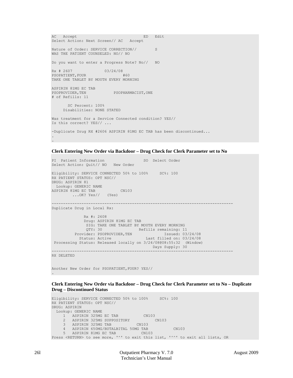```
AC Accept ED Edit
Select Action: Next Screen// AC Accept 
Nature of Order: SERVICE CORRECTION// S
WAS THE PATIENT COUNSELED: NO// NO
Do you want to enter a Progress Note? No// NO
Rx # 2607 03/24/08
PSOPATIENT, FOUR #60
TAKE ONE TABLET BY MOUTH EVERY MORNING
ASPIRIN 81MG EC TAB
PSOPROVIDER, TEN PSOPHARMACIST, ONE
# of Refills: 11
       SC Percent: 100%
     Disabilities: NONE STATED
Was treatment for a Service Connected condition? YES// 
Is this correct? YES// ...
-Duplicate Drug RX #2606 ASPIRIN 81MG EC TAB has been discontinued...
.
.
```
**Clerk Entering New Order via Backdoor – Drug Check for Clerk Parameter set to No**

```
PI Patient Information SO Select Order
Select Action: Quit// NO New Order
Eligibility: SERVICE CONNECTED 50% to 100% SC%: 100
RX PATIENT STATUS: OPT NSC// 
DRUG: ASPIRIN 81
  Lookup: GENERIC NAME
ASPIRIN 81MG EC TAB CN103
        ...OK? Yes// (Yes)
  -------------------------------------------------------------------------------
Duplicate Drug in Local Rx:
             Rx #: 2608
             Drug: ASPIRIN 81MG EC TAB 
             SIG: TAKE ONE TABLET BY MOUTH EVERY MORNING
QTY: 30 Refills remaining: 11
Provider: PSOPROVIDER, TEN Issued: 03/24/08
 Status: Active Last filled on: 03/24/08
 Processing Status: Released locally on 3/24/08@08:55:32 (Window) 
                                      Days Supply: 30 
       -------------------------------------------------------------------------------
RX DELETED
Another New Order for PSOPATIENT,FOUR? YES//
```
#### **Clerk Entering New Order via Backdoor – Drug Check for Clerk Parameter set to No – Duplicate Drug – Discontinued Status**

```
Eligibility: SERVICE CONNECTED 50% to 100% SC%: 100
RX PATIENT STATUS: OPT NSC// 
DRUG: ASPIRIN
  Lookup: GENERIC NAME
1 ASPIRIN 325MG EC TAB CN103
 2 ASPIRIN 325MG SUPPOSITORY CN103 
 3 ASPIRIN 325MG TAB CN103 
     4 ASPIRIN 650MG/BUTALBITAL 50MG TAB CN103 
   5 ASPIRIN 81MG EC TAB
Press <RETURN> to see more, '^' to exit this list, '^^' to exit all lists, OR
```
.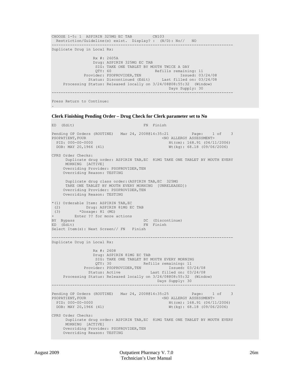CHOOSE 1-5: 1 ASPIRIN 325MG EC TAB CN103 Restriction/Guideline(s) exist. Display? : (N/D): No// NO ------------------------------------------------------------------------------- Duplicate Drug in Local Rx: Rx #: 2605A Drug: ASPIRIN 325MG EC TAB<br>SIG: TAKE ONE TABLET BY MOUTH TWICE A DAY SIG: TAKE ONE TABLET BY MOUTH TWICE A DAY QTY: 60 Refills remaining: 11 Provider: PSOPROVIDER, TEN Issued: 03/24/08 Status: Discontinued (Edit) Last filled on: 03/24/08 Processing Status: Released locally on  $3/24/08@08:55:32$  (Window)<br>Days Supply: 30  $D$ ays Supply: 30  $D$ ays Supply: 30  $D$ ays Supply: 30  $D$ ays Supply: 30  $D$ ------------------------------------------------------------------------------- Press Return to Continue:

#### **Clerk Finishing Pending Order – Drug Check for Clerk parameter set to No**

ED (Edit) FN Finish Pending OP Orders (ROUTINE) Mar 24, 2008@14:35:21 Page: 1 of 3<br>PSOPATIENT.FOUR < NO ALLERGY ASSESSMENT> PARTIENT, FOUR SOPATIENT, FOUR SOURCE ENTIRE AND ALLERGY ASSESSMENT><br>PID: 000-00-0000 Ht(cm): 168.91 (04/11) PID: 000-00-0000 Ht(cm): 168.91 (04/11/2006)<br>DOB: MAY 20,1966 (41) Wt(kg): 68.18 (09/06/2006)  $Wt(kq): 68.18 (09/06/2006)$ CPRS Order Checks: Duplicate drug order: ASPIRIN TAB,EC 81MG TAKE ONE TABLET BY MOUTH EVERY MORNING [ACTIVE] Overriding Provider: PSOPROVIDER, TEN Overriding Reason: TESTING Duplicate drug class order:(ASPIRIN TAB,EC 325MG TAKE ONE TABLET BY MOUTH EVERY MORNING [UNRELEASED]) Overriding Provider: PSOPROVIDER, TEN Overriding Reason: TESTING \*(1) Orderable Item: ASPIRIN TAB,EC (2) Drug: ASPIRIN 81MG EC TAB Drug. ....<br>\*Dosage: 81 (MG) + Enter ?? for more actions<br>BY Bypass BY Bypass DC (Discontinue) ED (Edit) FN Finish Select Item(s): Next Screen// FN Finish ------------------------------------------------------------------------------- Duplicate Drug in Local Rx: Rx #: 2608 Drug: ASPIRIN 81MG EC TAB SIG: TAKE ONE TABLET BY MOUTH EVERY MORNING QTY: 30 Refills remaining: 11<br>ider: PSOPROVIDER, TEN Issued: 03/24/08 Provider: PSOPROVIDER, TEN<br>Status: Active Last filled on: 03/24/08 Processing Status: Released locally on 3/24/08@08:55:32 (Window) Days Supply: 30<br>------------------------------------------------------------------------------------------------------------------- Pending OP Orders (ROUTINE) Mar 24, 2008@14:35:25 Page: 1 of 3<br>PSOPATIENT, FOUR SOPATIENT PSOPATIENT,FOUR <NO ALLERGY ASSESSMENT> PID: 000-00-0000 Ht(cm): 168.91 (04/11/2006)<br>
DOB: MAY 20,1966 (41) Wt(kg): 68.18 (09/06/2006)  $Wt(kq): 68.18 (09/06/2006)$ CPRS Order Checks: Duplicate drug order: ASPIRIN TAB,EC 81MG TAKE ONE TABLET BY MOUTH EVERY MORNING [ACTIVE] Overriding Provider: PSOPROVIDER, TEN Overriding Reason: TESTING

.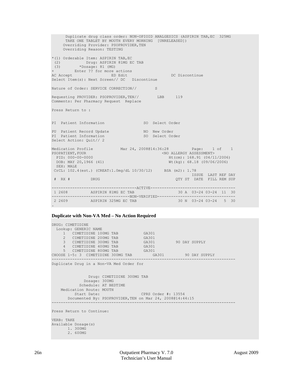Duplicate drug class order: NON-OPIOID ANALGESICS (ASPIRIN TAB,EC 325MG TAKE ONE TABLET BY MOUTH EVERY MORNING [UNRELEASED]) Overriding Provider: PSOPROVIDER, TEN Overriding Reason: TESTING \*(1) Orderable Item: ASPIRIN TAB,EC (2) Drug: ASPIRIN 81MG EC TAB (3) \*Dosage: 81 (MG) + Enter ?? for more actions ACCEPT ED Edit DC Discontinue Select Item(s): Next Screen// DC Discontinue Nature of Order: SERVICE CORRECTION// S Requesting PROVIDER: PSOPROVIDER, TEN// LBB 119 Comments: Per Pharmacy Request Replace Press Return to : PI Patient Information SO Select Order PU Patient Record Update NO New Order PI Patient Information SO Select Order Select Action: Quit// 2 Medication Profile Mar 24, 2008@14:36:28 Page: 1 of 1<br>PSOPATIENT.FOUR < NO ALLERGY ASSESSMENT> SOPATIENT, FOUR (NO ALLERGY ASSESSMENT>
FID: 000-00-0000

PID: 000-00-0000

PID: 000-00-0000

PID: 000-00-000 PID: 000-00-0000 Ht(cm): 168.91 (04/11/2006)<br>
DOB: MAY 20,1966 (41) Wt(kg): 68.18 (09/06/2006) Wt(kg): 68.18 (09/06/2006) SEX: MALE CrCL: 102.4(est.) (CREAT:1.0mg/dL 10/30/12) BSA (m2): 1.78 ISSUE LAST REF DAY QTY ST DATE FILL REM SUP -------------------------------------ACTIVE------------------------------------- 1 2608 ASPIRIN 81MG EC TAB ----------------------------------NON-VERIFIED----------------------------------  $30 N$   $03-24$   $03-24$  5 30 .

#### **Duplicate with Non-VA Med – No Action Required**

```
DRUG: CIMETIDINE
  Lookup: GENERIC NAME
1 CIMETIDINE 100MG TAB GA301
2 CIMETIDINE 200MG TAB GA301
3 CIMETIDINE 300MG TAB GA301 90 DAY SUPPLY
 4 CIMETIDINE 400MG TAB GA301 
5 CIMETIDINE 800MG TAB GA301
CHOOSE 1-5: 3 CIMETIDINE 300MG TAB GA301 90 DAY SUPPLY
                  --------------------------------------------------------------------------------
Duplicate Drug in a Non-VA Med Order for
              Drug: CIMETIDINE 300MG TAB
            Dosage: 300MG
   Schedule: AT BEDTIME<br>Medication Route: MOUTH
 Medication Route: MOUTH
 Start Date: CPRS Order #: 13554
       Documented By: PSOPROVIDER,TEN on Mar 24, 2008@14:44:15
--------------------------------------------------------------------------------
Press Return to Continue: 
VERB: TAKE
Available Dosage(s)
      1. 300MG
       2. 600MG
```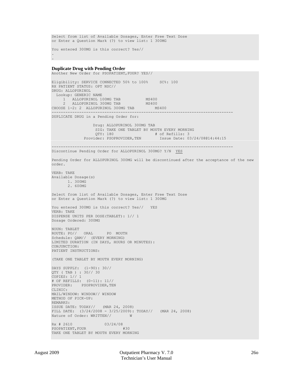Select from list of Available Dosages, Enter Free Text Dose or Enter a Question Mark (?) to view list: 1 300MG You entered 300MG is this correct? Yes//

#### **Duplicate Drug with Pending Order**

. .

Another New Order for PSOPATIENT,FOUR? YES// Eligibility: SERVICE CONNECTED 50% to 100% SC%: 100 RX PATIENT STATUS: OPT NSC// DRUG: ALLOPURINOL Lookup: GENERIC NAME 1 ALLOPURINOL 100MG TAB MS400<br>2 ALLOPURINOL 300MG TAB MS400 2 ALLOPURINOL 300MG TAB MS400 CHOOSE 1-2: 2 ALLOPURINOL 300MG TAB MS400 ------------------------------------------------------------------------------- DUPLICATE DRUG in a Pending Order for: Drug: ALLOPURINOL 300MG TAB SIG: TAKE ONE TABLET BY MOUTH EVERY MORNING<br>
OTY: 180 # of Refills: 3 QTY: 180 **A of Refills: 3**<br>4 of Refills: 3 <sup>#</sup> of Refills: 3<br>4 Provider: PSOPROVIDER, TEN Issue Date: 0 Issue Date: 03/24/08@14:44:15 ------------------------------------------------------------------------------- Discontinue Pending Order for ALLOPURINOL 300MG? Y/N YES Pending Order for ALLOPURINOL 300MG will be discontinued after the acceptance of the new order. VERB: TAKE Available Dosage(s) 1. 300MG 2. 600MG Select from list of Available Dosages, Enter Free Text Dose or Enter a Question Mark (?) to view list: 1 300MG You entered 300MG is this correct? Yes// YES VERB: TAKE DISPENSE UNITS PER DOSE(TABLET): 1// 1 Dosage Ordered: 300MG NOUN: TABLET ROUTE: PO// ORAL PO MOUTH Schedule: QAM// (EVERY MORNING) LIMITED DURATION (IN DAYS, HOURS OR MINUTES): CONJUNCTION: PATIENT INSTRUCTIONS: (TAKE ONE TABLET BY MOUTH EVERY MORNING) DAYS SUPPLY: (1-90): 30// QTY ( TAB ) : 30// 30 COPIES: 1// 1 # OF REFILLS: (0-11): 11// PROVIDER: PSOPROVIDER, TEN CLINIC: MAIL/WINDOW: WINDOW// WINDOW METHOD OF PICK-UP: REMARKS: ISSUE DATE: TODAY// (MAR 24, 2008) FILL DATE:  $(3/24/2008 - 3/25/2009)$ : TODAY// (MAR 24, 2008)<br>Nature of Order: WRITTEN// W Nature of Order: WRITTEN// Rx # 2610 03/24/08<br>PSOPATIENT, FOUR #30 PSOPATIENT, FOUR TAKE ONE TABLET BY MOUTH EVERY MORNING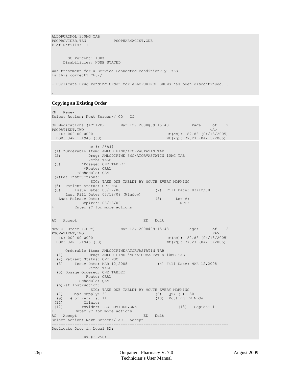```
ALLOPURINOL 300MG TAB<br>PSOPROVIDER.TEN
                           PSOPHARMACIST.ONE
# of Refills: 11
        SC Percent: 100%
      Disabilities: NONE STATED
Was treatment for a Service Connected condition? y YES
Is this correct? YES// 
- Duplicate Drug Pending Order for ALLOPURINOL 300MG has been discontinued...
```
#### **Copying an Existing Order**

.

```
RN Renew
Select Action: Next Screen// CO CO 
OP Medications (ACTIVE) Mar 12, 2008@09:15:48 Page: 1 of 2<br>PSOPATIENT, TWO \langle A \ranglePSOPATIENT, TWO<br>PID: 000-00-0000
 PID: 000-00-0000 Ht(cm): 182.88 (04/13/2005)<br>DOB: JAN 1,1945 (63) Wt(kg): 77.27 (04/13/2005)
                                                    Wt(kg): 77.27 (04/13/2005)
                Rx #: 2584$ 
 (1) *Orderable Item: AMLODIPINE/ATORVASTATIN TAB 
      (2) Drug: AMLODIPINE 5MG/ATORVASTATIN 10MG TAB 
 Verb: TAKE (3) Verb: TAKE
             *Dosage: ONE TABLET
               *Route: ORAL 
            *Schedule: QAM 
 (4)Pat Instructions: 
                 SIG: TAKE ONE TABLET BY MOUTH EVERY MORNING 
 (5) Patient Status: OPT NSC 
 (6) Issue Date: 03/12/08 (7) Fill Date: 03/12/08 
      Last Fill Date: 03/12/08 (Window) 
  Last Release Date: (8) Lot #:<br>Expires: 03/13/09 MFG:
          Expires: 03/13/09
         Enter ?? for more actions
AC Accept ED Edit
New OP Order (COPY) Mar 12, 2008@09:15:48 Page: 1 of 2<br>PSOPATIENT, TWO (A>
PSOPATIENT, TWO<br>PID: 000-00-0000
  PID: 000-00-0000 Ht(cm): 182.88 (04/13/2005)<br>DOB: JAN 1,1945 (63) Wt(kg): 77.27 (04/13/2005)
                                                    Wt(kg): 77.27 (04/13/2005)
      Orderable Item: AMLODIPINE/ATORVASTATIN TAB 
   (1) Drug: AMLODIPINE 5MG/ATORVASTATIN 10MG TAB 
   (2) Patient Status: OPT NSC 
   (3) Issue Date: MAR 12,2008 (4) Fill Date: MAR 12,2008 
                 Verb: TAKE 
   (5) Dosage Ordered: ONE TABLET 
                Route: ORAL 
             Schedule: QAM 
   (6)Pat Instruction: 
  SIG: TAKE ONE TABLET BY MOUTH EVERY MORNING<br>(7) Days Supply: 30 (8) QTY ():
                            (8) QTY ( ): 30<br>(10) Routing: WINDOW
 (9) \# of Refills: 11<br>(11) Clinic:
 (11) Clinic:<br>(12) Provider:
           Provider: PSOPROVIDER, ONE (13) Copies: 1
         Enter ?? for more actions
AC Accept ED Edit
Select Action: Next Screen// AC Accept 
                                                    -----------------------------------------------------------------------------
Duplicate Drug in Local RX:
              Rx #: 2584
```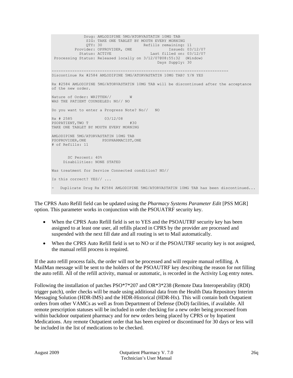```
 Drug: AMLODIPINE 5MG/ATORVASTATIN 10MG TAB
              SIG: TAKE ONE TABLET BY MOUTH EVERY MORNING
QTY: 30 Refills remaining: 11
Provider: OPPROVIDER, ONE in the state of the second provider: 03/12/07
 Status: ACTIVE Last filled on: 03/12/07
 Processing Status: Released locally on 3/12/07@08:55:32 (Window) 
                                           Days Supply: 30
-----------------------------------------------------------------------------
Discontinue Rx #2584 AMLODIPINE 5MG/ATORVASTATIN 10MG TAB? Y/N YES
Rx #2584 AMLODIPINE 5MG/ATORVASTATIN 10MG TAB will be discontinued after the acceptance 
of the new order.
Nature of Order: WRITTEN// W
WAS THE PATIENT COUNSELED: NO// NO
Do you want to enter a Progress Note? No// NO
Rx # 2585 03/12/08
PSOPATIENT, TWO T #30
TAKE ONE TABLET BY MOUTH EVERY MORNING
AMLODIPINE 5MG/ATORVASTATIN 10MG TAB
PSOPROVIDER, ONE PSOPHARMACIST, ONE
# of Refills: 11
       SC Percent: 40%
     Disabilities: NONE STATED
Was treatment for Service Connected condition? NO// 
Is this correct? YES// ...
  - Duplicate Drug Rx #2584 AMLODIPINE 5MG/ATORVASTATIN 10MG TAB has been discontinued...
```
The CPRS Auto Refill field can be updated using the *Pharmacy Systems Parameter Edit* [PSS MGR] option. This parameter works in conjunction with the PSOUATRF security key.

- When the CPRS Auto Refill field is set to YES and the PSOAUTRF security key has been assigned to at least one user, all refills placed in CPRS by the provider are processed and suspended with the next fill date and all routing is set to Mail automatically.
- When the CPRS Auto Refill field is set to NO or if the PSOAUTRF security key is not assigned, the manual refill process is required.

If the auto refill process fails, the order will not be processed and will require manual refilling. A MailMan message will be sent to the holders of the PSOAUTRF key describing the reason for not filling the auto refill. All of the refill activity, manual or automatic, is recorded in the Activity Log entry notes.

Following the installation of patches PSO\*7\*207 and OR\*3\*238 (Remote Data Interoperability (RDI) trigger patch), order checks will be made using additional data from the Health Data Repository Interim Messaging Solution (HDR-IMS) and the HDR-Historical (HDR-Hx). This will contain both Outpatient orders from other VAMCs as well as from Department of Defense (DoD) facilities, if available. All remote prescription statuses will be included in order checking for a new order being processed from within backdoor outpatient pharmacy and for new orders being placed by CPRS or by Inpatient Medications. Any remote Outpatient order that has been expired or discontinued for 30 days or less will be included in the list of medications to be checked.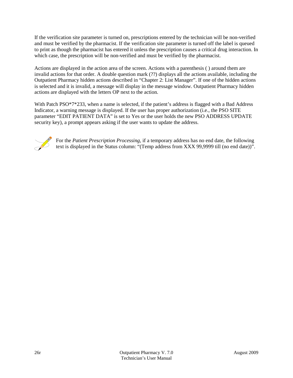If the verification site parameter is turned on, prescriptions entered by the technician will be non-verified and must be verified by the pharmacist. If the verification site parameter is turned off the label is queued to print as though the pharmacist has entered it unless the prescription causes a critical drug interaction. In which case, the prescription will be non-verified and must be verified by the pharmacist.

Actions are displayed in the action area of the screen. Actions with a parenthesis ( ) around them are invalid actions for that order. A double question mark (??) displays all the actions available, including the Outpatient Pharmacy hidden actions described in "Chapter 2: List Manager". If one of the hidden actions is selected and it is invalid, a message will display in the message window. Outpatient Pharmacy hidden actions are displayed with the letters OP next to the action.

With Patch PSO<sup>\*7\*233</sup>, when a name is selected, if the patient's address is flagged with a Bad Address Indicator, a warning message is displayed. If the user has proper authorization (i.e., the PSO SITE parameter "EDIT PATIENT DATA" is set to Yes or the user holds the new PSO ADDRESS UPDATE security key), a prompt appears asking if the user wants to update the address.



For the *Patient Prescription Processing,* if a temporary address has no end date, the following text is displayed in the Status column: "(Temp address from XXX 99,9999 till (no end date))".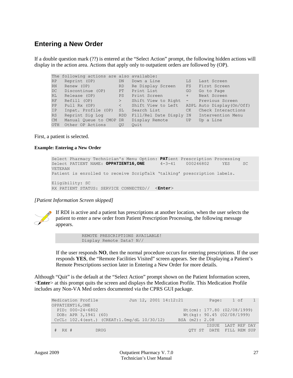## **Entering a New Order**

If a double question mark (??) is entered at the "Select Action" prompt, the following hidden actions will display in the action area. Actions that apply only to outpatient orders are followed by (OP).

```
The following actions are also available:
RP Reprint (OP) DN Down a Line LS Last Screen
RN Renew (OP)              RD   Re Display Screen     FS    First Screen
DC Discontinue (OP) PT Print List GO Go to Page
RL Release (OP) PS Print Screen + Next Screen
RF Refill (OP) > Shift View to Right - Previous Screen
PP Pull Rx (OP) < Shift View to Left ADPL Auto Display(On/Off)
IP Inpat. Profile (OP) SL Search List CK Check Interactions
RS Reprint Sig Log RDD Fill/Rel Date Disply IN Intervention Menu
CM Manual Queue to CMOP DR Display Remote UP Up a Line
OTH Other OP Actions QU Quit
```
First, a patient is selected.

**Example: Entering a New Order**

```
Select Pharmacy Technician's Menu Option: PATient Prescription Processing<br>Select PATIENT NAME: OPPATIENT16,ONE 4-3-41 000246802 YES SC
Select PATIENT NAME: OPPATIENT16, ONE
VETERAN
Patient is enrolled to receive ScripTalk 'talking' prescription labels. 
Eligibility: SC 
RX PATIENT STATUS: SERVICE CONNECTED// <Enter>
```
*[Patient Information Screen skipped]*



If RDI is active and a patient has prescriptions at another location, when the user selects the patient to enter a new order from Patient Prescription Processing, the following message appears.

> REMOTE PRESCRIPTIONS AVAILABLE! Display Remote Data? N//

If the user responds **NO**, then the normal procedure occurs for entering prescriptions. If the user responds **YES**, the "Remote Facilities Visited" screen appears. See the Displaying a Patient's Remote Prescriptions section later in Entering a New Order for more details.

Although "Quit" is the default at the "Select Action" prompt shown on the Patient Information screen, <**Enter**> at this prompt quits the screen and displays the Medication Profile. This Medication Profile includes any Non-VA Med orders documented via the CPRS GUI package.

| Medication Profile                          |  | Jun 12, 2001 14:12:21 |       | Page: 1 of 1                   |
|---------------------------------------------|--|-----------------------|-------|--------------------------------|
| OPPATIENT16, ONE                            |  |                       |       |                                |
| PID: 000-24-6802                            |  |                       |       | $Ht$ (cm): 177.80 (02/08/1999) |
| DOB: APR 3,1941 (60)                        |  |                       |       | Wt(kq): 90.45 (02/08/1999)     |
| CrCL: 102.4(est.) (CREAT:1.0mg/dL 10/30/12) |  | BSA (m2): 2.08        |       |                                |
|                                             |  |                       | ISSUE | LAST REF DAY                   |
| $#$ RX $#$<br><b>DRUG</b>                   |  |                       |       | OTY ST DATE FILL REM SUP       |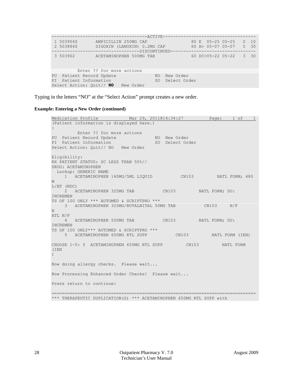|    |                                                                             | ---------------------ACTIVE----                                                           |           |     |                              |  |                                       |          |                   |
|----|-----------------------------------------------------------------------------|-------------------------------------------------------------------------------------------|-----------|-----|------------------------------|--|---------------------------------------|----------|-------------------|
|    | 1 503904\$<br>2 503886\$                                                    | AMPICILLIN 250MG CAP<br>DIGOXIN (LANOXIN) 0.2MG CAP<br>--------------------DISCONTINUED-- |           |     |                              |  | 80 E 05-25 05-25<br>60 A> 05-07 05-07 | $\Omega$ | 10<br>$5\quad 30$ |
|    | 3 503902                                                                    | ACETAMINOPHEN 500MG TAB                                                                   |           |     |                              |  | 60 DC>05-22 05-22                     | 3        | 30                |
|    |                                                                             | Enter ?? for more actions                                                                 |           |     |                              |  |                                       |          |                   |
| PT | PU Patient Record Update<br>Patient Information<br>Select Action: Quit// NO |                                                                                           | New Order | NO. | New Order<br>SO Select Order |  |                                       |          |                   |

Typing in the letters "NO" at the "Select Action" prompt creates a new order.

#### **Example: Entering a New Order (continued)**

```
Medication Profile 11 Mar 29, 2011@14:34:27 Page: 1 of
(Patient information is displayed here.)
:
Enter ?? for more actions
PU Patient Record Update NO New Order
PI Patient Information No. 80 Select Order
Select Action: Quit// NO New Order
Eligibility: 
RX PATIENT STATUS: SC LESS THAN 50%// 
DRUG: ACETAMINOPHEN
  Lookup: GENERIC NAME
     1 ACETAMINOPHEN 160MG/5ML LIQUID CN103 NATL FORM; 480 
M
L/BT (NDC) 
     2 ACETAMINOPHEN 325MG TAB CN103 NATL FORM; DU: 
INCREMEN
TS OF 100 ONLY *** AUTOMED & SCRIPTPRO *** 
    3 ACETAMINOPHEN 325MG/BUTALBITAL 50MG TAB CN103 N/F 
N
ATL N/F 
    4 ACETAMINOPHEN 500MG TAB CN103 NATL FORM; DU: 
INCREMEN
TS OF 100 ONLY*** AUTOMED & SCRIPTPRO ***<br>5 ACETAMINOPHEN 650MG RTL SUPP
                                    \text{CNI03} NATL FORM (IEN)
CHOOSE 1-5: 5 ACETAMINOPHEN 650MG RTL SUPP CN103 NATL FORM 
(IEN
\lambdaNow doing allergy checks. Please wait...
Now Processing Enhanced Order Checks! Please wait...
Press return to continue: 
===============================================================================
```

```
*** THERAPEUTIC DUPLICATION(S) *** ACETAMINOPHEN 650MG RTL SUPP with
```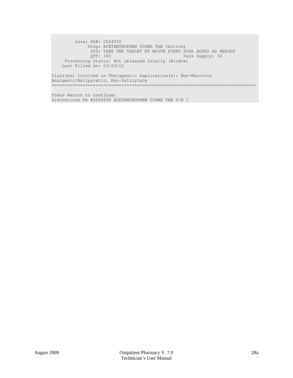Local RX#: 2054930 Drug: ACETAMINOPHEN 500MG TAB (Active) SIG: TAKE ONE TABLET BY MOUTH EVERY FOUR HOURS AS NEEDED QTY: 180 Days Supply: 30 Processing Status: Not released locally (Window) Last Filled On: 03/29/11 Class(es) Involved in Therapeutic Duplication(s): Non-Narcotic Analgesic/Antipyretic, Non-Salicylate

===============================================================================

Press Return to continue: Discontinue Rx #2054930 ACETAMINOPHEN 500MG TAB Y/N ?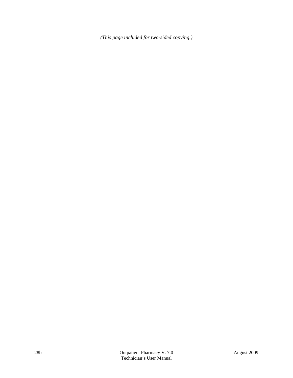*(This page included for two-sided copying.)*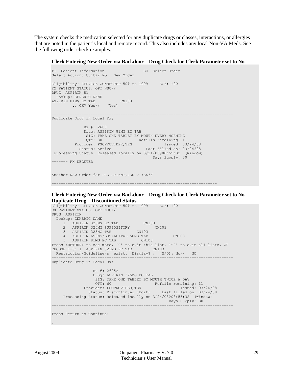The system checks the medication selected for any duplicate drugs or classes, interactions, or allergies that are noted in the patient's local and remote record. This also includes any local Non-VA Meds. See the following order check examples.

**Clerk Entering New Order via Backdoor – Drug Check for Clerk Parameter set to No**

```
PI Patient Information SO Select Order
Select Action: Quit// NO New Order 
Eligibility: SERVICE CONNECTED 50% to 100% SC%: 100
RX PATIENT STATUS: OPT NSC// 
DRUG: ASPIRIN 81
  Lookup: GENERIC NAME
ASPIRIN 81MG EC TAB CN103<br>...OK? Yes// (Yes)
        \ldotsOK? Yes//
-------------------------------------------------------------------------------
Duplicate Drug in Local Rx:
              Rx #: 2608
              Drug: ASPIRIN 81MG EC TAB 
              SIG: TAKE ONE TABLET BY MOUTH EVERY MORNING<br>QTY: 30 Refills remaining: 1
                          Example 20 Refills remaining: 11
Provider: PSOPROVIDER, TEN Issued: 03/24/08
 Status: Active Last filled on: 03/24/08
 Processing Status: Released locally on 3/24/08@08:55:32 (Window) 
                                           Days Supply: 30 
------- RX DELETED
Another New Order for PSOPATIENT,FOUR? YES//
.
     ------------------------------------------------------------------------
```
**Clerk Entering New Order via Backdoor – Drug Check for Clerk Parameter set to No – Duplicate Drug – Discontinued Status**

```
Eligibility: SERVICE CONNECTED 50% to 100% SC%: 100
RX PATIENT STATUS: OPT NSC// 
DRUG: ASPIRIN<br>Lookup: GENERIC NAME
 Lookup: GENERIC NAME
 1 ASPIRIN 325MG EC TAB CN103 
 2 ASPIRIN 325MG SUPPOSITORY CN103 
 3 ASPIRIN 325MG TAB CN103 
     4 ASPIRIN 650MG/BUTALBITAL 50MG TAB CN103 
5 ASPIRIN 81MG EC TAB CN103
Press <RETURN> to see more, '^' to exit this list, '^^' to exit all lists, OR
CHOOSE 1-5: 1 ASPIRIN 325MG EC TAB CN103
  Restriction/Guideline(s) exist. Display? : (N/D): No// NO
-------------------------------------------------------------------------------
Duplicate Drug in Local Rx: 
                 Rx #: 2605A
                Drug: ASPIRIN 325MG EC TAB
                  SIG: TAKE ONE TABLET BY MOUTH TWICE A DAY
                  QTY: 60 Refills remaining: 11
Provider: PSOPROVIDER,TEN Issued: 03/24/08
 Status: Discontinued (Edit) Last filled on: 03/24/08
     Processing Status: Released locally on 3/24/08@08:55:32 (Window)
                                               Days Supply: 30
      -------------------------------------------------------------------------------
Press Return to Continue: 
.
.
```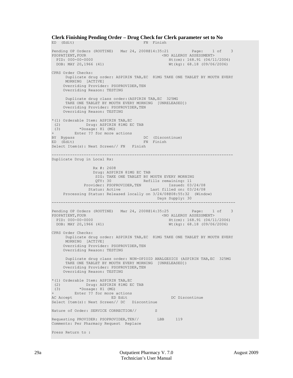```
Clerk Finishing Pending Order – Drug Check for Clerk parameter set to No
ED (Edit) FN Finish
Pending OP Orders (ROUTINE) Mar 24, 2008@14:35:21 Page: 1 of 3<br>PSOPATIENT, FOUR \leq NO ALLERGY ASSESSMENT>
 PSOPATIENT,FOUR <NO ALLERGY ASSESSMENT> 
 PID: 000-00-0000 Ht(cm): 168.91 (04/11/2006)<br>
DOB: MAY 20,1966 (41) Wt(kg): 68.18 (09/06/2006)
                                                  Wt(kq): 68.18 (09/06/2006)CPRS Order Checks: 
      Duplicate drug order: ASPIRIN TAB,EC 81MG TAKE ONE TABLET BY MOUTH EVERY 
      MORNING [ACTIVE] 
    Overriding Provider: PSOPROVIDER, TEN
     Overriding Reason: TESTING 
      Duplicate drug class order:(ASPIRIN TAB,EC 325MG 
      TAKE ONE TABLET BY MOUTH EVERY MORNING [UNRELEASED]) 
    Overriding Provider: PSOPROVIDER, TEN
     Overriding Reason: TESTING 
*(1) Orderable Item: ASPIRIN TAB,EC 
 (2) Drug: ASPIRIN 81MG EC TAB 
 (3) *Dosage: 81 (MG) 
+ Enter ?? for more actions 
BY Bypass DC (Discontinue)<br>
ED (Edit) FN Finish
ED (Edit) FN Finish
Select Item(s): Next Screen// FN Finish 
                           -------------------------------------------------------------------------------
Duplicate Drug in Local Rx: 
                  Rx #: 2608
                 Drug: ASPIRIN 81MG EC TAB
                  SIG: TAKE ONE TABLET BY MOUTH EVERY MORNING<br>OTY: 30 Refills remaining: 11
                             External Refills remaining: 11
Provider: PSOPROVIDER, TEN Issued: 03/24/08
 Status: Active Last filled on: 03/24/08
      Processing Status: Released locally on 3/24/08@08:55:32 (Window)
                                             Days Supply: 30
     --------------------------------------------------------------------------------
Pending OP Orders (ROUTINE) Mar 24, 2008@14:35:25 Page: 1 of 3<br>PSOPATIENT, FOUR SOPATIENT
  PSOPATIENT,FOUR <NO ALLERGY ASSESSMENT> 
 PID: 000-00-0000 Ht(cm): 168.91 (04/11/2006)<br>
DOB: MAY 20,1966 (41) Wt(kg): 68.18 (09/06/2006)
                                                  Wt(kq): 68.18 (09/06/2006)CPRS Order Checks: 
      Duplicate drug order: ASPIRIN TAB,EC 81MG TAKE ONE TABLET BY MOUTH EVERY 
      MORNING [ACTIVE] 
    Overriding Provider: PSOPROVIDER, TEN
     Overriding Reason: TESTING 
      Duplicate drug class order: NON-OPIOID ANALGESICS (ASPIRIN TAB,EC 325MG 
      TAKE ONE TABLET BY MOUTH EVERY MORNING [UNRELEASED]) 
    Overriding Provider: PSOPROVIDER, TEN
     Overriding Reason: TESTING 
*(1) Orderable Item: ASPIRIN TAB,EC 
 (2) Drug: ASPIRIN 81MG EC TAB 
 (3) *Dosage: 81 (MG) 
+ Enter ?? for more actions 
                                                 DC Discontinue
Select Item(s): Next Screen// DC Discontinue 
Nature of Order: SERVICE CORRECTION// S
Requesting PROVIDER: PSOPROVIDER, TEN// LBB 119
Comments: Per Pharmacy Request Replace 
Press Return to :
```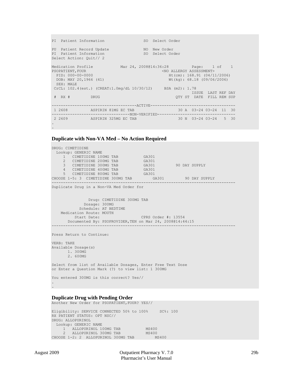```
PI Patient Information SO Select Order
PU Patient Record Update NO New Order<br>
PI Patient Information NO So Select Order
PI Patient Information
Select Action: Quit// 2 
Medication Profile Mar 24, 2008@14:36:28 Page: 1 of 1<br>PSOPATIENT, FOUR CNO ALLERGY ASSESSMENT>
  PSOPATIENT, FOUR CONSIDERED ASSESSMENTS (NO ALLERGY ASSESSMENTS)<br>PID: 000-00-0000 Ht(cm): 168.91 (04/11
 PID: 000-00-0000 Ht(cm): 168.91 (04/11/2006)<br>DOB: MAY 20,1966 (41) Wt(kg): 68.18 (09/06/2006)
                                                    Wt(kq): 68.18 (09/06/2006) SEX: MALE 
 CrCL: 102.4(est.) (CREAT:1.0mg/dL 10/30/12) BSA (m2): 1.78
 ISSUE LAST REF DAY<br>
FRIE LAST REF DAY<br>
PRUG DRUG DE CITY ST DATE FILL REM SUP
                                                        QTY ST DATE FILL REM SUP
-------------------------------------ACTIVE-------------------------------------
 1 2608 ASPIRIN 81MG EC TAB 30 A 03-24 03-24 11 30
----------------------------------NON-VERIFIED----------------------------------
 2 2609 ASPIRIN 325MG EC TAB
.
```
#### **Duplicate with Non-VA Med – No Action Required**

```
DRUG: CIMETIDINE
   Lookup: GENERIC NAME
    1 CIMETIDINE 100MG TAB GA301<br>2 CIMETIDINE 200MG TAB GA301<br>3 CIMETIDINE 300MG TAB GA301
2 CIMETIDINE 200MG TAB GA301
3 CIMETIDINE 300MG TAB GA301 90 DAY SUPPLY
 4 CIMETIDINE 400MG TAB GA301 
5 CIMETIDINE 800MG TAB GA301
CHOOSE 1-5: 3 CIMETIDINE 300MG TAB GA301 90 DAY SUPPLY
               --------------------------------------------------------------------------------
Duplicate Drug in a Non-VA Med Order for
                Drug: CIMETIDINE 300MG TAB
              Dosage: 300MG
            Schedule: AT BEDTIME 
    Medication Route: MOUTH<br>Start Date:
                                     CPRS Order #: 13554
        Documented By: PSOPROVIDER,TEN on Mar 24, 2008@14:44:15
--------------------------------------------------------------------------------
Press Return to Continue: 
VERB: TAKE
Available Dosage(s)
       1. 300MG
       2. 600MG
Select from list of Available Dosages, Enter Free Text Dose
or Enter a Question Mark (?) to view list: 1 300MG
You entered 300MG is this correct? Yes//
.
.
```
#### **Duplicate Drug with Pending Order** Another New Order for PSOPATIENT,FOUR? YES//

Eligibility: SERVICE CONNECTED 50% to 100% SC%: 100 RX PATIENT STATUS: OPT NSC// DRUG: ALLOPURINOL Lookup: GENERIC NAME 1 ALLOPURINOL 100MG TAB MS400<br>2 ALLOPURINOL 300MG TAB MS400 2 ALLOPURINOL 300MG TAB MS400 CHOOSE 1-2: 2 ALLOPURINOL 300MG TAB MS400

.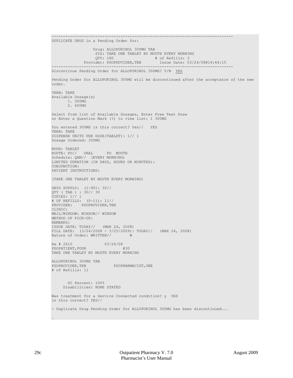------------------------------------------------------------------------------- DUPLICATE DRUG in a Pending Order for: Drug: ALLOPURINOL 300MG TAB SIG: TAKE ONE TABLET BY MOUTH EVERY MORNING<br>QTY: 180 # of Refills: 3 QTY: 180 # of Refills: 3<br>Provider: PSOPROVIDER, TEN Issue Date: 03 Issue Date: 03/24/08@14:44:15 ------------------------------------------------------------------------------- Discontinue Pending Order for ALLOPURINOL 300MG? Y/N <u>YES</u> Pending Order for ALLOPURINOL 300MG will be discontinued after the acceptance of the new order. VERB: TAKE Available Dosage(s) 1. 300MG 2. 600MG Select from list of Available Dosages, Enter Free Text Dose or Enter a Question Mark (?) to view list: 1 300MG You entered 300MG is this correct? Yes// YES VERB: TAKE DISPENSE UNITS PER DOSE(TABLET): 1// 1 Dosage Ordered: 300MG NOUN: TABLET ROUTE: PO// ORAL PO MOUTH Schedule: QAM// (EVERY MORNING) LIMITED DURATION (IN DAYS, HOURS OR MINUTES): CONJUNCTION: PATIENT INSTRUCTIONS: (TAKE ONE TABLET BY MOUTH EVERY MORNING) DAYS SUPPLY: (1-90): 30// QTY ( TAB ) : 30// 30 COPIES: 1// 1 # OF REFILLS: (0-11): 11// PROVIDER: PSOPROVIDER, TEN CLINIC: MAIL/WINDOW: WINDOW// WINDOW METHOD OF PICK-UP: REMARKS: ISSUE DATE: TODAY// (MAR 24, 2008) FILL DATE: (3/24/2008 - 3/25/2009): TODAY// (MAR 24, 2008)<br>Nature of Order: WRITTEN// W Nature of Order: WRITTEN// Rx # 2610 03/24/08<br>PSOPATIENT FOUR #30 PSOPATIENT, FOUR TAKE ONE TABLET BY MOUTH EVERY MORNING ALLOPURINOL 300MG TAB PSOPHARMACIST, ONE # of Refills: 11 SC Percent: 100% Disabilities: NONE STATED Was treatment for a Service Connected condition? y YES Is this correct? YES// - Duplicate Drug Pending Order for ALLOPURINOL 300MG has been discontinued...

.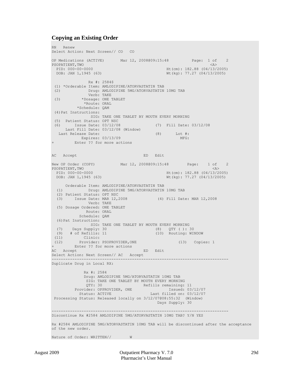#### **Copying an Existing Order**

RN Renew Select Action: Next Screen// CO CO OP Medications (ACTIVE) Mar  $12$ ,  $2008@09:15:48$  Page:  $1$  of 2<br>PSOPATIENT.TWO  $\langle 2 \rangle$ PSOPATIENT, TWO<br>PID: 000-00-0000 PID: 000-00-0000 Ht(cm): 182.88 (04/13/2005)<br>
DOB: JAN 1,1945 (63) Wt(kg): 77.27 (04/13/2005)  $Wt(kq): 77.27 (04/13/2005)$  Rx #: 2584\$ (1) \*Orderable Item: AMLODIPINE/ATORVASTATIN TAB (2) Drug: AMLODIPINE 5MG/ATORVASTATIN 10MG TAB Verb: TAKE<br>(3) \*Dosage: ONE T (3) \*Dosage: ONE TABLET \*Route: ORAL \*Schedule: QAM (4)Pat Instructions: SIG: TAKE ONE TABLET BY MOUTH EVERY MORNING (5) Patient Status: OPT NSC (6) Issue Date: 03/12/08 (7) Fill Date: 03/12/08 Last Fill Date: 03/12/08 (Window) Last Release Date: (8) Lot #:<br>Expires: 03/13/09 MFG: MEG: Expires: 03/13/09 Enter ?? for more actions AC Accept ED Edit New OP Order (COPY) Mar 12, 2008@09:15:48 Page: 1 of 2<br>PSOPATIENT.TWO <4> PSOPATIENT, TWO<br>PID: 000-00-0000 PID: 000-00-0000 Ht(cm): 182.88 (04/13/2005)<br>
DOB: JAN 1,1945 (63) Wt(kg): 77.27 (04/13/2005) Wt(kg): 77.27 (04/13/2005) Orderable Item: AMLODIPINE/ATORVASTATIN TAB<br>(1) Drug: AMLODIPINE 5MG/ATORVASTATIN (1) Drug: AMLODIPINE 5MG/ATORVASTATIN 10MG TAB (2) Patient Status: OPT NSC (3) Issue Date: MAR 12,2008 (4) Fill Date: MAR 12,2008 Verb: TAKE (5) Dosage Ordered: ONE TABLET Route: ORAL Schedule: QAM (6)Pat Instruction: SIG: TAKE ONE TABLET BY MOUTH EVERY MORNING<br>(7) Days Supply: 30 (8) QTY ( ): 3 (7) Days Supply: 30 (8) QTY ( ): 30 (9) # of Refills: 11 (10) Routing: WINDOW (11) Clinic:<br>(12) Provider: Provider: PSOPROVIDER, ONE (13) Copies: 1 + Enter ?? for more actions<br>AC Accept AC Accept ED Edit Select Action: Next Screen// AC Accept ----------------------------------------------------------------------------- Duplicate Drug in Local RX: Rx #: 2584 Drug: AMLODIPINE 5MG/ATORVASTATIN 10MG TAB SIG: TAKE ONE TABLET BY MOUTH EVERY MORNING<br>QTY: 30 Refills remaining: 11 QTY: 30 Refills remaining: 11 Provider: OPPROVIDER, ONE Issued: 03/12/07 Status: ACTIVE Last filled on: 03/12/07 Processing Status: Released locally on 3/12/07@08:55:32 (Window) Days Supply: 30 ----------------------------------------------------------------------------- Discontinue Rx #2584 AMLODIPINE 5MG/ATORVASTATIN 10MG TAB? Y/N YES Rx #2584 AMLODIPINE 5MG/ATORVASTATIN 10MG TAB will be discontinued after the acceptance of the new order. Nature of Order: WRITTEN// W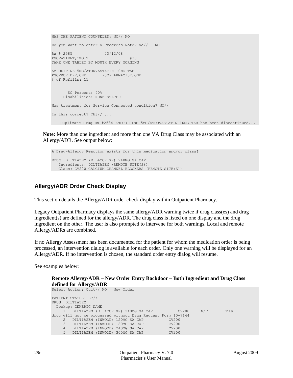```
WAS THE PATIENT COUNSELED: NO// NO
Do you want to enter a Progress Note? No// NO
Rx # 2585 03/12/08
PSOPATIENT, TWO T #30
TAKE ONE TABLET BY MOUTH EVERY MORNING
AMLODIPINE 5MG/ATORVASTATIN 10MG TAB
PSOPROVIDER, ONE PSOPHARMACIST, ONE
# of Refills: 11
       SC Percent: 40%
     Disabilities: NONE STATED
Was treatment for Service Connected condition? NO// 
Is this correct? YES// ...
- Duplicate Drug Rx #2584 AMLODIPINE 5MG/ATORVASTATIN 10MG TAB has been discontinued...
```
**Note:** More than one ingredient and more than one VA Drug Class may be associated with an Allergy/ADR. See output below:

```
A Drug-Allergy Reaction exists for this medication and/or class!
Drug: DILTIAZEM (DILACOR XR) 240MG SA CAP
   Ingredients: DILTIAZEM (REMOTE SITE(S)), 
   Class: CV200 CALCIUM CHANNEL BLOCKERS (REMOTE SITE(S))
```
## **Allergy/ADR Order Check Display**

This section details the Allergy/ADR order check display within Outpatient Pharmacy.

Legacy Outpatient Pharmacy displays the same allergy/ADR warning twice if drug class(es) and drug ingredient(s) are defined for the allergy/ADR. The drug class is listed on one display and the drug ingredient on the other. The user is also prompted to intervene for both warnings. Local and remote Allergy/ADRs are combined.

If no Allergy Assessment has been documented for the patient for whom the medication order is being processed, an intervention dialog is available for each order. Only one warning will be displayed for an Allergy/ADR. If no intervention is chosen, the standard order entry dialog will resume.

See examples below:

#### **Remote Allergy/ADR – New Order Entry Backdoor – Both Ingredient and Drug Class defined for Allergy/ADR**

Select Action: Quit// NO New Order PATIENT STATUS: SC// DRUG: DILTIAZEM Lookup: GENERIC NAME<br>1 DILTIAZEM (DIL <sup>DILTIAZEM</sup> (DILACOR XR) 240MG SA CAP CV200 N/F This drug will not be processed without Drug Request Form 10-7144 2 DILTIAZEM (INWOOD) 120MG SA CAP CV200 3 DILTIAZEM (INWOOD) 180MG SA CAP CV200 4 DILTIAZEM (INWOOD) 240MG SA CAP CV200 5 DILTIAZEM (INWOOD) 300MG SA CAP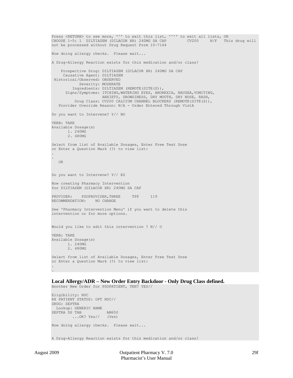```
Press <RETURN> to see more, '^' to exit this list, '^^' to exit all lists, OR<br>CHOOSE 1-5: 1 DILTIAZEM (DILACOR XR) 240MG SA CAP CV200 N/F This drug will
CHOOSE 1-5: 1 DILTIAZEM (DILACOR XR) 240MG SA CAP
not be processed without Drug Request Form 10-7144 
Now doing allergy checks. Please wait...
A Drug-Allergy Reaction exists for this medication and/or class!
     Prospective Drug: DILTIAZEM (DILACOR XR) 240MG SA CAP
      Causative Agent: DILTIAZEM
 Historical/Observed: OBSERVED
             Severity: MODERATE
          Ingredients: DILTIAZEM (REMOTE(SITE(S)), 
       Signs/Symptoms: ITCHING,WATERING EYES, ANOREXIA, NAUSEA,VOMITING, 
                        ANXIETY, DROWSINESS, DRY MOUTH, DRY NOSE, RASH, 
           Drug Class: CV200 CALCIUM CHANNEL BLOCKERS (REMOTE(SITE(S)),
    Provider Override Reason: N/A - Order Entered Through VistA
Do you want to Intervene? Y// NO
VERB: TAKE
Available Dosage(s)
        1. 240MG
        2. 480MG
Select from list of Available Dosages, Enter Free Text Dose
or Enter a Question Mark (?) to view list:
.
.
    OR
Do you want to Intervene? Y// ES
Now creating Pharmacy Intervention
for DILTIAZEM (DILACOR XR) 240MG SA CAP 
PROVIDER: PSOPROVIDER, THREE TPP 119<br>RECOMMENDATION: NO CHANGE
RECOMMENDATION:
See 'Pharmacy Intervention Menu' if you want to delete this
intervention or for more options.
Would you like to edit this intervention ? N// O
VERB: TAKE
Available Dosage(s)
        1. 240MG
        2. 480MG
Select from list of Available Dosages, Enter Free Text Dose
or Enter a Question Mark (?) to view list:
.
.
```
**Local Allergy/ADR – New Order Entry Backdoor - Only Drug Class defined.** Another New Order for PSOPATIENT, TEN? YES//

```
Eligibility: NSC
RX PATIENT STATUS: OPT NSC// 
DRUG: SEPTRA
  Lookup: GENERIC NAME
SEPTRA DS TAB AM650
         ...OK? Yes// (Yes)
Now doing allergy checks. Please wait...
A Drug-Allergy Reaction exists for this medication and/or class!
```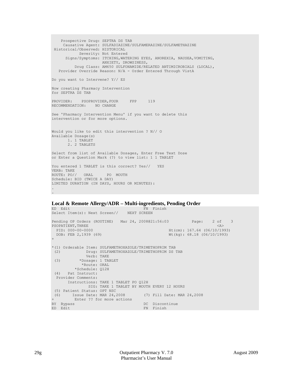Prospective Drug: SEPTRA DS TAB Causative Agent: SULFADIAZINE/SULFAMERAZINE/SULFAMETHAZINE Historical/Observed: HISTORICAL Severity: Not Entered Signs/Symptoms: ITCHING,WATERING EYES, ANOREXIA, NAUSEA,VOMITING, ANXIETY, DROWSINESS, Drug Class: AM650 SULFONAMIDE/RELATED ANTIMICROBIALS (LOCAL), Provider Override Reason: N/A - Order Entered Through VistA Do you want to Intervene? Y// ES Now creating Pharmacy Intervention for SEPTRA DS TAB PROVIDER: PSOPROVIDER, FOUR FPP 119<br>RECOMMENDATION: NO CHANGE RECOMMENDATION: See 'Pharmacy Intervention Menu' if you want to delete this intervention or for more options. Would you like to edit this intervention ? N// O Available Dosage(s) 1. 1 TABLET 2. 2 TABLETS Select from list of Available Dosages, Enter Free Text Dose or Enter a Question Mark (?) to view list: 1 1 TABLET You entered 1 TABLET is this correct? Yes// YES VERB: TAKE ROUTE: PO// ORAL PO MOUTH Schedule: BID (TWICE A DAY) LIMITED DURATION (IN DAYS, HOURS OR MINUTES): . .

## **Local & Remote Allergy/ADR – Multi-ingredients, Pending Order**

```
ED Edit FN Finish
Select Item(s): Next Screen// NEXT SCREEN 
Pending OP Orders (ROUTINE) Mar 24, 2008@21:56:03 Page: 2 of 3<br>PSOPATIENT.THREE <2>
PSOPATIENT, THREE<br>PID: 000-00-0000
 PID: 000-00-0000 Ht(cm): 167.64 (06/10/1993)<br>
DOB: FEB 2,1939 (69) Wt(kg): 68.18 (06/10/1993)
                                                 Wt(kq): 68.18 (06/10/1993)+ 
*(1) Orderable Item: SULFAMETHOXAZOLE/TRIMETHOPRIM TAB 
 (2) Drug: SULFAMETHOXAZOLE/TRIMETHOPRIM DS TAB 
 Verb: TAKE (3) *Dosage: 1 TAE
           (3) *Dosage: 1 TABLET 
             *Route: ORAL 
          *Schedule: Q12H 
 (4) Pat Instruct: 
  Provider Comments: 
       Instructions: TAKE 1 TABLET PO Q12H 
               SIG: TAKE 1 TABLET BY MOUTH EVERY 12 HOURS 
 (5) Patient Status: OPT NSC 
(6) Issue Date: MAR 24,2008 (7) Fill Date: MAR 24,2008 
+ Enter ?? for more actions 
BY Bypass DC Discontinue
                                      FN Finish
```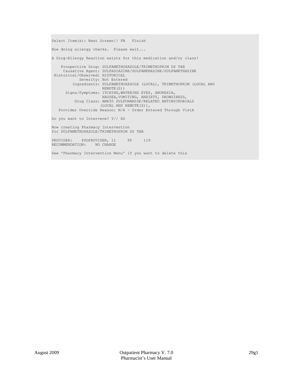Select Item(s): Next Screen// FN Finish Now doing allergy checks. Please wait... A Drug-Allergy Reaction exists for this medication and/or class! Prospective Drug: SULFAMETHOXAZOLE/TRIMETHOPRIM DS TAB Causative Agent: SULFADIAZINE/SULFAMERAZINE/SULFAMETHAZINE Historical/Observed: HISTORICAL Severity: Not Entered Ingredients: SULFAMETHOXAZOLE (LOCAL), TRIMETHOPRIM (LOCAL AND REMOTE(S)) Signs/Symptoms: ITCHING,WATERING EYES, ANOREXIA, NAUSEA,VOMITING, ANXIETY, DROWSINESS, Drug Class: AM650 SULFONAMIDE/RELATED ANTIMICROBIALS (LOCAL AND REMOTE(S)), Provider Override Reason: N/A - Order Entered Through VistA Do you want to Intervene? Y// ES Now creating Pharmacy Intervention for SULFAMETHOXAZOLE/TRIMETHOPRIM DS TAB PROVIDER: PSOPROVIDER, 11 PP 119 RECOMMENDATION: NO CHANGE See 'Pharmacy Intervention Menu' if you want to delete this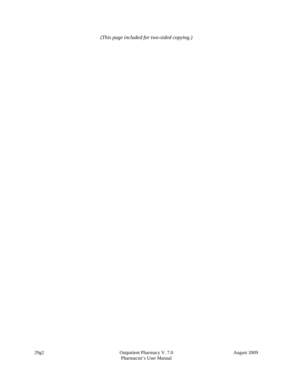*(This page included for two-sided copying.)*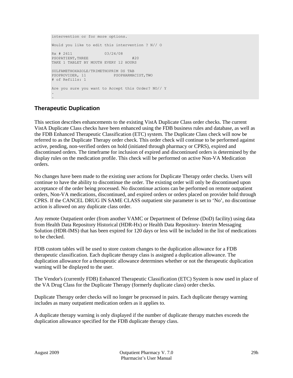```
intervention or for more options.
Would you like to edit this intervention ? N// O
Rx # 2611 03/24/08
PSOPATIENT, THREE #20TAKE 1 TABLET BY MOUTH EVERY 12 HOURS
SULFAMETHOXAZOLE/TRIMETHOPRIM DS TAB
PSOPROVIDER, 11 PSOPHARMACIST, TWO
# of Refills: 1
Are you sure you want to Accept this Order? NO// Y
.
.
```
## **Therapeutic Duplication**

This section describes enhancements to the existing VistA Duplicate Class order checks. The current VistA Duplicate Class checks have been enhanced using the FDB business rules and database, as well as the FDB Enhanced Therapeutic Classification (ETC) system. The Duplicate Class check will now be referred to as the Duplicate Therapy order check. This order check will continue to be performed against active, pending, non-verified orders on hold (initiated through pharmacy or CPRS), expired and discontinued orders. The timeframe for inclusion of expired and discontinued orders is determined by the display rules on the medication profile. This check will be performed on active Non-VA Medication orders.

No changes have been made to the existing user actions for Duplicate Therapy order checks. Users will continue to have the ability to discontinue the order. The existing order will only be discontinued upon acceptance of the order being processed. No discontinue actions can be performed on remote outpatient orders, Non-VA medications, discontinued, and expired orders or orders placed on provider hold through CPRS. If the CANCEL DRUG IN SAME CLASS outpatient site parameter is set to 'No', no discontinue action is allowed on any duplicate class order.

Any remote Outpatient order (from another VAMC or Department of Defense (DoD) facility) using data from Health Data Repository Historical (HDR-Hx) or Health Data Repository- Interim Messaging Solution (HDR-IMS) that has been expired for 120 days or less will be included in the list of medications to be checked.

FDB custom tables will be used to store custom changes to the duplication allowance for a FDB therapeutic classification. Each duplicate therapy class is assigned a duplication allowance. The duplication allowance for a therapeutic allowance determines whether or not the therapeutic duplication warning will be displayed to the user.

The Vendor's (currently FDB) Enhanced Therapeutic Classification (ETC) System is now used in place of the VA Drug Class for the Duplicate Therapy (formerly duplicate class) order checks.

Duplicate Therapy order checks will no longer be processed in pairs. Each duplicate therapy warning includes as many outpatient medication orders as it applies to.

A duplicate therapy warning is only displayed if the number of duplicate therapy matches exceeds the duplication allowance specified for the FDB duplicate therapy class.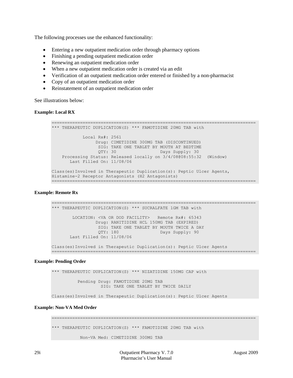The following processes use the enhanced functionality:

- Entering a new outpatient medication order through pharmacy options
- Finishing a pending outpatient medication order
- Renewing an outpatient medication order
- When a new outpatient medication order is created via an edit
- Verification of an outpatient medication order entered or finished by a non-pharmacist
- Copy of an outpatient medication order
- Reinstatement of an outpatient medication order

See illustrations below:

#### **Example: Local RX**

```
===============================================================================
*** THERAPEUTIC DUPLICATION(S) *** FAMOTIDINE 20MG TAB with 
            Local Rx#: 2561
                 Drug: CIMETIDINE 300MG TAB (DISCONTINUED)
                  SIG: TAKE ONE TABLET BY MOUTH AT BEDTIME 
                 QTY: 30 Days Supply: 30
    Processing Status: Released locally on 3/4/08@08:55:32 (Window)
       Last Filled On: 11/08/06
Class(es)Involved in Therapeutic Duplication(s): Peptic Ulcer Agents, 
Histamine-2 Receptor Antagonists (H2 Antagonists)
===============================================================================
```
#### **Example: Remote Rx**

=============================================================================== \*\*\* THERAPEUTIC DUPLICATION(S) \*\*\* SUCRALFATE 1GM TAB with LOCATION: <VA OR DOD FACILITY> Remote Rx#: 65343 Drug: RANITIDINE HCL 150MG TAB (EXPIRED) SIG: TAKE ONE TABLET BY MOUTH TWICE A DAY<br>OTY: 180 Days Supply: 90 Days Supply: 90 Last Filled On: 11/08/06 Class(es)Involved in Therapeutic Duplication(s): Peptic Ulcer Agents ===============================================================================

#### **Example: Pending Order**

\*\*\* THERAPEUTIC DUPLICATION(S) \*\*\* NIZATIDINE 150MG CAP with Pending Drug: FAMOTIDINE 20MG TAB SIG: TAKE ONE TABLET BY TWICE DAILY

Class(es)Involved in Therapeutic Duplication(s): Peptic Ulcer Agents

## **Example: Non-VA Med Order**

```
===============================================================================
*** THERAPEUTIC DUPLICATION(S) *** FAMOTIDINE 20MG TAB with 
           Non-VA Med: CIMETIDINE 300MG TAB
```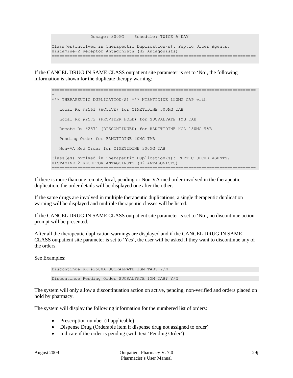Dosage: 300MG Schedule: TWICE A DAY Class(es)Involved in Therapeutic Duplication(s): Peptic Ulcer Agents, Histamine-2 Receptor Antagonists (H2 Antagonists) ===============================================================================

If the CANCEL DRUG IN SAME CLASS outpatient site parameter is set to 'No', the following information is shown for the duplicate therapy warning:

=============================================================================== = \*\*\* THERAPEUTIC DUPLICATION(S) \*\*\* NIZATIDINE 150MG CAP with Local Rx #2561 (ACTIVE) for CIMETIDINE 300MG TAB Local Rx #2572 (PROVIDER HOLD) for SUCRALFATE 1MG TAB Remote Rx #2571 (DISCONTINUED) for RANITIDINE HCL 150MG TAB Pending Order for FAMOTIDINE 20MG TAB Non-VA Med Order for CIMETIDINE 300MG TAB Class(es)Involved in Therapeutic Duplication(s): PEPTIC ULCER AGENTS, HISTAMINE-2 RECEPTOR ANTAGOINSTS (H2 ANTAGONISTS) ===============================================================================

If there is more than one remote, local, pending or Non-VA med order involved in the therapeutic duplication, the order details will be displayed one after the other.

If the same drugs are involved in multiple therapeutic duplications, a single therapeutic duplication warning will be displayed and multiple therapeutic classes will be listed.

If the CANCEL DRUG IN SAME CLASS outpatient site parameter is set to 'No', no discontinue action prompt will be presented.

After all the therapeutic duplication warnings are displayed and if the CANCEL DRUG IN SAME CLASS outpatient site parameter is set to 'Yes', the user will be asked if they want to discontinue any of the orders.

See Examples:

Discontinue RX #2580A SUCRALFATE 1GM TAB? Y/N Discontinue Pending Order SUCRALFATE 1GM TAB? Y/N

The system will only allow a discontinuation action on active, pending, non-verified and orders placed on hold by pharmacy.

The system will display the following information for the numbered list of orders:

- Prescription number (if applicable)
- Dispense Drug (Orderable item if dispense drug not assigned to order)
- Indicate if the order is pending (with text 'Pending Order')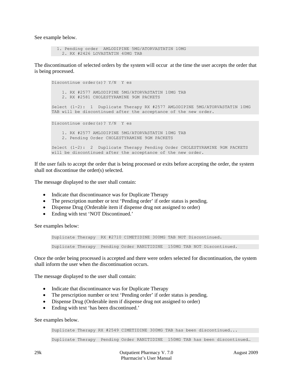See example below.

```
 1. Pending order AMLODIPINE 5MG/ATORVASTATIN 10MG
  2. RX #2426 LOVASTATIN 40MG TAB
```
The discontinuation of selected orders by the system will occur at the time the user accepts the order that is being processed.

```
Discontinue order(s)? Y/N Y es
     1. RX #2577 AMLODIPINE 5MG/ATORVASTATIN 10MG TAB
     2. RX #2581 CHOLESTYRAMINE 9GM PACKETS
Select (1-2): 1 Duplicate Therapy RX #2577 AMLODIPINE 5MG/ATORVASTATIN 10MG 
TAB will be discontinued after the acceptance of the new order.
Discontinue order(s)? Y/N Y es
     1. RX #2577 AMLODIPINE 5MG/ATORVASTATIN 10MG TAB
     2. Pending Order CHOLESTYRAMINE 9GM PACKETS
Select (1-2): 2 Duplicate Therapy Pending Order CHOLESTYRAMINE 9GM PACKETS 
will be discontinued after the acceptance of the new order.
```
If the user fails to accept the order that is being processed or exits before accepting the order, the system shall not discontinue the order(s) selected.

The message displayed to the user shall contain:

- Indicate that discontinuance was for Duplicate Therapy
- The prescription number or text 'Pending order' if order status is pending.
- Dispense Drug (Orderable item if dispense drug not assigned to order)
- Ending with text 'NOT Discontinued.'

See examples below:

```
Duplicate Therapy RX #2710 CIMETIDINE 300MG TAB NOT Discontinued.
Duplicate Therapy Pending Order RANITIDINE 150MG TAB NOT Discontinued.
```
Once the order being processed is accepted and there were orders selected for discontinuation, the system shall inform the user when the discontinuation occurs.

The message displayed to the user shall contain:

- Indicate that discontinuance was for Duplicate Therapy
- The prescription number or text 'Pending order' if order status is pending.
- Dispense Drug (Orderable item if dispense drug not assigned to order)
- Ending with text 'has been discontinued.'

See examples below.

```
Duplicate Therapy RX #2549 CIMETIDINE 300MG TAB has been discontinued...
```
Duplicate Therapy Pending Order RANITIDINE 150MG TAB has been discontinued…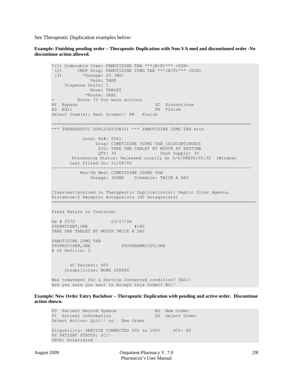See Therapeutic Duplication examples below:

**Example: Finishing pending order – Therapeutic Duplication with Non-VA med and discontinued order -No discontinue action allowed.**

```
*(1) Orderable Item: FAMOTIDINE TAB ***(N/F)*** <DIN> 
 (2) CMOP Drug: FAMOTIDINE 20MG TAB ***(N/F)*** \langleDIN> *Dosage: 20 (MG)
          (3) *Dosage: 20 (MG) 
              Verb: TAKE 
     Dispense Units: 1 
              Noun: TABLET 
*Route: ORAL<br>+ Finter ?? for mount
+ Enter ?? for more actions 
BY Bypass DC Discontinue
ED Edit FN Finish
Select Item(s): Next Screen// FN Finish
=============================================================================
*** THERAPEUTIC DUPLICATION(S) *** FAMOTIDINE 20MG TAB with 
            Local Rx#: 2561
                 Drug: CIMETIDINE 300MG TAB (DISCONTINUED)
                  SIG: TAKE ONE TABLET BY MOUTH AT BEDTIME 
                 QTY: 30 Days Supply: 30
       Processing Status: Released locally on 3/4/08@08:55:32 (Window)
       Last Filled On: 11/08/06 
-----------------------------------------------------------------------------
          Non-VA Med: CIMETIDINE 300MG TAB
               Dosage: 300MG Schedule: TWICE A DAY 
Class(es)Involved in Therapeutic Duplication(s): Peptic Ulcer Agents, 
Histamine-2 Receptor Antagonists (H2 Antagonists)
===============================================================================
Press Return to Continue: 
Rx # 2570 03/07/08
PSOPATIENT,ONE #180
TAKE ONE TABLET BY MOUTH TWICE A DAY
FAMOTIDINE 20MG TAB
PSOPROVIDER, ONE PSOPHARMACIST, ONE
# of Refills: 3
       SC Percent: 80%
     Disabilities: NONE STATED
Was treatment for a Service Connected condition? YES// 
Are you sure you want to Accept this Order? NO//
```
**Example: New Order Entry Backdoor – Therapeutic Duplication with pending and active order. Discontinue action shown.**

PU Patient Record Update NO New Order PI Patient Information No. 80 Select Order Select Action: Quit// no New Order Eligibility: SERVICE CONNECTED 50% to 100% SC%: 80 RX PATIENT STATUS: SC// DRUG: Nizatidine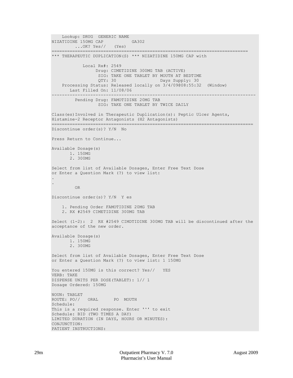Lookup: DRUG GENERIC NAME<br>ZATIDINE 150MG CAP GA302 NIZATIDINE 150MG CAP ...OK? Yes// (Yes) ============================================================================ \*\*\* THERAPEUTIC DUPLICATION(S) \*\*\* NIZATIDINE 150MG CAP with Local Rx#: 2549 Drug: CIMETIDINE 300MG TAB (ACTIVE) SIG: TAKE ONE TABLET BY MOUTH AT BEDTIME<br>OTY: 30 Days Supply: 30 Days Supply: 30 Processing Status: Released locally on 3/4/09@08:55:32 (Window) Last Filled On: 11/08/06 ------------------------------------------------------------------------------- Pending Drug: FAMOTIDINE 20MG TAB SIG: TAKE ONE TABLET BY TWICE DAILY Class(es)Involved in Therapeutic Duplication(s): Peptic Ulcer Agents, Histamine-2 Receptor Antagonists (H2 Antagonists) ============================================================================== Discontinue order(s)? Y/N No Press Return to Continue... Available Dosage(s) 1. 150MG 2. 300MG Select from list of Available Dosages, Enter Free Text Dose or Enter a Question Mark (?) to view list: . . OR Discontinue order(s)? Y/N Y es 1. Pending Order FAMOTIDINE 20MG TAB 2. RX #2549 CIMETIDINE 300MG TAB Select (1-2): 2 RX #2549 CIMDTIDINE 300MG TAB will be discontinued after the acceptance of the new order. Available Dosage(s) 1. 150MG 2. 300MG Select from list of Available Dosages, Enter Free Text Dose or Enter a Question Mark (?) to view list: 1 150MG You entered 150MG is this correct? Yes// YES VERB: TAKE DISPENSE UNITS PER DOSE(TABLET): 1// 1 Dosage Ordered: 150MG NOUN: TABLET ROUTE: PO// ORAL PO MOUTH Schedule: This is a required response. Enter '^' to exit Schedule: BID (TWO TIMES A DAY) LIMITED DURATION (IN DAYS, HOURS OR MINUTES): CONJUNCTION: PATIENT INSTRUCTIONS: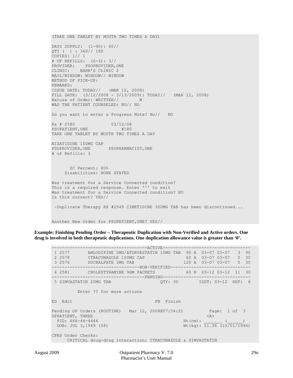(TAKE ONE TABLET BY MOUTH TWO TIMES A DAY) DAYS SUPPLY: (1-90): 60// QTY ( ) : 360// 180 COPIES: 1// 1 # OF REFILLS: (0-3): 3// PROVIDER: PSOPROVIDER, ONE<br>CLINIC: BARB'S CLINIC 2 BARB'S CLINIC 2 MAIL/WINDOW: WINDOW// WINDOW METHOD OF PICK-UP: REMARKS: ISSUE DATE: TODAY// (MAR 12, 2008) FILL DATE:  $(3/12/2008 - 3/13/2009)$ : TODAY// (MAR 12, 2008)<br>Nature of Order: WRITTEN// W Nature of Order: WRITTEN// WAS THE PATIENT COUNSELED: NO// NO Do you want to enter a Progress Note? No// NO Rx # 2580 03/12/08 PSOPATIENT,ONE #180 TAKE ONE TABLET BY MOUTH TWO TIMES A DAY NIZATIDINE 150MG CAP<br>PSOPROVIDER, ONE PSOPHARMACIST, ONE # of Refills: 3 SC Percent: 80% Disabilities: NONE STATED Was treatment for a Service Connected condition? This is a required response. Enter '^' to exit Was treatment for a Service Connected condition? NO Is this correct? YES// -Duplicate Therapy RX #2549 CIMETIDINE 300MG TAB has been discontinued...

Another New Order for PSOPATIENT,ONE? YES//

**Example: Finishing Pending Order – Therapeutic Duplication with Non-Verified and Active orders. One drug is involved in both therapeutic duplications. One duplication allowance value is greater than '0'.**

-------------------------------------ACTIVE---------------------------------- 1 2577 AMLODIPINE 5MG/ATORVASTATIN 10MG TAB 90 A 03-07 03-07 3 90 2 2578 ITRACONAZOLE 100MG CAP 60 A 03-07 03-07 0 30 3 2576 SUCRALFATE 1MG TAB 120 A 03-07 03-07 0 30 -----------------------------------NON-VERIFIED---------------------------------4 2581 CHOLESTYRAMINE 9GM PACKETS 60 N 03-12 03-12 11 30 ------------------------------------PENDING---------------------------------- 5 SIMVASTATIN 20MG TAB QTY: 30 ISDT: 03-12 REF: 6 Enter ?? for more actions ED Edit FN Finish Pending OP Orders (ROUTINE) Mar 12, 2008@07:54:21 Page: 1 of 3<br>OPPATIENT, THREE <A> OPPATIENT, THREE<br>
PID: 666-44-4444<br>
Ht(cm): PID: 666-44-4444<br>DOB: JUL 3,1949 (58)  $Wt(kg): 51.36 (10/01/1996)$ CPRS Order Checks: CRITICAL drug-drug interaction: ITRACONAZOLE & SIMVASTATIN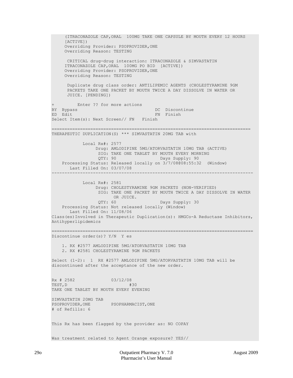(ITRACONAZOLE CAP,ORAL 100MG TAKE ONE CAPSULE BY MOUTH EVERY 12 HOURS [ACTIVE]) Overriding Provider: PSOPROVIDER,ONE Overriding Reason: TESTING CRITICAL drug-drug interaction: ITRACONAZOLE & SIMVASTATIN ITRACONAZOLE CAP,ORAL 100MG PO BID [ACTIVE]) Overriding Provider: PSOPROVIDER,ONE Overriding Reason: TESTING Duplicate drug class order: ANTILIPEMIC AGENTS (CHOLESTYRAMINE 9GM PACKETS TAKE ONE PACKET BY MOUTH TWICE A DAY DISSOLVE IN WATER OR JUICE. [PENDING])  $\ddot{+}$ + Enter ?? for more actions BY Bypass DC Discontinue FN Finish Select Item(s): Next Screen// FN Finish ============================================================================= THERAPEUTIC DUPLICATION(S) \*\*\* SIMVASTATIN 20MG TAB with Local Rx#: 2577 Drug: AMLODIPINE 5MG/ATORVASTATIN 10MG TAB (ACTIVE) SIG: TAKE ONE TABLET BY MOUTH EVERY MORNING<br>QTY: 90 Days Supply: 90 Days Supply: 90 Processing Status: Released locally on 3/7/08@08:55:32 (Window) Last Filled On: 03/07/08 ------------------------------------------------------------------------------ Local Rx#: 2581 Drug: CHOLESTYRAMINE 9GM PACKETS (NON-VERIFIED) SIG: TAKE ONE PACKET BY MOUTH TWICE A DAY DISSOLVE IN WATER OR JUICE.<br>QTY: 60 QTY: 60 Days Supply: 30 Processing Status: Not released locally (Window) Last Filled On: 11/08/06 Class(es)Involved in Therapeutic Duplication(s): HMGCo-A Reductase Inhibitors, Antihyperlipidemics ============================================================================== Discontinue order(s)? Y/N Y es 1. RX #2577 AMLODIPINE 5MG/ATORVASTATIN 10MG TAB 2. RX #2581 CHOLESTYRAMINE 9GM PACKETS Select (1-2): 1 RX #2577 AMLODIPINE 5MG/ATORVASTATIN 10MG TAB will be discontinued after the acceptance of the new order. Rx # 2582 03/12/08<br>TEST, D #30 TEST,D #30 TAKE ONE TABLET BY MOUTH EVERY EVENING SIMVASTATIN 20MG TAB PSOPROVIDER, ONE PSOPHARMACIST, ONE # of Refills: 6 This Rx has been flagged by the provider as: NO COPAY Was treatment related to Agent Orange exposure? YES//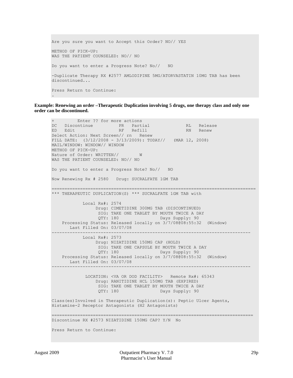```
Are you sure you want to Accept this Order? NO// YES
METHOD OF PICK-UP: 
WAS THE PATIENT COUNSELED: NO// NO
Do you want to enter a Progress Note? No// NO
-Duplicate Therapy RX #2577 AMLODIPINE 5MG/ATORVASTATIN 10MG TAB has been 
discontinued...
Press Return to Continue: 
.
```
**Example: Renewing an order –Therapeutic Duplication involving 5 drugs, one therapy class and only one order can be discontinued.** 

```
Enter ?? for more actions
DC Discontinue PR Partial RL Release
ED Edit RF Refill RN Renew
Select Action: Next Screen// rn Renew 
FILL DATE: (3/12/2008 - 3/13/2009): TODAY// (MAR 12, 2008)
MAIL/WINDOW: WINDOW// WINDOW
METHOD OF PICK-UP: 
Nature of Order: WRITTEN// W
WAS THE PATIENT COUNSELED: NO// NO
Do you want to enter a Progress Note? No// NO
Now Renewing Rx # 2580 Drug: SUCRALFATE 1GM TAB
===============================================================================
*** THERAPEUTIC DUPLICATION(S) *** SUCRALFATE 1GM TAB with 
             Local Rx#: 2574
                  Drug: CIMETIDINE 300MG TAB (DISCONTINUED)
                  SIG: TAKE ONE TABLET BY MOUTH TWICE A DAY<br>QTY: 180 Days Supply: 90
                                         Days Supply: 90
     Processing Status: Released locally on 3/7/08@08:55:32 (Window) 
       Last Filled On: 03/07/08 
-----------------------------------------------------------------------------
             Local Rx#: 2573
                  Drug: NIZATIDINE 150MG CAP (HOLD)
                  SIG: TAKE ONE CAPSULE BY MOUTH TWICE A DAY<br>QTY: 180 Days Supply: 90
                                         Days Supply: 90
     Processing Status: Released locally on 3/7/08@08:55:32 (Window) 
       Last Filled On: 03/07/08 
            -----------------------------------------------------------------------------
              LOCATION: <VA OR DOD FACILITY> Remote Rx#: 65343 
                  Drug: RANITIDINE HCL 150MG TAB (EXPIRED)
                  SIG: TAKE ONE TABLET BY MOUTH TWICE A DAY<br>QTY: 180 Days Supply: 90
                                          Days Supply: 90
Class(es)Involved in Therapeutic Duplication(s): Peptic Ulcer Agents,
Histamine-2 Receptor Antagonists (H2 Antagonists)
       ==============================================================================
Discontinue RX #2573 NIZATIDINE 150MG CAP? Y/N No
Press Return to Continue:
```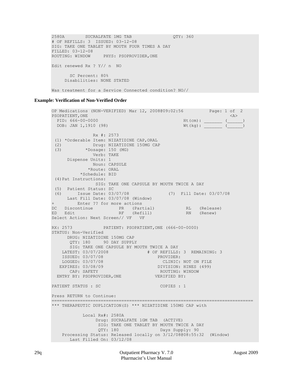2580A SUCRALFATE 1MG TAB QTY: 360 # OF REFILLS: 3 ISSUED: 03-12-08 SIG: TAKE ONE TABLET BY MOUTH FOUR TIMES A DAY FILLED: 03-12-08<br>ROUTING: WINDOW PHYS: PSOPROVIDER, ONE Edit renewed Rx ? Y// n NO SC Percent: 80% Disabilities: NONE STATED

Was treatment for a Service Connected condition? NO//

#### **Example: Verification of Non-Verified Order**

```
OP Medications (NON-VERIFIED) Mar 12, 2008@09:02:56 Page: 1 of 2<br>PSOPATIENT, ONE <A>
PSOPATIENT, ONE<br>
PID: 666-00-0000<br>
At (cm):
   PID: 666-00-0000 Ht(cm): _______ (______) 
  DOB: JAN 1,1910 (98)
                 Rx #: 2573 
 (1) *Orderable Item: NIZATIDINE CAP, ORAL<br>(2) Drug: NIZATIDINE 150MG CAI
 (2) Drug: NIZATIDINE 150MG CAP<br>(3) *Dosage: 150 (MG)
              (3) *Dosage: 150 (MG) 
                 Verb: TAKE 
       Dispense Units: 1 
                 Noun: CAPSULE 
                *Route: ORAL 
             *Schedule: BID 
 (4)Pat Instructions: 
                   SIG: TAKE ONE CAPSULE BY MOUTH TWICE A DAY 
 (5) Patient Status: SC 
      (6) Issue Date: 03/07/08 (7) Fill Date: 03/07/08 
       Last Fill Date: 03/07/08 (Window) 
       Enter ?? for more actions<br>iscontinue PR (Partial)
DC Discontinue PR (Partial) RL (Release)
ED Edit RF (Refill) RN (Renew)
Select Action: Next Screen// VF VF
RX: 2573 PATIENT: PSOPATIENT,ONE (666-00-0000) 
STATUS: Non-Verified 
       DRUG: NIZATIDINE 150MG CAP
       QTY: 180 90 DAY SUPPLY
        SIG: TAKE ONE CAPSULE BY MOUTH TWICE A DAY
     LATEST: 03/07/2008 # OF REFILLS: 3 REMAINING: 3
    ISSUED: 03/07/08<br>LOGGED: 03/07/08
  LOGGED: 03/07/08 CLINIC: NOT ON FILE<br>EXPIRES: 03/08/09 DIVISION: HINES (499)
      exponent to the control of the control of the capture of the capture of the capture of the capture of the control of the capture of the capture of the capture of the capture of the capture of the control of the capture of 
                                           ROUTING: WINDOW<br>VERIFIED BY:
  ENTRY BY: PSOPROVIDER, ONE
PATIENT STATUS : SC COPIES : 1
Press RETURN to Continue: 
==============================================================================
*** THERAPEUTIC DUPLICATION(S) *** NIZATIDINE 150MG CAP with 
              Local Rx#: 2580A
                   Drug: SUCRALFATE 1GM TAB (ACTIVE)
                    SIG: TAKE ONE TABLET BY MOUTH TWICE A DAY<br>QTY: 180 Days Supply: 90
                                             Days Supply: 90
     Processing Status: Released locally on 3/12/08@08:55:32 (Window)
        Last Filled On: 03/12/08
```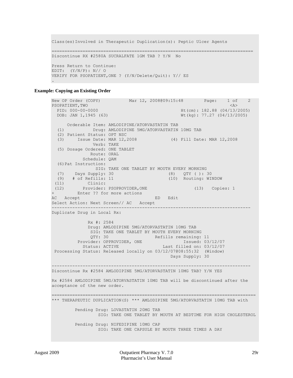```
Class(es)Involved in Therapeutic Duplication(s): Peptic Ulcer Agents
==============================================================================
Discontinue RX #2580A SUCRALFATE 1GM TAB ? Y/N No 
Press Return to Continue: 
EDIT: (Y/N/P): N// O
VERIFY FOR PSOPATIENT,ONE ? (Y/N/Delete/Quit): Y// ES
.
```
#### **Example: Copying an Existing Order**

```
New OP Order (COPY) Mar 12, 2008@09:15:48 Page: 1 of 2<br>PSOPATIENT.TWO <A>
PSOPATIENT,TWO<br>PID: 000-00-0000
  PID: 000-00-0000 Ht(cm): 182.88 (04/13/2005)<br>DOB: JAN 1,1945 (63) Wt(kg): 77.27 (04/13/2005)
                                                 Wt(kg): 77.27 (04/13/2005)
  Orderable Item: AMLODIPINE/ATORVASTATIN TAB<br>(1) Drug: AMLODIPINE 5MG/ATORVASTATIN
               (1) Drug: AMLODIPINE 5MG/ATORVASTATIN 10MG TAB 
   (2) Patient Status: OPT NSC 
   (3) Issue Date: MAR 12,2008 (4) Fill Date: MAR 12,2008 
                Verb: TAKE 
   (5) Dosage Ordered: ONE TABLET 
               Route: ORAL 
            Schedule: QAM 
   (6)Pat Instruction: 
                 SIG: TAKE ONE TABLET BY MOUTH EVERY MORNING 
 (7) Days Supply: 30 (8) QTY ( ): 30 
 (9) # of Refills: 11 (10) Routing: WINDOW 
 (11) Clinic: 
 (12) Provider: PSOPROVIDER,ONE (13) Copies: 1 
+ Enter ?? for more actions 
                                     ED Edit
Select Action: Next Screen// AC Accept
                                      -----------------------------------------------------------------------------
Duplicate Drug in Local Rx:
              Rx #: 2584
              Drug: AMLODIPINE 5MG/ATORVASTATIN 10MG TAB
               SIG: TAKE ONE TABLET BY MOUTH EVERY MORNING
 QTY: 30 Refills remaining: 11
Provider: OPPROVIDER, ONE                 Issued: 03/12/07
 Status: ACTIVE Last filled on: 03/12/07
Processing Status: Released locally on 03/12/07@08:55:32 (Window) 
                                              Days Supply: 30
      -----------------------------------------------------------------------------
Discontinue Rx #2584 AMLODIPINE 5MG/ATORVASTATIN 10MG TAB? Y/N YES
Rx #2584 AMLODIPINE 5MG/ATORVASTATIN 10MG TAB will be discontinued after the 
acceptance of the new order.
===============================================================================
*** THERAPEUTIC DUPLICATION(S) *** AMLODIPINE 5MG/ATORVASTATIN 10MG TAB with 
          Pending Drug: LOVASTATIN 20MG TAB
                  SIG: TAKE ONE TABLET BY MOUTH AT BEDTIME FOR HIGH CHOLESTEROL
          Pending Drug: NIFEDIPINE 10MG CAP
                  SIG: TAKE ONE CAPSULE BY MOUTH THREE TIMES A DAY
```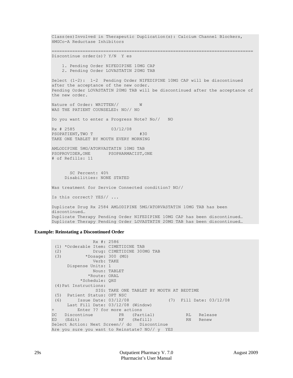```
Class(es)Involved in Therapeutic Duplication(s): Calcium Channel Blockers, 
HMGCo-A Reductase Inhibitors
==============================================================================
Discontinue order(s)? Y/N Y es
     1. Pending Order NIFEDIPINE 10MG CAP
     2. Pending Order LOVASTATIN 20MG TAB
Select (1-2): 1-2 Pending Order NIFEDIPINE 10MG CAP will be discontinued 
after the acceptance of the new order.
Pending Order LOVASTATIN 20MG TAB will be discontinued after the acceptance of 
the new order.
Nature of Order: WRITTEN// W
WAS THE PATIENT COUNSELED: NO// NO
Do you want to enter a Progress Note? No// NO
Rx # 2585 03/12/08
PSOPATIENT, TWO T #30
TAKE ONE TABLET BY MOUTH EVERY MORNING
AMLODIPINE 5MG/ATORVASTATIN 10MG TAB
PSOPROVIDER, ONE PSOPHARMACIST, ONE
# of Refills: 11
       SC Percent: 40%
      Disabilities: NONE STATED
Was treatment for Service Connected condition? NO// 
Is this correct? YES// ...
Duplicate Drug Rx 2584 AMLODIPINE 5MG/ATORVASTATIN 10MG TAB has been 
discontinued…
Duplicate Therapy Pending Order NIFEDIPINE 10MG CAP has been discontinued…
Duplicate Therapy Pending Order LOVASTATIN 20MG TAB has been discontinued…
```
#### **Example: Reinstating a Discontinued Order**

```
 Rx #: 2586 
 (1) *Orderable Item: CIMETIDINE TAB<br>(2) Drug: CIMETIDINE 3001
 (2) Drug: CIMETIDINE 300MG TAB<br>(3) *Dosage: 300 (MG)
            (3) *Dosage: 300 (MG) 
                Verb: TAKE 
       Dispense Units: 1 
                Noun: TABLET 
               *Route: ORAL 
            *Schedule: QHS 
 (4)Pat Instructions: 
                 SIG: TAKE ONE TABLET BY MOUTH AT BEDTIME 
 (5) Patient Status: OPT NSC 
 (6) Issue Date: 03/12/08 (7) Fill Date: 03/12/08 
Last Fill Date: 03/12/08 (Window)<br>+ Enter ?? for more actions
+ Enter ?? for more actions 
DC Discontinue PR (Partial) RL Release
ED (Edit) RF (Refill) RN Renew
Select Action: Next Screen// dc Discontinue 
Are you sure you want to Reinstate? NO// y YES
```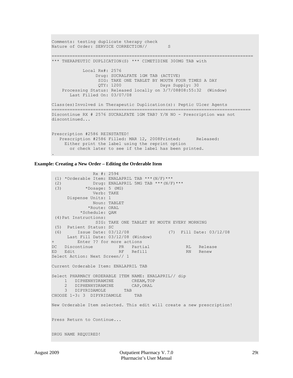```
Comments: testing duplicate therapy check
Nature of Order: SERVICE CORRECTION// S
   ==============================================================================
*** THERAPEUTIC DUPLICATION(S) *** CIMETIDINE 300MG TAB with 
             Local Rx#: 2576
                  Drug: SUCRALFATE 1GM TAB (ACTIVE)
                  SIG: TAKE ONE TABLET BY MOUTH FOUR TIMES A DAY<br>QTY: 1200 Days Supply: 30
                  QTY: 1200 Processing Status: Released locally on 3/7/08@08:55:32 (Window) 
        Last Filled On: 03/07/08 
Class(es)Involved in Therapeutic Duplication(s): Peptic Ulcer Agents
=============================================================================
Discontinue RX # 2576 SUCRALFATE 1GM TAB? Y/N NO - Prescription was not 
discontinued...
Prescription #2586 REINSTATED!
   Prescription #2586 Filled: MAR 12, 2008Printed: Released:
      Either print the label using the reprint option 
        or check later to see if the label has been printed.
```
**Example: Creating a New Order – Editing the Orderable Item**

```
 Rx #: 2594 
 (1) *Orderable Item: ENALAPRIL TAB *** (N/F)***<br>(2) Drug: ENALAPRIL 5MG TAB *** (N/F)(2) Drug: ENALAPRIL 5MG TAB *** (N/F)*** (3) *Dosage: 5 (MG)
              (3) *Dosage: 5 (MG) 
                  Verb: TAKE 
       Dispense Units: 1 
                  Noun: TABLET 
                 *Route: ORAL 
             *Schedule: QAM 
 (4)Pat Instructions: 
                   SIG: TAKE ONE TABLET BY MOUTH EVERY MORNING 
 (5) Patient Status: SC<br>(6) Issue Date: 03/12/08
                                                  (6) Issue Date: 03/12/08 (7) Fill Date: 03/12/08 
Last Fill Date: 03/12/08 (Window)<br>+ Enter ?? for more actions
+ Enter ?? for more actions<br>DC Discontinue PR Partial
DC Discontinue PR Partial RL Release
ED Edit RF Refill RN Renew
Select Action: Next Screen// 1 
Current Orderable Item: ENALAPRIL TAB
Select PHARMACY ORDERABLE ITEM NAME: ENALAPRIL// dip
     1 DIPHENHYDRAMINE CREAM, TOP<br>2 DIPHENHYDRAMINE CAP, ORAL
     2 DIPHENHYDRAMINE (3 DIPYRIDAMOLE TAB
        DIPYRIDAMOLE
CHOOSE 1-3: 3 DIPYRIDAMOLE TAB 
New Orderable Item selected. This edit will create a new prescription!
Press Return to Continue...
DRUG NAME REQUIRED!
```
.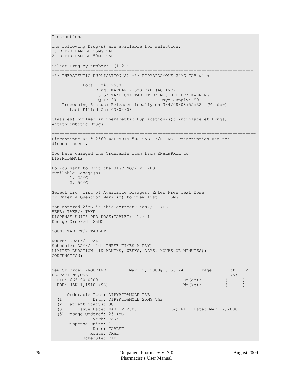Instructions: The following Drug(s) are available for selection: 1. DIPYRIDAMOLE 25MG TAB 2. DIPYRIDAMOLE 50MG TAB Select Drug by number: (1-2): 1 ============================================================================== \*\*\* THERAPEUTIC DUPLICATION(S) \*\*\* DIPYRIDAMOLE 25MG TAB with Local Rx#: 2560 Drug: WAFFARIN 5MG TAB (ACTIVE) SIG: TAKE ONE TABLET BY MOUTH EVERY EVENING<br>QTY: 90 Days Supply: 90 Days Supply: 90 Processing Status: Released locally on 3/4/08@08:55:32 (Window) Last Filled On: 03/04/08 Class(es)Involved in Therapeutic Duplication(s): Antiplatelet Drugs, Antithrombotic Drugs =============================================================================== Discontinue RX # 2560 WAFFARIN 5MG TAB? Y/N NO -Prescription was not discontinued... You have changed the Orderable Item from ENALAPRIL to DIPYRIDAMOLE. Do You want to Edit the SIG? NO// y YES Available Dosage(s) 1. 25MG 2. 50MG Select from list of Available Dosages, Enter Free Text Dose or Enter a Question Mark (?) to view list: 1 25MG You entered 25MG is this correct? Yes// YES VERB: TAKE// TAKE DISPENSE UNITS PER DOSE(TABLET): 1// 1 Dosage Ordered: 25MG NOUN: TABLET// TABLET ROUTE: ORAL// ORAL Schedule: QAM// tid (THREE TIMES A DAY) LIMITED DURATION (IN MONTHS, WEEKS, DAYS, HOURS OR MINUTES): CONJUNCTION: New OP Order (ROUTINE) Mar 12, 2008@10:58:24 Page: 1 of 2<br>PSOPATIENT.ONE <A> PSOPATIENT, ONE<br>PID: 666-00-0000 Htt (cm): PID: 666-00-0000 Ht(cm): \_\_\_\_\_\_\_ (\_\_\_\_\_\_) DOB: JAN 1,1910 (98) Orderable Item: DIPYRIDAMOLE TAB<br>(1) Drug: DIPYRIDAMOLE 25M Drug: DIPYRIDAMOLE 25MG TAB (2) Patient Status: SC<br>(3) Issue Date: MAR 12,2008 (4) Fill Date: MAR 12,2008 (5) Dosage Ordered: 25 (MG) Verb: TAKE Dispense Units: 1 Noun: TABLET Route: ORAL Schedule: TID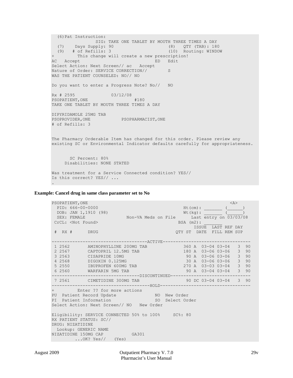```
 (6)Pat Instruction: 
                SIG: TAKE ONE TABLET BY MOUTH THREE TIMES A DAY<br>upply: 90 (8) QTY (TAB): 180
 (7) Days Supply: 90 (8) QTY (TAB): 180<br>(9) # of Refills: 3 (10) Routing: WINDOW
(9) \# of Refills: 3<br>+ This change wild
+ This change will create a new prescription! 
                                  ED Edit
Select Action: Next Screen// ac Accept 
Nature of Order: SERVICE CORRECTION// S
WAS THE PATIENT COUNSELED: NO// NO
Do you want to enter a Progress Note? No// NO
Rx # 2595 03/12/08
PSOPATIENT, ONE #180
TAKE ONE TABLET BY MOUTH THREE TIMES A DAY
DIPYRIDAMOLE 25MG TAB
PSOPROVIDER, ONE PSOPHARMACIST, ONE
# of Refills: 3
The Pharmacy Orderable Item has changed for this order. Please review any
existing SC or Environmental Indicator defaults carefully for appropriateness.
        SC Percent: 80%
      Disabilities: NONE STATED
Was treatment for a Service Connected condition? YES// 
Is this correct? YES// ...
.
```
#### **Example: Cancel drug in same class parameter set to No**

| PID: 666-00-0000<br>DOB: JAN 1,1910 (98)<br>$Wt (kg):$ (1) $($<br>SEX: FEMALE Mon-VA Meds on File Last entry on 03/03/08<br>CrCL: <not found=""><br/><math>BSA</math> (m2):<br/>ISSUE LAST REF DAY<br/># RX # DRUG<br/>OTY ST DATE FILL REM SUP<br/>----------------------------------ACTIVE----------------------------------<br/>1 2562 AMINOPHYLLINE 200MG TAB 360 A 03-04 03-04 3 90<br/>180 A 03-06 03-06 3 90<br/>2 2567 CAPTOPRIL 12.5MG TAB<br/><math>\begin{array}{ccccccccc}\n &amp; 90 &amp; A &amp; 03-06 &amp; 03-06 &amp; 3 &amp; 90 \\  &amp; 30 &amp; A &amp; 03-06 &amp; 03-06 &amp; 3 &amp; 90\n\end{array}</math><br/>3 2563 CISAPRIDE 10MG<br/>4 2568 DIGOXIN 0.125MG<br/>270 A 03-03 03-04 3 90<br/>5 2550 IBUPROFEN 600MG TAB<br/>90 A 03-04 03-04 3 90<br/>6 2560 WARFARIN 5MG TAB<br/>--------------------------------DISCONTINUED-------------------------------<br/>7 2561 CIMETIDINE 300MG TAB 90 DC 03-04 03-04 3 90<br/>+ Enter ?? for more actions<br/>PU Patient Record Update NO New Order<br/>PI Patient Information 50 Select Order<br/>Eligibility: SERVICE CONNECTED 50% to 100% SC%: 80<br/>RX PATIENT STATUS: SC//<br/>DRUG: NIZATIDINE<br/>Lookup: GENERIC NAME<br/>NIZATIDINE 150MG CAP GA301</not> | PSOPATIENT, ONE                           |  | $<\lambda>$ |  |  |  |  |  |  |  |  |
|---------------------------------------------------------------------------------------------------------------------------------------------------------------------------------------------------------------------------------------------------------------------------------------------------------------------------------------------------------------------------------------------------------------------------------------------------------------------------------------------------------------------------------------------------------------------------------------------------------------------------------------------------------------------------------------------------------------------------------------------------------------------------------------------------------------------------------------------------------------------------------------------------------------------------------------------------------------------------------------------------------------------------------------------------------------------------------------------------------------------------------------------------------------------------------------------------------------------------------------------|-------------------------------------------|--|-------------|--|--|--|--|--|--|--|--|
|                                                                                                                                                                                                                                                                                                                                                                                                                                                                                                                                                                                                                                                                                                                                                                                                                                                                                                                                                                                                                                                                                                                                                                                                                                             |                                           |  |             |  |  |  |  |  |  |  |  |
|                                                                                                                                                                                                                                                                                                                                                                                                                                                                                                                                                                                                                                                                                                                                                                                                                                                                                                                                                                                                                                                                                                                                                                                                                                             |                                           |  |             |  |  |  |  |  |  |  |  |
|                                                                                                                                                                                                                                                                                                                                                                                                                                                                                                                                                                                                                                                                                                                                                                                                                                                                                                                                                                                                                                                                                                                                                                                                                                             |                                           |  |             |  |  |  |  |  |  |  |  |
|                                                                                                                                                                                                                                                                                                                                                                                                                                                                                                                                                                                                                                                                                                                                                                                                                                                                                                                                                                                                                                                                                                                                                                                                                                             |                                           |  |             |  |  |  |  |  |  |  |  |
|                                                                                                                                                                                                                                                                                                                                                                                                                                                                                                                                                                                                                                                                                                                                                                                                                                                                                                                                                                                                                                                                                                                                                                                                                                             |                                           |  |             |  |  |  |  |  |  |  |  |
|                                                                                                                                                                                                                                                                                                                                                                                                                                                                                                                                                                                                                                                                                                                                                                                                                                                                                                                                                                                                                                                                                                                                                                                                                                             |                                           |  |             |  |  |  |  |  |  |  |  |
|                                                                                                                                                                                                                                                                                                                                                                                                                                                                                                                                                                                                                                                                                                                                                                                                                                                                                                                                                                                                                                                                                                                                                                                                                                             |                                           |  |             |  |  |  |  |  |  |  |  |
|                                                                                                                                                                                                                                                                                                                                                                                                                                                                                                                                                                                                                                                                                                                                                                                                                                                                                                                                                                                                                                                                                                                                                                                                                                             |                                           |  |             |  |  |  |  |  |  |  |  |
|                                                                                                                                                                                                                                                                                                                                                                                                                                                                                                                                                                                                                                                                                                                                                                                                                                                                                                                                                                                                                                                                                                                                                                                                                                             |                                           |  |             |  |  |  |  |  |  |  |  |
|                                                                                                                                                                                                                                                                                                                                                                                                                                                                                                                                                                                                                                                                                                                                                                                                                                                                                                                                                                                                                                                                                                                                                                                                                                             |                                           |  |             |  |  |  |  |  |  |  |  |
|                                                                                                                                                                                                                                                                                                                                                                                                                                                                                                                                                                                                                                                                                                                                                                                                                                                                                                                                                                                                                                                                                                                                                                                                                                             |                                           |  |             |  |  |  |  |  |  |  |  |
|                                                                                                                                                                                                                                                                                                                                                                                                                                                                                                                                                                                                                                                                                                                                                                                                                                                                                                                                                                                                                                                                                                                                                                                                                                             |                                           |  |             |  |  |  |  |  |  |  |  |
|                                                                                                                                                                                                                                                                                                                                                                                                                                                                                                                                                                                                                                                                                                                                                                                                                                                                                                                                                                                                                                                                                                                                                                                                                                             |                                           |  |             |  |  |  |  |  |  |  |  |
|                                                                                                                                                                                                                                                                                                                                                                                                                                                                                                                                                                                                                                                                                                                                                                                                                                                                                                                                                                                                                                                                                                                                                                                                                                             |                                           |  |             |  |  |  |  |  |  |  |  |
|                                                                                                                                                                                                                                                                                                                                                                                                                                                                                                                                                                                                                                                                                                                                                                                                                                                                                                                                                                                                                                                                                                                                                                                                                                             |                                           |  |             |  |  |  |  |  |  |  |  |
|                                                                                                                                                                                                                                                                                                                                                                                                                                                                                                                                                                                                                                                                                                                                                                                                                                                                                                                                                                                                                                                                                                                                                                                                                                             |                                           |  |             |  |  |  |  |  |  |  |  |
|                                                                                                                                                                                                                                                                                                                                                                                                                                                                                                                                                                                                                                                                                                                                                                                                                                                                                                                                                                                                                                                                                                                                                                                                                                             |                                           |  |             |  |  |  |  |  |  |  |  |
|                                                                                                                                                                                                                                                                                                                                                                                                                                                                                                                                                                                                                                                                                                                                                                                                                                                                                                                                                                                                                                                                                                                                                                                                                                             |                                           |  |             |  |  |  |  |  |  |  |  |
|                                                                                                                                                                                                                                                                                                                                                                                                                                                                                                                                                                                                                                                                                                                                                                                                                                                                                                                                                                                                                                                                                                                                                                                                                                             |                                           |  |             |  |  |  |  |  |  |  |  |
|                                                                                                                                                                                                                                                                                                                                                                                                                                                                                                                                                                                                                                                                                                                                                                                                                                                                                                                                                                                                                                                                                                                                                                                                                                             |                                           |  |             |  |  |  |  |  |  |  |  |
|                                                                                                                                                                                                                                                                                                                                                                                                                                                                                                                                                                                                                                                                                                                                                                                                                                                                                                                                                                                                                                                                                                                                                                                                                                             | Select Action: Next Screen// NO New Order |  |             |  |  |  |  |  |  |  |  |
|                                                                                                                                                                                                                                                                                                                                                                                                                                                                                                                                                                                                                                                                                                                                                                                                                                                                                                                                                                                                                                                                                                                                                                                                                                             |                                           |  |             |  |  |  |  |  |  |  |  |
|                                                                                                                                                                                                                                                                                                                                                                                                                                                                                                                                                                                                                                                                                                                                                                                                                                                                                                                                                                                                                                                                                                                                                                                                                                             |                                           |  |             |  |  |  |  |  |  |  |  |
|                                                                                                                                                                                                                                                                                                                                                                                                                                                                                                                                                                                                                                                                                                                                                                                                                                                                                                                                                                                                                                                                                                                                                                                                                                             |                                           |  |             |  |  |  |  |  |  |  |  |
|                                                                                                                                                                                                                                                                                                                                                                                                                                                                                                                                                                                                                                                                                                                                                                                                                                                                                                                                                                                                                                                                                                                                                                                                                                             |                                           |  |             |  |  |  |  |  |  |  |  |
|                                                                                                                                                                                                                                                                                                                                                                                                                                                                                                                                                                                                                                                                                                                                                                                                                                                                                                                                                                                                                                                                                                                                                                                                                                             |                                           |  |             |  |  |  |  |  |  |  |  |
|                                                                                                                                                                                                                                                                                                                                                                                                                                                                                                                                                                                                                                                                                                                                                                                                                                                                                                                                                                                                                                                                                                                                                                                                                                             | $\ldots$ OK? Yes// (Yes)                  |  |             |  |  |  |  |  |  |  |  |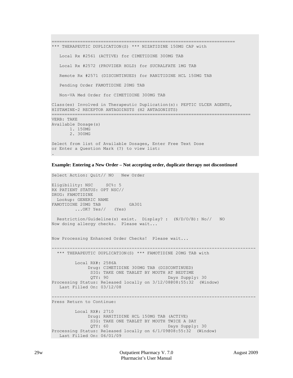```
=======================================================================
*** THERAPEUTIC DUPLICATION(S) *** NIZATIDINE 150MG CAP with
   Local Rx #2561 (ACTIVE) for CIMETIDINE 300MG TAB 
    Local Rx #2572 (PROVIDER HOLD) for SUCRALFATE 1MG TAB 
    Remote Rx #2571 (DISCONTINUED) for RANITIDINE HCL 150MG TAB 
    Pending Order FAMOTIDINE 20MG TAB 
    Non-VA Med Order for CIMETIDINE 300MG TAB 
Class(es) Involved in Therapeutic Duplication(s): PEPTIC ULCER AGENTS, 
HISTAMINE-2 RECEPTOR ANTAGOINSTS (H2 ANTAGONISTS)
=============================================================================
VERB: TAKE
Available Dosage(s)
        1. 150MG
        2. 300MG
Select from list of Available Dosages, Enter Free Text Dose
or Enter a Question Mark (?) to view list:
.
```
**Example: Entering a New Order – Not accepting order, duplicate therapy not discontinued**

```
Select Action: Ouit// NO New Order
Eligibility: NSC SC%: 5
RX PATIENT STATUS: OPT NSC// 
DRUG: FAMOTIDINE
  Lookup: GENERIC NAME
FAMOTIDINE 20MG TAB GA301
         ...OK? Yes// (Yes)
  Restriction/Guideline(s) exist. Display? : (N/D/O/B): No// NO
Now doing allergy checks. Please wait...
Now Processing Enhanced Order Checks! Please wait...
 -------------------------------------------------------------------------------
  *** THERAPEUTIC DUPLICATION(S) *** FAMOTIDINE 20MG TAB with 
          Local RX#: 2586A
               Drug: CIMETIDINE 300MG TAB (DISCONTINUED)
               SIG: TAKE ONE TABLET BY MOUTH AT BEDTIME<br>QTY: 90 Days Suppl
                                             Days Supply: 30
Processing Status: Released locally on 3/12/08@08:55:32 (Window)
    Last Filled On: 03/12/08 
-------------------------------------------------------------------------------
Press Return to Continue: 
          Local RX#: 2710
               Drug: RANITIDINE HCL 150MG TAB (ACTIVE)
                SIG: TAKE ONE TABLET BY MOUTH TWICE A DAY
               QTY: 60 Days Supply: 30
Processing Status: Released locally on 6/1/09@08:55:32 (Window)
  Last Filled On: 06/01/09
```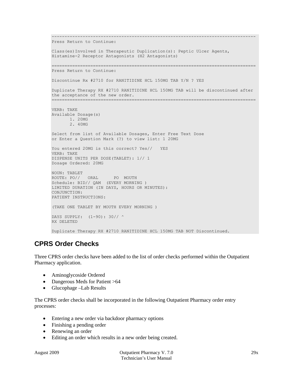```
-------------------------------------------------------------------------------
Press Return to Continue: 
Class(es)Involved in Therapeutic Duplication(s): Peptic Ulcer Agents, 
Histamine-2 Receptor Antagonists (H2 Antagonists) 
   ===============================================================================
Press Return to Continue: 
Discontinue Rx #2710 for RANITIDINE HCL 150MG TAB Y/N ? YES
Duplicate Therapy RX #2710 RANITIDINE HCL 150MG TAB will be discontinued after 
the acceptance of the new order.
===============================================================================
VERB: TAKE
Available Dosage(s)
       1. 20MG
        2. 40MG
Select from list of Available Dosages, Enter Free Text Dose
or Enter a Question Mark (?) to view list: 1 20MG
You entered 20MG is this correct? Yes// YES
VERB: TAKE
DISPENSE UNITS PER DOSE(TABLET): 1// 1
Dosage Ordered: 20MG
NOUN: TABLET
ROUTE: PO// ORAL PO MOUTH
Schedule: BID// QAM (EVERY MORNING )
LIMITED DURATION (IN DAYS, HOURS OR MINUTES): 
CONJUNCTION: 
PATIENT INSTRUCTIONS: 
(TAKE ONE TABLET BY MOUTH EVERY MORNING )
DAYS SUPPLY: (1-90): 30// ^
RX DELETED
Duplicate Therapy RX #2710 RANITIDINE HCL 150MG TAB NOT Discontinued.
```
# **CPRS Order Checks**

Three CPRS order checks have been added to the list of order checks performed within the Outpatient Pharmacy application.

- Aminoglycoside Ordered
- Dangerous Meds for Patient >64
- Glucophage –Lab Results

The CPRS order checks shall be incorporated in the following Outpatient Pharmacy order entry processes:

- Entering a new order via backdoor pharmacy options
- Finishing a pending order
- Renewing an order
- Editing an order which results in a new order being created.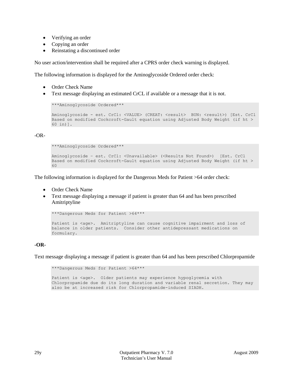- Verifying an order
- Copying an order
- Reinstating a discontinued order

No user action/intervention shall be required after a CPRS order check warning is displayed.

The following information is displayed for the Aminoglycoside Ordered order check:

- Order Check Name
- Text message displaying an estimated CrCL if available or a message that it is not.

```
***Aminoglycoside Ordered***
Aminoglycoside - est. CrCl: <VALUE> (CREAT: <result> BUN: <result>) [Est. CrCl
Based on modified Cockcroft-Gault equation using Adjusted Body Weight (if ht > 
60 in)].
```
-OR-

```
***Aminoglycoside Ordered***
Aminoglycoside – est. CrCl: <Unavailable> (<Results Not Found>) [Est. CrCl
Based on modified Cockcroft-Gault equation using Adjusted Body Weight (if ht > 
60
```
The following information is displayed for the Dangerous Meds for Patient >64 order check:

- Order Check Name
- Text message displaying a message if patient is greater than 64 and has been prescribed Amitriptyline

```
***Dangerous Meds for Patient >64***
Patient is <age>. Amitriptyline can cause cognitive impairment and loss of
balance in older patients. Consider other antidepressant medications on 
formulary.
```
## **-OR-**

Text message displaying a message if patient is greater than 64 and has been prescribed Chlorpropamide

\*\*\*Dangerous Meds for Patient >64\*\*\* Patient is <age>. Older patients may experience hypoglycemia with Chlorpropamide due do its long duration and variable renal secretion. They may also be at increased risk for Chlorpropamide-induced SIADH.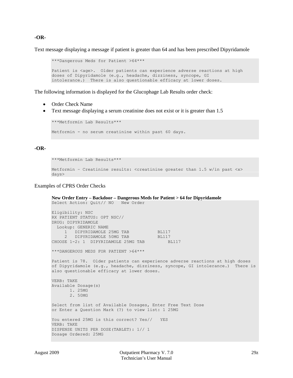## **-OR-**

Text message displaying a message if patient is greater than 64 and has been prescribed Dipyridamole

```
***Dangerous Meds for Patient >64***
Patient is <age>. Older patients can experience adverse reactions at high
doses of Dipyridamole (e.g., headache, dizziness, syncope, GI 
intolerance.) There is also questionable efficacy at lower doses.
```
The following information is displayed for the Glucophage Lab Results order check:

- Order Check Name
- Text message displaying a serum creatinine does not exist or it is greater than 1.5

```
***Metformin Lab Results***
Metformin - no serum creatinine within past 60 days.
```
### **-OR-**

```
***Metformin Lab Results***
```

```
Metformin - Creatinine results: <creatinine greater than 1.5 w/in past <x>
days>
```
### Examples of CPRS Order Checks

```
New Order Entry – Backdoor – Dangerous Meds for Patient > 64 for Dipyridamole
Select Action: Quit// NO New Order
Eligibility: NSC
RX PATIENT STATUS: OPT NSC// 
DRUG: DIPYRIDAMOLE
   Lookup: GENERIC NAME
     1 DIPYRIDAMOLE 25MG TAB BL117<br>2 DIPYRIDAMOLE 50MG TAB BL117
         DIPYRIDAMOLE 50MG TAB BL117<br>2: 1 DIPYRIDAMOLE 25MG TAB BL117
CHOOSE 1-2: 1 DIPYRIDAMOLE 25MG TAB
***DANGEROUS MEDS FOR PATIENT >64***
Patient is 78. Older patients can experience adverse reactions at high doses 
of Dipyridamole (e.g., headache, dizziness, syncope, GI intolerance.) There is 
also questionable efficacy at lower doses.
VERB: TAKE
Available Dosage(s)
        1. 25MG
        2. 50MG
Select from list of Available Dosages, Enter Free Text Dose
or Enter a Question Mark (?) to view list: 1 25MG
You entered 25MG is this correct? Yes// YES
VERB: TAKE
DISPENSE UNITS PER DOSE(TABLET): 1// 1
Dosage Ordered: 25MG
```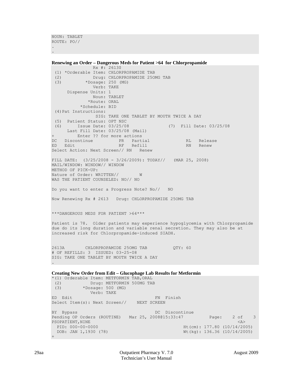```
NOUN: TABLET
ROUTE: PO//
.
```
.

**Renewing an Order – Dangerous Meds for Patient >64 for Chlorpropamide** Rx #: 2613\$ (1) \*Orderable Item: CHLORPROPAMIDE TAB (2) Drug: CHLORPROPAMIDE 250MG TAB<br>(3) \* Dosage: 250 (MG)  $*$ Dosage: 250 (MG) Verb: TAKE Dispense Units: 1 Noun: TABLET \*Route: ORAL \*Schedule: BID (4)Pat Instructions: SIG: TAKE ONE TABLET BY MOUTH TWICE A DAY (5) Patient Status: OPT NSC (6) Issue Date: 03/25/08 (7) Fill Date: 03/25/08 Last Fill Date: 03/25/08 (Mail)<br>+ Enter ?? for more actions Enter ?? for more actions DC Discontinue PR Partial RL Release ED Edit Select Action: Next Screen// RN Renew FILL DATE: (3/25/2008 - 3/26/2009): TODAY// (MAR 25, 2008) MAIL/WINDOW: WINDOW// WINDOW METHOD OF PICK-UP: Nature of Order: WRITTEN// W WAS THE PATIENT COUNSELED: NO// NO Do you want to enter a Progress Note? No// NO Now Renewing Rx # 2613 Drug: CHLORPROPAMIDE 25OMG TAB \*\*\*DANGEROUS MEDS FOR PATIENT >64\*\*\* Patient is 78. Older patients may experience hypoglycemia with Chlorpropamide due do its long duration and variable renal secretion. They may also be at increased risk for Chlorpropamide-induced SIADH. 2613A CHLORPROPAMIDE 25OMG TAB QTY: 60 # OF REFILLS: 3 ISSUED: 03-25-08 SIG: TAKE ONE TABLET BY MOUTH TWICE A DAY .

```
Creating New Order from Edit – Glucophage Lab Results for Metformin
*(1) Orderable Item: METFORMIN TAB,ORAL 
 (2) Drug: METFORMIN 500MG TAB<br>(3) *Dosage: 500 (MG)
             (3) *Dosage: 500 (MG) 
Verb: TAKE ED Edit
                                               FN Finish
Select Item(s): Next Screen// NEXT SCREEN
BY Bypass DC Discontinue
Pending OP Orders (ROUTINE) Mar 25, 2008@15:33:47 Page: 2 of 3
\begin{tabular}{lllllllllll} \texttt{PSOPATIENT, NINE} & & & & & & & & & & & & & & \texttt{AB} \\ \texttt{PID:} & 000-00-0000 & & & & & & & \texttt{Ht (cm):} & 177.80 & (10/14/200) \\ \end{tabular}PID: 000-00-0000 Ht(cm): 177.80 (10/14/2005)<br>DOB: JAN 1,1930 (78) Wt(kg): 136.36 (10/14/2005)
                                                             Wt(kq): 136.36 (10/14/2005)+
```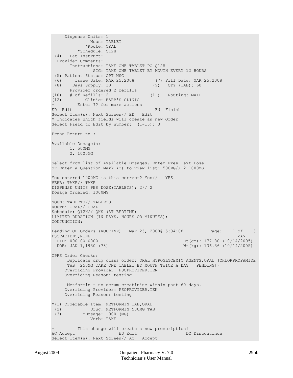```
 Dispense Units: 1 
               Noun: TABLET 
              *Route: ORAL 
 *Schedule: Q12H<br>(4) Pat Instruct:
     Pat Instruct:
   Provider Comments: 
        Instructions: TAKE ONE TABLET PO Q12H 
                 SIG: TAKE ONE TABLET BY MOUTH EVERY 12 HOURS 
 (5) Patient Status: OPT NSC 
 (6) Issue Date: MAR 25,2008 (7) Fill Date: MAR 25,2008 
                                        (9) QTY (TAB): 60
Provider ordered 2 refills<br>(10) # of Refills: 2
(10) # of Refills: 2 (11) Routing: MAIL<br>(12) Clinic: BARB'S CLINIC
(12) Clinic: BARB'S CLINIC 
+ Enter ?? for more actions 
ED Edit FN Finish
Select Item(s): Next Screen// ED Edit 
* Indicates which fields will create an new Order
Select Field to Edit by number: (1-15): 3
Press Return to : 
Available Dosage(s)
        1. 500MG
        2. 1000MG
Select from list of Available Dosages, Enter Free Text Dose
or Enter a Question Mark (?) to view list: 500MG// 2 1000MG
You entered 1000MG is this correct? Yes// YES
VERB: TAKE// TAKE
DISPENSE UNITS PER DOSE(TABLETS): 2// 2
Dosage Ordered: 1000MG
NOUN: TABLETS// TABLETS
ROUTE: ORAL// ORAL 
Schedule: Q12H// QHS (AT BEDTIME)
LIMITED DURATION (IN DAYS, HOURS OR MINUTES): 
CONJUNCTION: 
Pending OP Orders (ROUTINE) Mar 25, 2008@15:34:08 Page: 1 of 3<br>PSOPATIENT NINE
PSOPATIENT, NINE<br>PID: 000-00-0000
  PID: 000-00-0000 Ht(cm): 177.80 (10/14/2005)<br>DOB: JAN 1,1930 (78) Wt(kg): 136.36 (10/14/2005)
                                                     Wt(kg): 136.36 (10/14/2005)
CPRS Order Checks: 
      Duplicate drug class order: ORAL HYPOGLYCEMIC AGENTS,ORAL (CHLORPROPAMIDE 
       TAB 250MG TAKE ONE TABLET BY MOUTH TWICE A DAY [PENDING]) 
     Overriding Provider: PSOPROVIDER, TEN
      Overriding Reason: testing 
      Metformin - no serum creatinine within past 60 days.
     Overriding Provider: PSOPROVIDER, TEN
      Overriding Reason: testing 
*(1) Orderable Item: METFORMIN TAB,ORAL 
 (2) Drug: METFORMIN 500MG TAB<br>(3) *Dosage: 1000 (MG)
            *Dosage: 1000 (MG)
                Verb: TAKE 
          This change will create a new prescription!<br>ED Edit DC Discontinue
AC Accept ED Edit
Select Item(s): Next Screen// AC Accept
```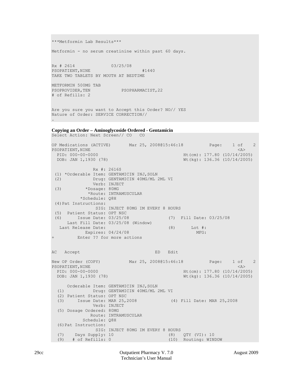\*\*\*Metformin Lab Results\*\*\* Metformin - no serum creatinine within past 60 days. Rx # 2614 03/25/08 PSOPATIENT, NINE  $#1440$ TAKE TWO TABLETS BY MOUTH AT BEDTIME METFORMIN 500MG TAB<br>PSOPROVIDER, TEN PSOPHARMACIST, 22 # of Refills: 2 Are you sure you want to Accept this Order? NO// YES Nature of Order: SERVICE CORRECTION// . **Copying an Order – Aminoglycoside Ordered - Gentamicin** Select Action: Next Screen// CO CO OP Medications (ACTIVE) Mar 25, 2008@15:46:18 Page: 1 of 2<br>PSOPATIENT.NINE  $\langle A \rangle$ PSOPATIENT, NINE<br>PID: 000-00-0000 PID: 000-00-0000 Ht(cm): 177.80 (10/14/2005)<br>DOB: JAN 1,1930 (78) Wt(kg): 136.36 (10/14/2005)  $Wt(kq): 136.36 (10/14/2005)$  Rx #: 2616\$ (1) \*Orderable Item: GENTAMICIN INJ, SOLN<br>(2) Drug: GENTAMICIN 40MG/ML 2 Drug: GENTAMICIN 40MG/ML 2ML VI Verb: INJECT<br>(3) \*Dosage: 80MG (3) \*Dosage: 80MG \*Route: INTRAMUSCULAR \*Schedule: Q8H (4)Pat Instructions: SIG: INJECT 80MG IM EVERY 8 HOURS (5) Patient Status: OPT NSC (6) Issue Date: 03/25/08 (7) Fill Date: 03/25/08 Last Fill Date: 03/25/08 (Window) Last Release Date: (8) Lot #:<br>Expires: 04/24/08 MFG: Expires:  $04/24/08$ + Enter ?? for more actions AC Accept ED Edit New OP Order (COPY) Mar 25, 2008@15:46:18 Page: 1 of 2<br>PSOPATIENT.NINE PSOPATIENT, NINE<br>PID: 000-00-0000 PID: 000-00-0000 Ht(cm): 177.80 (10/14/2005)<br>
DOB: JAN 1,1930 (78) Wt(kg): 136.36 (10/14/2005) Wt(kg): 136.36 (10/14/2005) Orderable Item: GENTAMICIN INJ, SOLN<br>(1) Drug: GENTAMICIN 40MG/ML 2 Drug: GENTAMICIN 40MG/ML 2ML VI (2) Patient Status: OPT NSC (3) Issue Date: MAR 25,2008 (4) Fill Date: MAR 25,2008 Verb: INJECT (5) Dosage Ordered: 80MG Route: INTRAMUSCULAR Schedule: Q8H (6)Pat Instruction: SIG: INJECT 80MG IM EVERY 8 HOURS<br>Days Supply: 10 (8) (7) Days Supply: 10 (8) QTY (VI): 10<br>(9) # of Refills: 0 (10) Routing: WINDOW  $(9)$  # of Refills: 0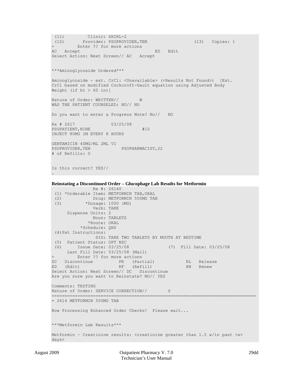(11) Clinic: SHIRL-2 (12) Provider: PSOPROVIDER,TEN (13) Copies: 1 + Enter ?? for more actions AC Accept ED Edit Select Action: Next Screen// AC Accept \*\*\*Aminoglycoside Ordered\*\*\* Aminoglycoside - est. CrCl: <Unavailable> (<Results Not Found>) [Est. CrCl based on modified Cockcroft-Gault equation using Adjusted Body Weight (if  $ht$  > 60 in)] Nature of Order: WRITTEN// W WAS THE PATIENT COUNSELED: NO// NO Do you want to enter a Progress Note? No// NO Rx # 2617 03/25/08 PSOPATIENT, NINE  $#10$ INJECT 80MG IM EVERY 8 HOURS GENTAMICIN 40MG/ML 2ML VI PSOPHARMACIST, 22 # of Refills: 0 Is this correct? YES//

#### **Reinstating a Discontinued Order – Glucophage Lab Results for Metformin**

```
 Rx #: 2614$ 
 (1) *Orderable Item: METFORMIN TAB, ORAL<br>(2) Drug: METFORMIN 500MG TAP
 (2) Drug: METFORMIN 500MG TAB<br>
(3) *Dosage: 1000 (MG)
             *Dosage: 1000 (MG)
                Verb: TAKE 
       Dispense Units: 2 
                Noun: TABLETS 
               *Route: ORAL 
            *Schedule: QHS 
 (4)Pat Instructions: 
                 SIG: TAKE TWO TABLETS BY MOUTH AT BEDTIME 
 (5) Patient Status: OPT NSC 
 (6) Issue Date: 03/25/08 (7) Fill Date: 03/25/08 
Last Fill Date: 03/25/08 (Mail)<br>+ Enter ?? for more actions
        Enter ?? for more actions
DC Discontinue PR (Partial) RL Release
ED (Edit) RF (Refill) RN Renew
Select Action: Next Screen// DC Discontinue 
Are you sure you want to Reinstate? NO// YES
Comments: TESTING
Nature of Order: SERVICE CORRECTION// S
===============================================================================
= 2614 METFORMIN 500MG TAB
Now Processing Enhanced Order Checks! Please wait...
***Metformin Lab Results***
Metformin – Creatinine results: <creatinine greater than 1.5 w/in past <x> 
days>
```
.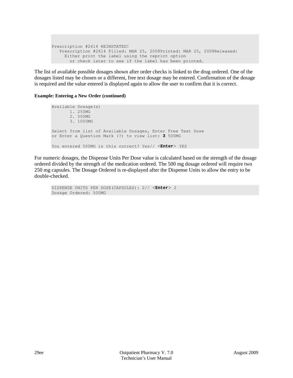```
Prescription #2614 REINSTATED!
   Prescription #2614 Filled: MAR 25, 2008Printed: MAR 25, 2008Released:
    Either print the label using the reprint option
       or check later to see if the label has been printed.
```
The list of available possible dosages shown after order checks is linked to the drug ordered. One of the dosages listed may be chosen or a different, free text dosage may be entered. Confirmation of the dosage is required and the value entered is displayed again to allow the user to confirm that it is correct.

## **Example: Entering a New Order (continued)**

```
Available Dosage(s)
       1. 250MG
        2. 500MG
        3. 1000MG
Select from list of Available Dosages, Enter Free Text Dose
or Enter a Question Mark (?) to view list: 3 500MG
You entered 500MG is this correct? Yes// <Enter> YES
```
For numeric dosages, the Dispense Units Per Dose value is calculated based on the strength of the dosage ordered divided by the strength of the medication ordered. The 500 mg dosage ordered will require two 250 mg capsules. The Dosage Ordered is re-displayed after the Dispense Units to allow the entry to be double-checked.

```
DISPENSE UNITS PER DOSE(CAPSULES): 2// <Enter> 2
Dosage Ordered: 500MG
```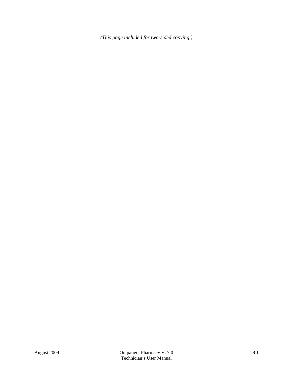*(This page included for two-sided copying.)*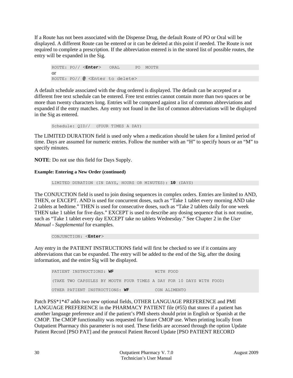If a Route has not been associated with the Dispense Drug, the default Route of PO or Oral will be displayed. A different Route can be entered or it can be deleted at this point if needed. The Route is not required to complete a prescription. If the abbreviation entered is in the stored list of possible routes, the entry will be expanded in the Sig.

ROUTE: PO// <**Enter**> ORAL PO MOUTH or ROUTE: PO// **@** <Enter to delete>

A default schedule associated with the drug ordered is displayed. The default can be accepted or a different free text schedule can be entered. Free text entries cannot contain more than two spaces or be more than twenty characters long. Entries will be compared against a list of common abbreviations and expanded if the entry matches. Any entry not found in the list of common abbreviations will be displayed in the Sig as entered.

Schedule: QID// (FOUR TIMES A DAY)

The LIMITED DURATION field is used only when a medication should be taken for a limited period of time. Days are assumed for numeric entries. Follow the number with an "H" to specify hours or an "M" to specify minutes.

**NOTE**: Do not use this field for Days Supply.

## **Example: Entering a New Order (continued)**

LIMITED DURATION (IN DAYS, HOURS OR MINUTES): **10** (DAYS)

The CONJUCTION field is used to join dosing sequences in complex orders. Entries are limited to AND, THEN, or EXCEPT. AND is used for concurrent doses, such as "Take 1 tablet every morning AND take 2 tablets at bedtime." THEN is used for consecutive doses, such as "Take 2 tablets daily for one week THEN take 1 tablet for five days." EXCEPT is used to describe any dosing sequence that is not routine, such as "Take 1 tablet every day EXCEPT take no tablets Wednesday." See Chapter 2 in the *User Manual - Supplemental* for examples.

CONJUNCTION: <**Enter**>

Any entry in the PATIENT INSTRUCTIONS field will first be checked to see if it contains any abbreviations that can be expanded. The entry will be added to the end of the Sig, after the dosing information, and the entire Sig will be displayed.

| PATIENT INSTRUCTIONS: WF       |  |  |  |  |                                                                     |  | WITH FOOD    |  |  |  |  |  |  |  |
|--------------------------------|--|--|--|--|---------------------------------------------------------------------|--|--------------|--|--|--|--|--|--|--|
|                                |  |  |  |  | (TAKE TWO CAPSULES BY MOUTH FOUR TIMES A DAY FOR 10 DAYS WITH FOOD) |  |              |  |  |  |  |  |  |  |
| OTHER PATIENT INSTRUCTIONS: WF |  |  |  |  |                                                                     |  | CON ALIMENTO |  |  |  |  |  |  |  |

Patch PSS\*1\*47 adds two new optional fields, OTHER LANGUAGE PREFERENCE and PMI LANGUAGE PREFERENCE in the PHARMACY PATIENT file (#55) that stores if a patient has another language preference and if the patient's PMI sheets should print in English or Spanish at the CMOP. The CMOP functionality was requested for future CMOP use. When printing locally from Outpatient Pharmacy this parameter is not used. These fields are accessed through the option Update Patient Record [PSO PAT] and the protocol Patient Record Update [PSO PATIENT RECORD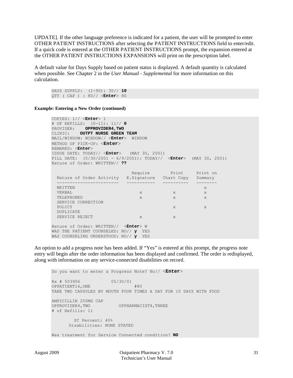UPDATE]. If the other language preference is indicated for a patient, the user will be prompted to enter OTHER PATIENT INSTRUCTIONS after selecting the PATIENT INSTRUCTIONS field to enter/edit. If a quick code is entered at the OTHER PATIENT INSTRUCTIONS prompt, the expansion entered at the OTHER PATIENT INSTRUCTIONS EXPANSIONS will print on the prescription label.

A default value for Days Supply based on patient status is displayed. A default quantity is calculated when possible. See Chapter 2 in the *User Manual - Supplemental* for more information on this calculation.

DAYS SUPPLY: (1-90): 30// **10** QTY ( CAP ) : 80// <**Enter**> 80

**Example: Entering a New Order (continued)**

COPIES: 1// <**Enter**> 1 # OF REFILLS: (0-11): 11// **0** PROVIDER: **OPPROVIDER4,TWO** CLINIC: **OUTPT NURSE GREEN TEAM** MAIL/WINDOW: WINDOW// <**Enter**> WINDOW METHOD OF PICK-UP: <**Enter**> REMARKS: <**Enter**> ISSUE DATE: TODAY// <**Enter**> (MAY 30, 2001) FILL DATE: (5/30/2001 - 6/9/2001): TODAY// <**Enter**> (MAY 30, 2001) Nature of Order: WRITTEN// **??** Require Print Print on Nature of Order Activity E.Signature Chart Copy Summary ------------------------ ----------- ---------- -------- WRITTEN XXIII SERVER STREET WAS ARRESTED FOR A STREET WAS ARRESTED FOR A STREET WAS ARRESTED FOR A STREET WAS VERBAL x x x x x x x TELEPHONED x x x x x x SERVICE CORRECTION<br>POLICY POLICY X X DUPLICATE SERVICE REJECT X X X Nature of Order: WRITTEN// <**Enter**> W WAS THE PATIENT COUNSELED: NO// **y** YES WAS COUNSELING UNDERSTOOD: NO// **y** YES

An option to add a progress note has been added. If "Yes" is entered at this prompt, the progress note entry will begin after the order information has been displayed and confirmed. The order is redisplayed, along with information on any service-connected disabilities on record.

Do you want to enter a Progress Note? No// <**Enter**> Rx # 503906 05/30/01 OPPATIENT16,ONE #80 TAKE TWO CAPSULES BY MOUTH FOUR TIMES A DAY FOR 10 DAYS WITH FOOD AMPICILLIN 250MG CAP OPPROVIDER4,TWO OPPHARMACIST4,THREE # of Refills: 11 SC Percent: 40% Disabilities: NONE STATED Was treatment for Service Connected condition? **NO**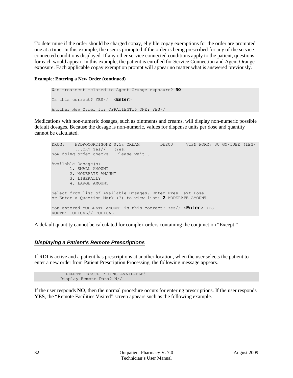To determine if the order should be charged copay, eligible copay exemptions for the order are prompted one at a time. In this example, the user is prompted if the order is being prescribed for any of the serviceconnected conditions displayed. If any other service connected conditions apply to the patient, questions for each would appear. In this example, the patient is enrolled for Service Connection and Agent Orange exposure. Each applicable copay exemption prompt will appear no matter what is answered previously.

## **Example: Entering a New Order (continued)**

```
Was treatment related to Agent Orange exposure? NO
Is this correct? YES// <Enter> 
Another New Order for OPPATIENT16,ONE? YES//
```
Medications with non-numeric dosages, such as ointments and creams, will display non-numeric possible default dosages. Because the dosage is non-numeric, values for dispense units per dose and quantity cannot be calculated.

```
DRUG: HYDROCORTISONE 0.5% CREAM DE200 VISN FORM; 30 GM/TUBE (IEN) 
 ...OK? Yes// (Yes)
Now doing order checks. Please wait...
Available Dosage(s)
       1. SMALL AMOUNT
       2. MODERATE AMOUNT
       3. LIBERALLY
       4. LARGE AMOUNT
Select from list of Available Dosages, Enter Free Text Dose
or Enter a Question Mark (?) to view list: 2 MODERATE AMOUNT
You entered MODERATE AMOUNT is this correct? Yes// <Enter> YES
ROUTE: TOPICAL// TOPICAL
```
A default quantity cannot be calculated for complex orders containing the conjunction "Except."

## *Displaying a Patient's Remote Prescriptions*

If RDI is active and a patient has prescriptions at another location, when the user selects the patient to enter a new order from Patient Prescription Processing, the following message appears.

```
 REMOTE PRESCRIPTIONS AVAILABLE! 
 Display Remote Data? N//
```
If the user responds **NO**, then the normal procedure occurs for entering prescriptions. If the user responds **YES**, the "Remote Facilities Visited" screen appears such as the following example.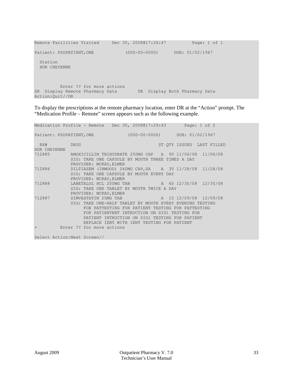```
Remote Facilities Visited Dec 30, 2008@17:26:47 Page: 1 of 1
Patient: PSOPATIENT,ONE (000-00-0000) DOB: 01/02/1967 
  Station 
  HDR CHEYENNE 
         Enter ?? for more actions 
DR Display Remote Pharmacy Data DB Display Both Pharmacy Data 
Action:Quit//DR
```
To display the prescriptions at the remote pharmacy location, enter DR at the "Action" prompt. The "Medication Profile – Remote" screen appears such as the following example.

|              | Medication Profile - Remote Dec 30, 2008017:29:43 Page: 1 of 2                                                                        |                                                                                                                                                                                                    |                           |
|--------------|---------------------------------------------------------------------------------------------------------------------------------------|----------------------------------------------------------------------------------------------------------------------------------------------------------------------------------------------------|---------------------------|
|              | Patient: PSOPATIENT, ONE (000-00-0000) DOB: 01/02/1967                                                                                |                                                                                                                                                                                                    |                           |
| RX#DRUG      |                                                                                                                                       |                                                                                                                                                                                                    | ST OTY ISSUED LAST FILLED |
| HDR CHEYENNE |                                                                                                                                       |                                                                                                                                                                                                    |                           |
| 712885       | AMOXICILLIN TRIHYDRATE 250MG CAP A 90 11/06/08 11/06/08<br>SIG: TAKE ONE CAPSULE BY MOUTH THREE TIMES A DAY<br>PROVIDER: MCKAY, ELMER |                                                                                                                                                                                                    |                           |
| 712886       | DILTIAZEM (INWOOD) 240MG CAP, SA A 30 11/28/08 11/28/08<br>SIG: TAKE ONE CAPSULE BY MOUTH EVERY DAY<br>PROVIDER: MCKAY, ELMER         |                                                                                                                                                                                                    |                           |
| 712888       | LABETALOL HCL 200MG TAB 			 A 		 60 12/30/08 12/30/08<br>SIG: TAKE ONE TABLET BY MOUTH TWICE A DAY<br>PROVIDER: MCKAY, ELMER          |                                                                                                                                                                                                    |                           |
| 712887       | SIMVASTATIN 20MG TAB TAB A 15 12/09/08 12/09/08<br>SIG: TAKE ONE-HALF TABLET BY MOUTH EVERY EVENING TESTING                           | FOR PATTESTING FOR PATIENT TESTING FOR PATTESTING<br>FOR PATIENTENT INTRUCTION ON SIG1 TESTING FOR<br>PATIENT INTRUCTION ON SIG1 TESTING FOR PATIENT<br>REPLACE IENT WITH IENT TESTING FOR PATIENT |                           |
| $+$          | Enter ?? for more actions                                                                                                             |                                                                                                                                                                                                    |                           |

Select Action:Next Screen//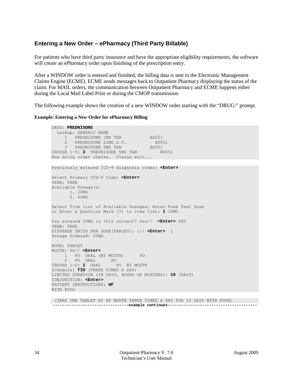## **Entering a New Order – ePharmacy (Third Party Billable)**

For patients who have third party insurance and have the appropriate eligibility requirements, the software will create an ePharmacy order upon finishing of the prescription entry.

After a WINDOW order is entered and finished, the billing data is sent to the Electronic Management Claims Engine (ECME). ECME sends messages back to Outpatient Pharmacy displaying the status of the claim. For MAIL orders, the communication between Outpatient Pharmacy and ECME happens either during the Local Mail Label Print or during the CMOP transmission.

The following example shows the creation of a new WINDOW order starting with the "DRUG:" prompt.

## **Example: Entering a New Order for ePharmacy Billing**

DRUG: **PREDNISONE** Lookup: GENERIC NAME 1 PREDNISONE 1MG TAB HS051 2 PREDNISONE 20MG S.T. HS051 3 PREDNISONE 5MG TAB HS051 CHOOSE 1-3: **3** PREDNISONE 5MG TAB HS051 Now doing order checks. Please wait... Previously entered ICD-9 diagnosis codes: **<Enter>** Select Primary ICD-9 Code: **<Enter>** VERB: TAKE Available Dosage(s) 1. 20MG 2. 40MG Select from list of Available Dosages, Enter Free Text Dose or Enter a Question Mark (?) to view list: **1** 20MG You entered 20MG is this correct? Yes// **<Enter>** YES VERB: TAKE DISPENSE UNITS PER DOSE(TABLET): 1// **<Enter>** 1 Dosage Ordered: 20MG NOUN: TABLET ROUTE: PO// **<Enter>** 1 PO ORAL (BY MOUTH) PO 2 PO ORAL PO CHOOSE 1-2: **2** ORAL PO BY MOUTH Schedule: **TID** (THREE TIMES A DAY) LIMITED DURATION (IN DAYS, HOURS OR MINUTES): **10** (DAYS) CONJUNCTION: **<Enter>** PATIENT INSTRUCTIONS: **WF** WITH FOOD

(TAKE ONE TABLET BY BY MOUTH THREE TIMES A DAY FOR 10 DAYS WITH FOOD)  **---------------------------------example continues---------------------------------------**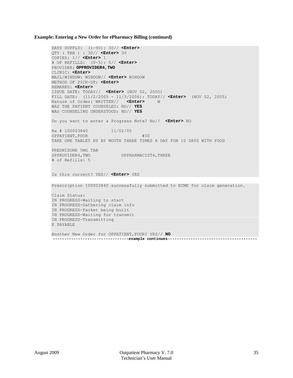### **Example: Entering a New Order for ePharmacy Billing (continued)**

```
DAYS SUPPLY: (1-90): 30// <Enter>
QTY ( TAB ) : 30// <Enter> 30 
COPIES: 1// <Enter> 1
# OF REFILLS: (0-5): 5// <Enter>
PROVIDER: OPPROVIDER4,TWO 
CLINIC: <Enter>
MAIL/WINDOW: WINDOW// <Enter> WINDOW
METHOD OF PICK-UP: <Enter> 
REMARKS: <Enter> 
ISSUE DATE: TODAY// <Enter> (NOV 02, 2005)
FILL DATE: (11/2/2005 - 11/3/2006): TODAY// <Enter> (NOV 02, 2005)
Nature of Order: WRITTEN// <Enter>
WAS THE PATIENT COUNSELED: NO// YES
WAS COUNSELING UNDERSTOOD: NO// YES
Do you want to enter a Progress Note? No// <Enter> NO
Rx # 100003840 11/02/05
OPPATIENT, FOUR #30
TAKE ONE TABLET BY BY MOUTH THREE TIMES A DAY FOR 10 DAYS WITH FOOD
PREDNISONE 5MG TAB<br>OPPROVIDER4, TWO
                         OPPHARMACIST4, THREE
# of Refills: 5
Is this correct? YES// <Enter> YES
Prescription 100003840 successfully submitted to ECME for claim generation.
Claim Status: 
IN PROGRESS-Waiting to start
IN PROGRESS-Gathering claim info
IN PROGRESS-Packet being built
IN PROGRESS-Waiting for transmit
IN PROGRESS-Transmitting
E PAYABLE
Another New Order for OPPATIENT,FOUR? YES// NO
  ---------------------------------example continues---------------------------------------
```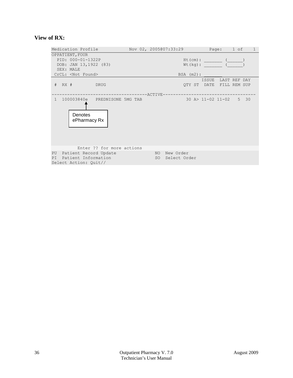## **View of RX:**

|                                                                                                          | Medication Profile                                                    |                           |                 | Nov 02, 2005@07:33:29           |                           | Page: 1 of         |  | $\mathbf{1}$ |
|----------------------------------------------------------------------------------------------------------|-----------------------------------------------------------------------|---------------------------|-----------------|---------------------------------|---------------------------|--------------------|--|--------------|
| OPPATIENT, FOUR<br>PID: 000-01-1322P<br>DOB: JAN 13,1922 (83)<br>SEX: MALE<br>CrCL: <not found=""></not> |                                                                       |                           |                 | $BSA$ $(m2)$ :                  | $Ht$ (cm) :<br>$Wt(kq)$ : |                    |  |              |
|                                                                                                          | # RX # DRUG                                                           |                           |                 |                                 | OTY ST DATE FILL REM SUP  | ISSUE LAST REF DAY |  |              |
| $\overline{1}$                                                                                           | 100003840e PREDNISONE 5MG TAB<br>Denotes<br>ePharmacy Rx              |                           | $------ACTIVE-$ |                                 | 30 A> 11-02 11-02 5 30    |                    |  |              |
| PU<br>PI                                                                                                 | Patient Record Update<br>Patient Information<br>Select Action: Quit// | Enter ?? for more actions |                 | NO New Order<br>SO Select Order |                           |                    |  |              |
|                                                                                                          |                                                                       |                           |                 |                                 |                           |                    |  |              |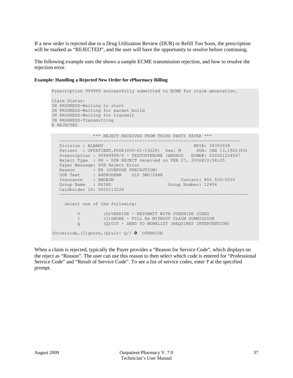If a new order is rejected due to a Drug Utilization Review (DUR) or Refill Too Soon, the prescription will be marked as "REJECTED", and the user will have the opportunity to resolve before continuing.

The following example uses the shows a sample ECME transmission rejection, and how to resolve the rejection error.

#### **Example: Handling a Rejected New Order for ePharmacy Billing**

(O)verride,(I)gnore,(Q)uit: Q// **O** OVERRIDE

```
Prescription 999999 successfully submitted to ECME for claim generation.
Claim Status: 
IN PROGRESS-Waiting to start
IN PROGRESS-Waiting for packet build
IN PROGRESS-Waiting for transmit
IN PROGRESS-Transmitting
E REJECTED
                *** REJECT RECEIVED FROM THIRD PARTY PAYER ***
    ----------------------------------------------------------------------
Division : ALBANY New York (1993-1939) NPI#: 393939393939
 Patient : OPPATIENT,FOUR(000-01-1322P) Sex: M DOB: JAN 13,1922(83)
   Prescription : 99999999/0 - TESTOSTERONE (ANDROD ECME#: 000001234567
   Reject Type : 88 - DUR REJECT received on FEB 27, 2006@10:58:25
   Payer Message: DUR Reject Error
 Reason : ER (OVERUSE PRECAUTION)
 DUR Text : ANDRODERM DIS 5MG/24HR
  Insurance : EMDEON Contact: 800 555-5555<br>Group Name : RXINS Group Number: 12454
  Group Name : RXINS
   Cardholder ID: 000011322P
 -------------------------------------------------------------------------
      Select one of the following:
           O (O)VERRIDE - RESUBMIT WITH OVERRIDE CODES
          I (I)GNORE - FILL Rx WITHOUT CLAIM SUBMISSION<br>O (O)UIT - SEND TO WORKLIST (REQUIRES INTERVEL
                     Q (Q)UIT - SEND TO WORKLIST (REQUIRES INTERVENTION)
```
When a claim is rejected, typically the Payer provides a "Reason for Service Code", which displays on the reject as "Reason". The user can use this reason to then select which code is entered for "Professional Service Code" and "Result of Service Code". To see a list of service codes, enter **?** at the specified prompt.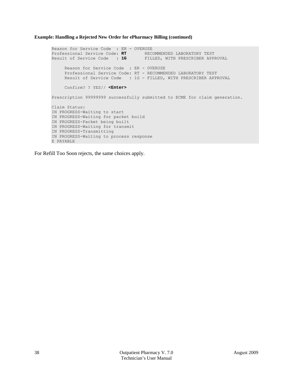**Example: Handling a Rejected New Order for ePharmacy Billing (continued)**

Reason for Service Code : ER - OVERUSE Professional Service Code: **RT** RECOMMENDED LABORATORY TEST<br>Result of Service Code : 1G FILLED, WITH PRESCRIBER APPROVAL Result of Service Code : 1G Reason for Service Code : ER - OVERUSE Professional Service Code: RT - RECOMMENDED LABORATORY TEST Result of Service Code : 1G - FILLED, WITH PRESCRIBER APPROVAL Confirm? ? YES// **<Enter>** Prescription 99999999 successfully submitted to ECME for claim generation. Claim Status: IN PROGRESS-Waiting to start IN PROGRESS-Waiting for packet build IN PROGRESS-Packet being built IN PROGRESS-Waiting for transmit IN PROGRESS-Transmitting IN PROGRESS-Waiting to process response E PAYABLE

For Refill Too Soon rejects, the same choices apply.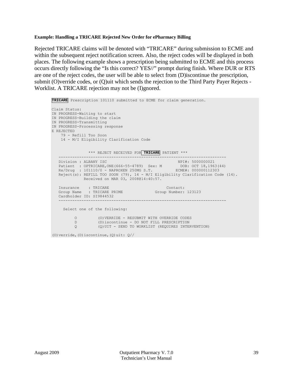## **Example: Handling a TRICARE Rejected New Order for ePharmacy Billing**

Rejected TRICARE claims will be denoted with "TRICARE" during submission to ECME and within the subsequent reject notification screen. Also, the reject codes will be displayed in both places. The following example shows a prescription being submitted to ECME and this process occurs directly following the "Is this correct? YES//" prompt during finish. Where DUR or RTS are one of the reject codes, the user will be able to select from (D)iscontinue the prescription, submit (O)verride codes, or (Q)uit which sends the rejection to the Third Party Payer Rejects - Worklist. A TRICARE rejection may not be (I)gnored.

```
TRICARE Prescription 101110 submitted to ECME for claim generation.
Claim Status: 
IN PROGRESS-Waiting to start
IN PROGRESS-Building the claim
IN PROGRESS-Transmitting
IN PROGRESS-Processing response
E REJECTED
     79 - Refill Too Soon
     14 - M/I Eligibility Clarification Code
                *** REJECT RECEIVED FOR TRICARE PATIENT ***
    -------------------------------------------------------------------------
 Division : ALBANY ISC NPI#: 5000000021
Patient : OPTRICARE, ONE (666-55-4789) Sex: M DOB: OCT 18, 1963 (44)
 Rx/Drug : 101110/0 - NAPROXEN 250MG S.T. ECME#: 000000112303
    Reject(s): REFILL TOO SOON (79), 14 - M/I Eligibility Clarification Code (14). 
               Received on MAR 03, 2008@14:40:57.
   Insurance : TRICARE (Contact: Contact: Contact: Croup Name : TRICARE PRIME (Croup Number: 123123)
   Group Name : TRICARE PRIME
    Cardholder ID: SI9844532
 -------------------------------------------------------------------------
      Select one of the following:
          O (O) VERRIDE - RESUBMIT WITH OVERRIDE CODES<br>D (D) iscontinue - DO NOT FILL PRESCRIPTION
           D (D)iscontinue - DO NOT FILL PRESCRIPTION<br>Q (Q)UIT - SEND TO WORKLIST (REQUIRES INTER
                      Q (Q)UIT - SEND TO WORKLIST (REQUIRES INTERVENTION)
(O) verride, (D) iscontinue, (Q) uit: Q//
```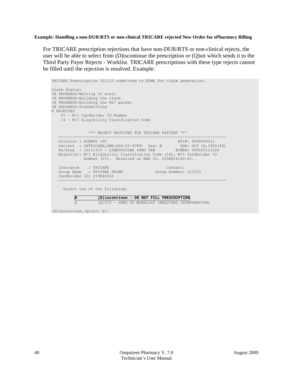## **Example: Handling a non-DUR/RTS or non-clinical TRICARE rejected New Order for ePharmacy Billing**

For TRICARE prescription rejections that have non-DUR/RTS or non-clinical rejects, the user will be able to select from (D)iscontinue the prescription or (Q)uit which sends it to the Third Party Payer Rejects - Worklist. TRICARE prescriptions with these type rejects cannot be filled until the rejection is resolved. Example:

```
TRICARE Prescription 101113 submitted to ECME for claim generation.
Claim Status: 
IN PROGRESS-Waiting to start
IN PROGRESS-Building the claim
IN PROGRESS-Building the HL7 packet
IN PROGRESS-Transmitting
E REJECTED
    07 - M/I Cardholder ID Number
    14 - M/I Eligibility Clarification Code
    *** REJECT RECEIVED FOR TRICARE PATIENT ***
  Division : ALBANY ISC NPI#: 5000000021
 Division : ALBANY ISC NPI#: 5000000021
Patient : OPTRICARE, ONE (666-55-4789) Sex: M DOB: OCT 18, 1963 (44)
 Rx/Drug : 101113/0 - SIMETHICONE 40MG TAB ECME#: 000000112306
   Reject(s): M/I Eligibility Clarification Code (14), M/I Cardholder ID 
             Number (07). Received on MAR 03, 2008@14:43:42.
  Insurance : TRICARE Contact:<br>Group Name : TRICARE PRIME Group Number: 123123
  Group Name : TRICARE PRIME
   Cardholder ID: SI9844532
 -------------------------------------------------------------------------
     Select one of the following:
          D (D)iscontinue - DO NOT FILL PRESCRIPTION
                   Q (Q)UIT - SEND TO WORKLIST (REQUIRES INTERVENTION)
(D)iscontinue,(Q)uit: Q//
```
40 Outpatient Pharmacy V. 7.0 August 2009 Technician's User Manual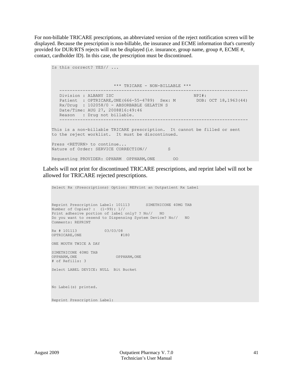For non-billable TRICARE prescriptions, an abbreviated version of the reject notification screen will be displayed. Because the prescription is non-billable, the insurance and ECME information that's currently provided for DUR/RTS rejects will not be displayed (i.e. insurance, group name, group #, ECME #, contact, cardholder ID). In this case, the prescription must be discontinued.

```
Is this correct? YES// ...
        *** TRICARE - NON-BILLABLE ***
 -------------------------------------------------------------------------
Division : ALBANY ISC NPI#:
Patient : OPTRICARE, ONE (666-55-4789) Sex: M DOB: OCT 18, 1963 (44)
 Rx/Drug : 102058/0 - ABSORBABLE GELATIN S 
   Date/Time: AUG 27, 2008@16:49:46
  Reason : Drug not billable.
                                -------------------------------------------------------------------------
This is a non-billable TRICARE prescription. It cannot be filled or sent
to the reject worklist. It must be discontinued.
Press <RETURN> to continue...
Nature of Order: SERVICE CORRECTION// S
Requesting PROVIDER: OPHARM OPPHARM,ONE OO
```
Labels will not print for discontinued TRICARE prescriptions, and reprint label will not be allowed for TRICARE rejected prescriptions.

```
Select Rx (Prescriptions) Option: REPrint an Outpatient Rx Label
Reprint Prescription Label: 101113 SIMETHICONE 40MG TAB
Number of Copies? : (1-99): 1// 
Print adhesive portion of label only? ? No// NO
Do you want to resend to Dispensing System Device? No// NO
Comments: REPRINT
Rx # 101113 03/03/08
OPTRICARE,ONE #180
ONE MOUTH TWICE A DAY
SIMETHICONE 40MG TAB
                       OPPHARM, ONE
# of Refills: 3
Select LABEL DEVICE: NULL Bit Bucket
No Label(s) printed.
Reprint Prescription Label:
```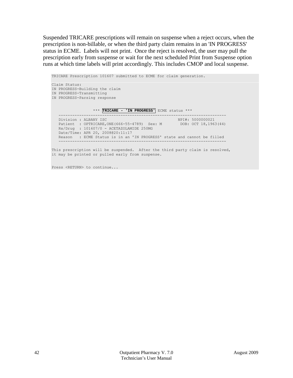Suspended TRICARE prescriptions will remain on suspense when a reject occurs, when the prescription is non-billable, or when the third party claim remains in an 'IN PROGRESS' status in ECME. Labels will not print. Once the reject is resolved, the user may pull the prescription early from suspense or wait for the next scheduled Print from Suspense option runs at which time labels will print accordingly. This includes CMOP and local suspense.

TRICARE Prescription 101607 submitted to ECME for claim generation. Claim Status: IN PROGRESS-Building the claim IN PROGRESS-Transmitting IN PROGRESS-Parsing response \*\*\* **TRICARE - 'IN PROGRESS'** ECME status \*\*\* ------------------------------------------------------------------------- Division : ALBANY ISC NPI NPI NPI NPI NPI 5000000021 Patient : OPTRICARE, ONE (666-55-4789) Sex: M DOB: OCT 18, 1963 (44) Rx/Drug : 101607/0 - ACETAZOLAMIDE 250MG Date/Time: APR 20, 2008@20:11:17 Reason : ECME Status is in an 'IN PROGRESS' state and cannot be filled ------------------------------------------------------------------------- This prescription will be suspended. After the third party claim is resolved, it may be printed or pulled early from suspense.

Press <RETURN> to continue...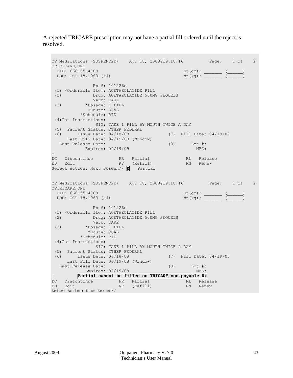A rejected TRICARE prescription may not have a partial fill ordered until the reject is resolved.

```
OP Medications (SUSPENDED) Apr 18, 2008@19:10:16 Page: 1 of 2 
OPTRICARE, ONE<br>PID: 666-55-4789
                                                 PID: 666-55-4789 Ht(cm): _______ (______) 
 DOB: OCT 18,1963 (44)
               Rx #: 101526e 
 (1) *Orderable Item: ACETAZOLAMIDE PILL<br>(2) Drug: ACETAZOLAMIDE 500M
      (2) Drug: ACETAZOLAMIDE 500MG SEQUELS 
 Verb: TAKE<br>(3) *Dosage: 1 PII
           (3) *Dosage: 1 PILL 
              *Route: ORAL 
           *Schedule: BID 
 (4)Pat Instructions: 
             SIG: TAKE 1 PILL BY MOUTH TWICE A DAY 
 (5) Patient Status: OTHER FEDERAL 
 (6) Issue Date: 04/18/08 (7) Fill Date: 04/19/08 
      Last Fill Date: 04/19/08 (Window) 
  Last Release Date: (8) Lot #:<br>Expires: 04/19/09 MFG:
          Expires: 04/19/09
+ 
DC Discontinue   PR Partial   RL Release
ED Edit RF (Refill) RN Renew
Select Action: Next Screen// p Partial
OP Medications (SUSPENDED) Apr 18, 2008@19:10:16 Page: 1 of 2 
OPTRICARE, ONE<br>PID: 666-55-4789
 PID: 666-55-4789 Ht(cm): _______ (______) 
 DOB: OCT 18,1963 (44) Wt(kg): _______ (______) 
               Rx #: 101526e 
 (1) *Orderable Item: ACETAZOLAMIDE PILL<br>(2) Drug: ACETAZOLAMIDE 500M
             (2) Drug: ACETAZOLAMIDE 500MG SEQUELS 
 Verb: TAKE<br>(3) *Dosage: 1 PI
            (3) *Dosage: 1 PILL 
              *Route: ORAL 
           *Schedule: BID 
 (4)Pat Instructions: 
                SIG: TAKE 1 PILL BY MOUTH TWICE A DAY 
 (5) Patient Status: OTHER FEDERAL 
 (6) Issue Date: 04/18/08 (7) Fill Date: 04/19/08 
      Last Fill Date: 04/19/08 (Window) 
  Last Release Date: (8) Lot #:<br>Expires: 04/19/09 MFG:
Expires: 04/19/09<br>+ Partial cannot be fil
         + Partial cannot be filled on TRICARE non-payable Rx 
DC Discontinue PR Partial RL Release
ED Edit RF (Refill) RN Renew
Select Action: Next Screen//
```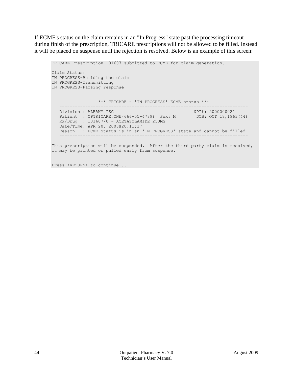If ECME's status on the claim remains in an "In Progress" state past the processing timeout during finish of the prescription, TRICARE prescriptions will not be allowed to be filled. Instead it will be placed on suspense until the rejection is resolved. Below is an example of this screen:

```
TRICARE Prescription 101607 submitted to ECME for claim generation.
Claim Status: 
IN PROGRESS-Building the claim
IN PROGRESS-Transmitting
IN PROGRESS-Parsing response
                   *** TRICARE - 'IN PROGRESS' ECME status ***
    -------------------------------------------------------------------------
Division : ALBANY ISC NPI NEWSTAPH (NPI#: 5000000021)
Patient : OPTRICARE, ONE (666-55-4789) Sex: M DOB: OCT 18, 1963 (44)
   Rx/Drug : 101607/0 - ACETAZOLAMIDE 250MG 
    Date/Time: APR 20, 2008@20:11:17
    Reason : ECME Status is in an 'IN PROGRESS' state and cannot be filled
                                      -------------------------------------------------------------------------
```
This prescription will be suspended. After the third party claim is resolved, it may be printed or pulled early from suspense.

Press <RETURN> to continue...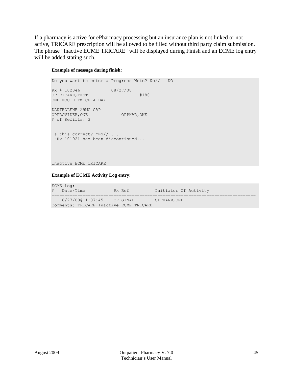If a pharmacy is active for ePharmacy processing but an insurance plan is not linked or not active, TRICARE prescription will be allowed to be filled without third party claim submission. The phrase "Inactive ECME TRICARE" will be displayed during Finish and an ECME log entry will be added stating such.

### **Example of message during finish:**

```
Do you want to enter a Progress Note? No// NO
Rx # 102046 08/27/08
OPTRICARE, TEST #180
ONE MOUTH TWICE A DAY
DANTROLENE 25MG CAP
OPPROVIDER, ONE OPPHAR, ONE
# of Refills: 3
Is this correct? YES// ...
-Rx 101921 has been discontinued...
```
Inactive ECME TRICARE

#### **Example of ECME Activity Log entry:**

| ECME Log:                               |        |                       |  |  |  |  |  |
|-----------------------------------------|--------|-----------------------|--|--|--|--|--|
| # Date/Time                             | Rx Ref | Initiator Of Activity |  |  |  |  |  |
|                                         |        |                       |  |  |  |  |  |
| 1 8/27/08011:07:45 ORIGINAL             |        | OPPHARM, ONE          |  |  |  |  |  |
| Comments: TRICARE-Inactive ECME TRICARE |        |                       |  |  |  |  |  |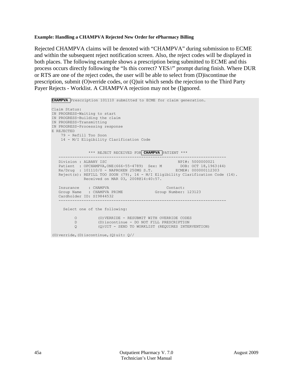## **Example: Handling a CHAMPVA Rejected New Order for ePharmacy Billing**

Rejected CHAMPVA claims will be denoted with "CHAMPVA" during submission to ECME and within the subsequent reject notification screen. Also, the reject codes will be displayed in both places. The following example shows a prescription being submitted to ECME and this process occurs directly following the "Is this correct? YES//" prompt during finish. Where DUR or RTS are one of the reject codes, the user will be able to select from (D)iscontinue the prescription, submit (O)verride codes, or (Q)uit which sends the rejection to the Third Party Payer Rejects - Worklist. A CHAMPVA rejection may not be (I)gnored.

```
CHAMPVA Prescription 101110 submitted to ECME for claim generation.
Claim Status: 
IN PROGRESS-Waiting to start
IN PROGRESS-Building the claim
IN PROGRESS-Transmitting
IN PROGRESS-Processing response
E REJECTED
    79 - Refill Too Soon
     14 - M/I Eligibility Clarification Code
                *** REJECT RECEIVED FOR CHAMPVA PATIENT ***
    -------------------------------------------------------------------------
 Division : ALBANY ISC NPI#: 5000000021
Patient : OPCHAMPVA, ONE (666-55-4789) Sex: M DOB: OCT 18, 1963 (44)
 Rx/Drug : 101110/0 - NAPROXEN 250MG S.T. ECME#: 000000112303
    Reject(s): REFILL TOO SOON (79), 14 - M/I Eligibility Clarification Code (14). 
               Received on MAR 03, 2008@14:40:57.
   Insurance : CHAMPVA Contact:<br>Group Name : CHAMPVA PRIME (Group Number: 123123
   Group Name : CHAMPVA PRIME
    Cardholder ID: SI9844532
 -------------------------------------------------------------------------
      Select one of the following:
          O (O) VERRIDE - RESUBMIT WITH OVERRIDE CODES<br>D (D) iscontinue - DO NOT FILL PRESCRIPTION
          D (D)iscontinue - DO NOT FILL PRESCRIPTION<br>Q (Q)UIT - SEND TO WORKLIST (REQUIRES INTER
                     Q (Q)UIT - SEND TO WORKLIST (REQUIRES INTERVENTION)
(O) verride, (D) iscontinue, (Q) uit: Q//
```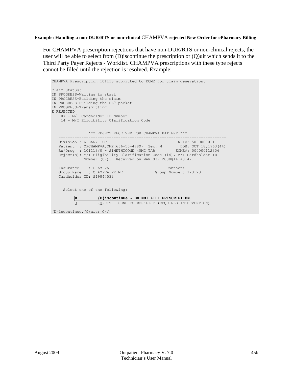## **Example: Handling a non-DUR/RTS or non-clinical** CHAMPVA **rejected New Order for ePharmacy Billing**

For CHAMPVA prescription rejections that have non-DUR/RTS or non-clinical rejects, the user will be able to select from (D)iscontinue the prescription or (Q)uit which sends it to the Third Party Payer Rejects - Worklist. CHAMPVA prescriptions with these type rejects cannot be filled until the rejection is resolved. Example:

| CHAMPVA Prescription 101113 submitted to ECME for claim generation.                                                                                                                                                                                                                                            |
|----------------------------------------------------------------------------------------------------------------------------------------------------------------------------------------------------------------------------------------------------------------------------------------------------------------|
| Claim Status:<br>IN PROGRESS-Waiting to start<br>IN PROGRESS-Building the claim<br>IN PROGRESS-Building the HL7 packet<br>IN PROGRESS-Transmitting<br>E REJECTED<br>07 - M/I Cardholder ID Number<br>14 - M/I Eligibility Clarification Code                                                                   |
| *** REJECT RECEIVED FOR CHAMPVA PATIENT ***                                                                                                                                                                                                                                                                    |
| Division : ALBANY ISC<br>NPI#: 5000000021<br>Patient : OPCHAMPVA, ONE (666-55-4789) Sex: M DOB: OCT 18, 1963 (44)<br>Rx/Drug : 101113/0 - SIMETHICONE 40MG TAB ECME#: 000000112306<br>Reject(s): M/I Eligibility Clarification Code (14), M/I Cardholder ID<br>Number (07). Received on MAR 03, 2008014:43:42. |
| Insurance : CHAMPVA<br>Contact:                                                                                                                                                                                                                                                                                |
| Group Name : CHAMPVA PRIME<br>Group Number: 123123<br>Cardholder ID: SI9844532                                                                                                                                                                                                                                 |
| Select one of the following:                                                                                                                                                                                                                                                                                   |
| Þ<br>(D)iscontinue - DO NOT FILL PRESCRIPTION                                                                                                                                                                                                                                                                  |
| $\circ$<br>(Q) UIT - SEND TO WORKLIST (REQUIRES INTERVENTION)                                                                                                                                                                                                                                                  |

(D)iscontinue,(Q)uit: Q//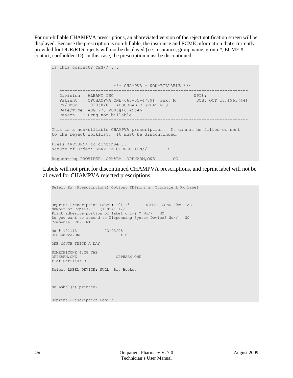For non-billable CHAMPVA prescriptions, an abbreviated version of the reject notification screen will be displayed. Because the prescription is non-billable, the insurance and ECME information that's currently provided for DUR/RTS rejects will not be displayed (i.e. insurance, group name, group #, ECME #, contact, cardholder ID). In this case, the prescription must be discontinued.

```
Is this correct? YES// ...
        *** CHAMPVA - NON-BILLABLE ***
 -------------------------------------------------------------------------
Division : ALBANY ISC NPI#:
Patient : OPCHAMPVA, ONE (666-55-4789) Sex: M DOB: OCT 18, 1963 (44)
 Rx/Drug : 102058/0 - ABSORBABLE GELATIN S 
   Date/Time: AUG 27, 2008@16:49:46
  Reason : Drug not billable.
                                -------------------------------------------------------------------------
This is a non-billable CHAMPVA prescription. It cannot be filled or sent
to the reject worklist. It must be discontinued.
Press <RETURN> to continue...
Nature of Order: SERVICE CORRECTION// S
Requesting PROVIDER: OPHARM OPPHARM,ONE OO
```
Labels will not print for discontinued CHAMPVA prescriptions, and reprint label will not be allowed for CHAMPVA rejected prescriptions.

Select Rx (Prescriptions) Option: REPrint an Outpatient Rx Label Reprint Prescription Label: 101113 SIMETHICONE 40MG TAB Number of Copies? : (1-99): 1// Print adhesive portion of label only? ? No// NO Do you want to resend to Dispensing System Device? No// NO Comments: REPRINT Rx # 101113 03/03/08 OPCHAMPVA,ONE #180 ONE MOUTH TWICE A DAY SIMETHICONE 40MG TAB OPPHARM, ONE # of Refills: 3 Select LABEL DEVICE: NULL Bit Bucket No Label(s) printed. Reprint Prescription Label: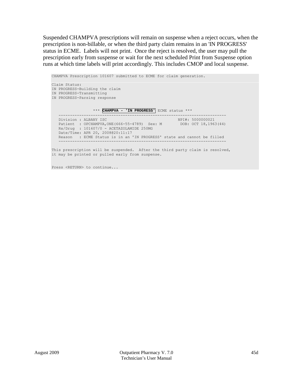Suspended CHAMPVA prescriptions will remain on suspense when a reject occurs, when the prescription is non-billable, or when the third party claim remains in an 'IN PROGRESS' status in ECME. Labels will not print. Once the reject is resolved, the user may pull the prescription early from suspense or wait for the next scheduled Print from Suspense option runs at which time labels will print accordingly. This includes CMOP and local suspense.

CHAMPVA Prescription 101607 submitted to ECME for claim generation. Claim Status: IN PROGRESS-Building the claim IN PROGRESS-Transmitting IN PROGRESS-Parsing response \*\*\* **CHAMPVA - 'IN PROGRESS'** ECME status \*\*\* ------------------------------------------------------------------------- Division : ALBANY ISC NPI NPI NPI NPI NPI 5000000021 Patient : OPCHAMPVA, ONE (666-55-4789) Sex: M DOB: OCT 18, 1963 (44) Rx/Drug : 101607/0 - ACETAZOLAMIDE 250MG Date/Time: APR 20, 2008@20:11:17 Reason : ECME Status is in an 'IN PROGRESS' state and cannot be filled ------------------------------------------------------------------------- This prescription will be suspended. After the third party claim is resolved, it may be printed or pulled early from suspense.

Press <RETURN> to continue...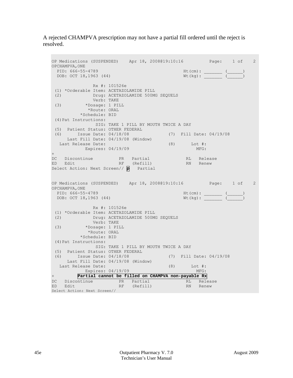A rejected CHAMPVA prescription may not have a partial fill ordered until the reject is resolved.

```
OP Medications (SUSPENDED) Apr 18, 2008@19:10:16 Page: 1 of 2 
OPCHAMPVA, ONE<br>PID: 666-55-4789
                                                  Ht (cm):<br>
Wt (kg): \frac{(-)}{(-)}DOB: OCT 18,1963 (44)
                Rx #: 101526e 
 (1) *Orderable Item: ACETAZOLAMIDE PILL<br>(2) Drug: ACETAZOLAMIDE 500M
      (2) Drug: ACETAZOLAMIDE 500MG SEQUELS 
 Verb: TAKE<br>(3) *Dosage: 1 PII
            (3) *Dosage: 1 PILL 
              *Route: ORAL 
           *Schedule: BID 
 (4)Pat Instructions: 
              SIG: TAKE 1 PILL BY MOUTH TWICE A DAY 
 (5) Patient Status: OTHER FEDERAL 
 (6) Issue Date: 04/18/08 (7) Fill Date: 04/19/08 
      Last Fill Date: 04/19/08 (Window) 
  Last Release Date: (8) Lot #:<br>Expires: 04/19/09 MFG:
           Expires: 04/19/09
+ 
DC Discontinue   PR Partial   RL Release
ED Edit RF (Refill) RN Renew
Select Action: Next Screen// p Partial
OP Medications (SUSPENDED) Apr 18, 2008@19:10:16 Page: 1 of 2 
OPCHAMPVA, ONE<br>PID: 666-55-4789
                                                   PID: 666-55-4789 Ht(cm): _______ (______) 
 DOB: OCT 18,1963 (44)
                Rx #: 101526e 
 (1) *Orderable Item: ACETAZOLAMIDE PILL<br>(2) Drug: ACETAZOLAMIDE 500M
              Drug: ACETAZOLAMIDE 500MG SEQUELS
 Verb: TAKE<br>(3) *Dosage: 1 PI
            (3) *Dosage: 1 PILL 
              *Route: ORAL 
            *Schedule: BID 
 (4)Pat Instructions: 
                 SIG: TAKE 1 PILL BY MOUTH TWICE A DAY 
 (5) Patient Status: OTHER FEDERAL 
 (6) Issue Date: 04/18/08 (7) Fill Date: 04/19/08 
      Last Fill Date: 04/19/08 (Window) 
  Last Release Date: (8) Lot #:<br>Expires: 04/19/09 MFG:
Expires: 04/19/09<br>+ Partial cannot be fil
          + Partial cannot be filled on CHAMPVA non-payable Rx 
DC Discontinue PR Partial RL Release
ED Edit RF (Refill) RN Renew
Select Action: Next Screen//
```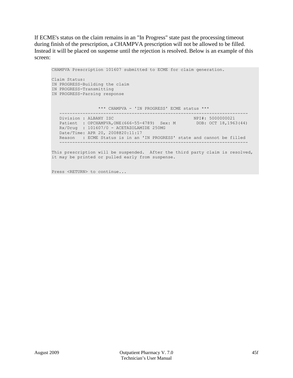If ECME's status on the claim remains in an "In Progress" state past the processing timeout during finish of the prescription, a CHAMPVA prescription will not be allowed to be filled. Instead it will be placed on suspense until the rejection is resolved. Below is an example of this screen:

CHAMPVA Prescription 101607 submitted to ECME for claim generation. Claim Status: IN PROGRESS-Building the claim IN PROGRESS-Transmitting IN PROGRESS-Parsing response \*\*\* CHAMPVA - 'IN PROGRESS' ECME status \*\*\* ------------------------------------------------------------------------- Division : ALBANY ISC NPI NEWSTAPH (NPI#: 5000000021) Patient : OPCHAMPVA, ONE (666-55-4789) Sex: M DOB: OCT 18, 1963 (44) Rx/Drug : 101607/0 - ACETAZOLAMIDE 250MG Date/Time: APR 20, 2008@20:11:17 Reason : ECME Status is in an 'IN PROGRESS' state and cannot be filled ------------------------------------------------------------------------- This prescription will be suspended. After the third party claim is resolved, it may be printed or pulled early from suspense.

Press <RETURN> to continue...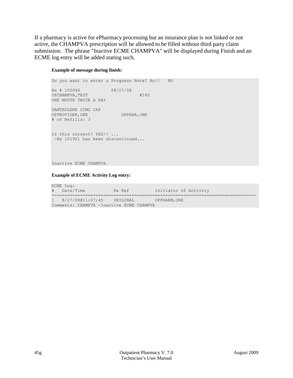If a pharmacy is active for ePharmacy processing but an insurance plan is not linked or not active, the CHAMPVA prescription will be allowed to be filled without third party claim submission. The phrase "Inactive ECME CHAMPVA" will be displayed during Finish and an ECME log entry will be added stating such.

## **Example of message during finish:**

Do you want to enter a Progress Note? No// NO Rx # 102046 08/27/08 OPCHAMPVA, TEST #180 ONE MOUTH TWICE A DAY DANTROLENE 25MG CAP OPPROVIDER,ONE OPPHAR,ONE # of Refills: 3 Is this correct? YES// ... -Rx 101921 has been discontinued...

Inactive ECME CHAMPVA

### **Example of ECME Activity Log entry:**

| ECME Log:                                 |        |                       |
|-------------------------------------------|--------|-----------------------|
| # Date/Time                               | Rx Ref | Initiator Of Activity |
|                                           |        |                       |
| 1 8/27/08011:07:45 ORIGINAL               |        | OPPHARM, ONE          |
| Comments: CHAMPVA - Inactive ECME CHAMPVA |        |                       |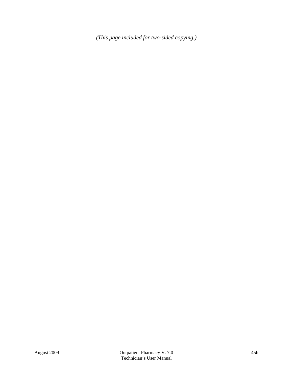*(This page included for two-sided copying.)*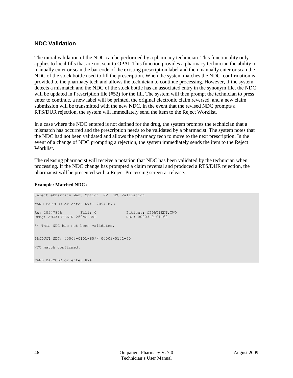## **NDC Validation**

The initial validation of the NDC can be performed by a pharmacy technician. This functionality only applies to local fills that are not sent to OPAI. This function provides a pharmacy technician the ability to manually enter or scan the bar code of the existing prescription label and then manually enter or scan the NDC of the stock bottle used to fill the prescription. When the system matches the NDC, confirmation is provided to the pharmacy tech and allows the technician to continue processing. However, if the system detects a mismatch and the NDC of the stock bottle has an associated entry in the synonym file, the NDC will be updated in Prescription file (#52) for the fill. The system will then prompt the technician to press enter to continue, a new label will be printed, the original electronic claim reversed, and a new claim submission will be transmitted with the new NDC. In the event that the revised NDC prompts a RTS/DUR rejection, the system will immediately send the item to the Reject Worklist.

In a case where the NDC entered is not defined for the drug, the system prompts the technician that a mismatch has occurred and the prescription needs to be validated by a pharmacist. The system notes that the NDC had not been validated and allows the pharmacy tech to move to the next prescription. In the event of a change of NDC prompting a rejection, the system immediately sends the item to the Reject Worklist.

The releasing pharmacist will receive a notation that NDC has been validated by the technician when processing. If the NDC change has prompted a claim reversal and produced a RTS/DUR rejection, the pharmacist will be presented with a Reject Processing screen at release.

## **Example: Matched NDC:**

WAND BARCODE or enter Rx#:

Select ePharmacy Menu Option: NV NDC Validation WAND BARCODE or enter Rx#: 2054787B Rx: 2054787B Fill: 0 Patient: OPPATIENT, TWO<br>
Drug: AMOXICILLIN 250MG CAP NDC: 00003-0101-60 Drug: AMOXICILLIN 250MG CAP \*\* This NDC has not been validated. PRODUCT NDC: 00003-0101-60// 00003-0101-60 NDC match confirmed.

46 Outpatient Pharmacy V. 7.0 August 2009 Technician's User Manual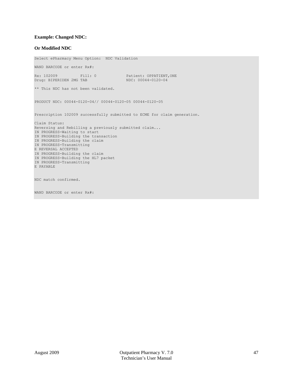### **Example: Changed NDC:**

#### **Or Modified NDC**

Select ePharmacy Menu Option: NDC Validation WAND BARCODE or enter Rx#: Rx: 102009 Fill: 0 Patient: OPPATIENT, ONE<br>
Drug: BIPERIDEN 2MG TAB NDC: 00044-0120-04 Drug: BIPERIDEN 2MG TAB \*\* This NDC has not been validated. PRODUCT NDC: 00044-0120-04// 00044-0120-05 00044-0120-05 Prescription 102009 successfully submitted to ECME for claim generation. Claim Status: Reversing and Rebilling a previously submitted claim... IN PROGRESS-Waiting to start IN PROGRESS-Building the transaction IN PROGRESS-Building the claim IN PROGRESS-Transmitting E REVERSAL ACCEPTED IN PROGRESS-Building the claim IN PROGRESS-Building the HL7 packet IN PROGRESS-Transmitting E PAYABLE NDC match confirmed. WAND BARCODE or enter Rx#: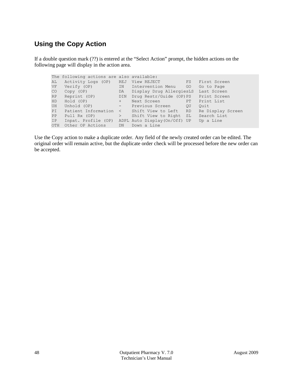## **Using the Copy Action**

If a double question mark (??) is entered at the "Select Action" prompt, the hidden actions on the following page will display in the action area.

```
The following actions are also available:<br>AL Activity Logs (OP) REJ View REJECT FS First Screen
AL Activity Logs (OP) REJ View REJECT FS First Screen
VF Verify (OP) IN Intervention Menu GO Go to Page
CO Copy (OP) DA Display Drug AllergiesLS Last Screen
RP Reprint (OP) DIN Drug Restr/Guide (OP)PS Print Screen
HD Hold (OP) + Next Screen PT Print List
UH Unhold (OP) - Previous Screen QU Quit
PI Patient Information < Shift View to Left RD Re Display Screen
PP Pull Rx (OP) > Shift View to Right SL Search List
IP Inpat. Profile (OP) ADPL Auto Display(On/Off) UP Up a Line
OTH Other OP Actions DN Down a Line
```
Use the Copy action to make a duplicate order. Any field of the newly created order can be edited. The original order will remain active, but the duplicate order check will be processed before the new order can be accepted.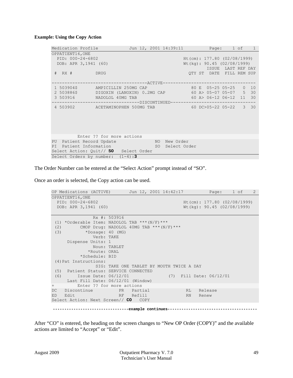## **Example: Using the Copy Action**

| Medication Profile                                            |              | Jun 12, 2001 14:39:11 |  | Page: 1 of 1                  |  |
|---------------------------------------------------------------|--------------|-----------------------|--|-------------------------------|--|
| OPPATIENT16, ONE                                              |              |                       |  |                               |  |
| PID: 000-24-6802                                              |              |                       |  | Ht(cm): $177.80$ (02/08/1999) |  |
| DOB: APR 3, 1941 (60)                                         |              |                       |  | Wt (kq): 90.45 (02/08/1999)   |  |
|                                                               |              |                       |  | ISSUE LAST REF DAY            |  |
| # RX # DRUG                                                   |              |                       |  | OTY ST DATE FILL REM SUP      |  |
|                                                               |              |                       |  |                               |  |
| --------------------ACTIVE-------------------------------     |              |                       |  |                               |  |
| AMPICILLIN 250MG CAP 80 E 05-25 05-25 0 10<br>1 503904\$      |              |                       |  |                               |  |
| 2 503886\$ DIGOXIN (LANOXIN) 0.2MG CAP 60 A> 05-07 05-07 5 30 |              |                       |  |                               |  |
| 3 503916 NADOLOL 40MG TAB                                     |              |                       |  | $60 A > 06-12 06-12 11 30$    |  |
| -------------------------------DISCONTINUED---------          |              |                       |  | -----------------             |  |
| 4 503902 ACETAMINOPHEN 500MG TAB 60 DC>05-22 05-22 3 30       |              |                       |  |                               |  |
|                                                               |              |                       |  |                               |  |
|                                                               |              |                       |  |                               |  |
|                                                               |              |                       |  |                               |  |
|                                                               |              |                       |  |                               |  |
|                                                               |              |                       |  |                               |  |
| Enter ?? for more actions                                     |              |                       |  |                               |  |
| Patient Record Update<br>PU                                   | NO New Order |                       |  |                               |  |
| PI Patient Information                                        |              | SO Select Order       |  |                               |  |
| Select Action: Quit// SO Select Order                         |              |                       |  |                               |  |
| Select Orders by number: $(1-4)$ :3                           |              |                       |  |                               |  |

The Order Number can be entered at the "Select Action" prompt instead of "SO".

Once an order is selected, the Copy action can be used.

|         | OP Medications (ACTIVE) Jun 12, 2001 14:42:17 Page: 1 of 2 |              |                               |  |                                           |                                |  |
|---------|------------------------------------------------------------|--------------|-------------------------------|--|-------------------------------------------|--------------------------------|--|
|         | OPPATIENT16, ONE                                           |              |                               |  |                                           |                                |  |
|         | PID: 000-24-6802                                           |              |                               |  |                                           | $Ht$ (cm): 177.80 (02/08/1999) |  |
|         | DOB: APR 3, 1941 (60)                                      |              |                               |  |                                           | $Wt(kq)$ : 90.45 (02/08/1999)  |  |
|         |                                                            |              |                               |  |                                           |                                |  |
|         |                                                            | Rx #: 503916 |                               |  |                                           |                                |  |
|         | (1) *Orderable Item: NADOLOL TAB *** $(N/F)$ ***           |              |                               |  |                                           |                                |  |
| (2)     | CMOP Drug: NADOLOL 40MG TAB *** $(N/F)$ ***                |              |                               |  |                                           |                                |  |
| (3)     | *Dosage: $40$ (MG)                                         |              |                               |  |                                           |                                |  |
|         | Verb: TAKE                                                 |              |                               |  |                                           |                                |  |
|         | Dispense Units: 1                                          |              |                               |  |                                           |                                |  |
|         |                                                            | Noun: TABLET |                               |  |                                           |                                |  |
|         | *Route: ORAL                                               |              |                               |  |                                           |                                |  |
|         | *Schedule: BID                                             |              |                               |  |                                           |                                |  |
|         | (4) Pat Instructions:                                      |              |                               |  |                                           |                                |  |
|         |                                                            |              |                               |  | SIG: TAKE ONE TABLET BY MOUTH TWICE A DAY |                                |  |
|         | (5) Patient Status: SERVICE CONNECTED                      |              |                               |  |                                           |                                |  |
|         | Issue Date: 06/12/01<br>(6)                                |              |                               |  |                                           | (7) Fill Date: 06/12/01        |  |
|         | Last Fill Date: 06/12/01 (Window)                          |              |                               |  |                                           |                                |  |
| $+$ $-$ | Enter ?? for more actions                                  |              |                               |  |                                           |                                |  |
| DC      | Discontinue PR Partial                                     |              |                               |  | RL Release                                |                                |  |
| ED      | Edit                                                       | RE Refill    |                               |  | RN -                                      | Renew                          |  |
|         | Select Action: Next Screen// CO COPY                       |              |                               |  |                                           |                                |  |
|         |                                                            |              | ------example continues------ |  |                                           |                                |  |
|         |                                                            |              |                               |  |                                           |                                |  |

After "CO" is entered, the heading on the screen changes to "New OP Order (COPY)" and the available actions are limited to "Accept" or "Edit".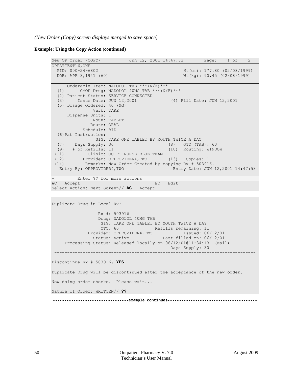*(New Order (Copy) screen displays merged to save space)*

**Example: Using the Copy Action (continued)**

```
New OP Order (COPY) Jun 12, 2001 14:47:53 Page: 1 of 2
OPPATIENT16, ONE<br>PID: 000-24-6802
  PID: 000-24-6802<br>
POB: APR 3,1941 (60) <br>
Wt(kg): 90.45 (02/08/1999)
                                                  Wt(kg): 90.45 (02/08/1999)
      Orderable Item: NADOLOL TAB ***(N/F)*** 
   (1) CMOP Drug: NADOLOL 40MG TAB ***(N/F)*** 
   (2) Patient Status: SERVICE CONNECTED 
   (3) Issue Date: JUN 12,2001 (4) Fill Date: JUN 12,2001 
   (5) Dosage Ordered: 40 (MG) 
                Verb: TAKE 
      Dispense Units: 1 
                Noun: TABLET 
               Route: ORAL 
            Schedule: BID 
   (6)Pat Instruction: 
  SIG: TAKE ONE TABLET BY MOUTH TWICE A DAY<br>(7) Days Supply: 30 (8) QTY (TA
       Days Supply: 30 (8) QTY (TAB): 60<br>
# of Refills: 11 (10) Routing: WIND
  (9) # of Refills: 11 (10) Routing: WINDOW 
 (11) Clinic: OUTPT NURSE BLUE TEAM<br>(12) Provider: OPPROVIDER4.TWO
 (12) Provider: OPPROVIDER4,TWO (13) Copies: 1 
 (14) Remarks: New Order Created by copying Rx # 503916. 
   Entry By: OPPROVIDER4,TWO Entry Date: JUN 12,2001 14:47:53
+ Enter ?? for more actions 
                                ED Edit
Select Action: Next Screen// AC Accept 
-------------------------------------------------------------------------------
Duplicate Drug in Local Rx: 
                  Rx #: 503916
                 Drug: NADOLOL 40MG TAB
                  SIG: TAKE ONE TABLET BY MOUTH TWICE A DAY<br>OTY: 60 0 Refills remaining: 11
                            External Refills remaining: 11
              Provider: OPPROVIDER4, TWO Issued: 06/12/01
               Status: Active Last filled on: 06/12/01
      Processing Status: Released locally on 06/12/01@11:34:13 (Mail)
                                             Days Supply: 30
 ------------------------------------------------------------------------------
Discontinue Rx # 503916? YES
Duplicate Drug will be discontinued after the acceptance of the new order.
Now doing order checks. Please wait...
Nature of Order: WRITTEN// ??
```
 **---------------------------------example continues---------------------------------------**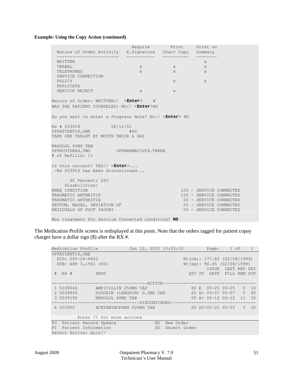## **Example: Using the Copy Action (continued)**

| Nature of Order Activity E.Signature Chart Copy Summary                                            |              | Require Print Print on |                         |  |
|----------------------------------------------------------------------------------------------------|--------------|------------------------|-------------------------|--|
|                                                                                                    | ____________ | ------------           |                         |  |
| WRITTEN                                                                                            |              |                        | X                       |  |
| VERBAL                                                                                             |              | $X$ and $X$            | X                       |  |
| TELEPHONED                                                                                         | $\mathbf{x}$ | X                      | X                       |  |
| SERVICE CORRECTION                                                                                 |              |                        |                         |  |
| POLICY                                                                                             |              | $X$ and $X$            |                         |  |
| <b>DUPLICATE</b>                                                                                   |              |                        |                         |  |
| SERVICE REJECT                                                                                     | $X$ and $X$  | $\mathbf{x}$           |                         |  |
| Nature of Order: WRITTEN// <enter> W<br/>WAS THE PATIENT COUNSELED: NO// <enter>NO</enter></enter> |              |                        |                         |  |
| Do you want to enter a Progress Note? No// <enter> NO</enter>                                      |              |                        |                         |  |
| Rx # 503919 06/12/01<br>OPPATIENT16, ONE THE CONSTRUCTION<br>TAKE ONE TABLET BY MOUTH TWICE A DAY  | #60          |                        |                         |  |
| NADOLOL 40MG TAB<br>OPPROVIDER4, TWO OPPHARMACIST4, THREE<br># of Refills: 11                      |              |                        |                         |  |
| Is this correct? $YES//$ $K$ <b>nter</b> ><br>-Rx 503916 has been discontinued                     |              |                        |                         |  |
| SC Percent: 20%                                                                                    |              |                        |                         |  |
| Disabilities:                                                                                      |              |                        |                         |  |
| KNEE CONDITION                                                                                     |              |                        | 10% - SERVICE CONNECTED |  |
| TRAUMATIC ARTHRITIS                                                                                |              |                        | 10% - SERVICE CONNECTED |  |
| TRAUMATIC ARTHRITIS                                                                                |              |                        | 0% - SERVICE CONNECTED  |  |
| SEPTUM, NASAL, DEVIATION OF                                                                        |              |                        | 0% - SERVICE CONNECTED  |  |
| RESIDUALS OF FOOT INJURY                                                                           |              |                        | 0% - SERVICE CONNECTED  |  |
| Was treatment for Service Connected condition? NO                                                  |              |                        |                         |  |

The Medication Profile screen is redisplayed at this point. Note that the orders tagged for patient copay charges have a dollar sign  $(\$)$  after the RX #.

|            | Medication Profile       |                                                    |  |      | Jun 12, 2001 15:03:10             |                                 |  | Page: 1 of 1                   |             |
|------------|--------------------------|----------------------------------------------------|--|------|-----------------------------------|---------------------------------|--|--------------------------------|-------------|
|            | OPPATIENT16, ONE         |                                                    |  |      |                                   |                                 |  |                                |             |
|            | PID: 000-24-6802         |                                                    |  |      |                                   |                                 |  | $Ht$ (cm): 177.80 (02/08/1999) |             |
|            | DOB: APR 3, 1941 (60)    |                                                    |  |      |                                   |                                 |  | $Wt$ (kg): 90.45 (02/08/1999)  |             |
|            |                          |                                                    |  |      |                                   |                                 |  | ISSUE LAST REF DAY             |             |
| $#$ RX $#$ |                          | <b>DRUG</b>                                        |  |      |                                   |                                 |  | OTY ST DATE FILL REM SUP       |             |
|            |                          |                                                    |  |      |                                   |                                 |  |                                |             |
|            |                          | -------------------ACTIVE----------------------    |  |      |                                   |                                 |  |                                |             |
| 1 503904\$ |                          | AMPICILLIN 250MG CAP                               |  |      |                                   |                                 |  |                                | $0\quad 10$ |
| 2 503886\$ |                          | DIGOXIN (LANOXIN) 0.2MG CAP 60 A> 05-07 05-07 5 30 |  |      |                                   |                                 |  |                                |             |
| 3 503919\$ |                          | NADOLOL 40MG TAB                                   |  |      |                                   |                                 |  | 60 A> 06-12 06-12 11 30        |             |
|            |                          |                                                    |  |      | ------------DISCONTINUED--------- |                                 |  |                                |             |
|            |                          | 4 503902 ACETAMINOPHEN 500MG TAB                   |  |      |                                   | $60 D C > 05 - 22 05 - 22 3 30$ |  |                                |             |
|            |                          |                                                    |  |      |                                   |                                 |  |                                |             |
|            |                          | Enter ?? for more actions                          |  |      |                                   |                                 |  |                                |             |
|            | PU Patient Record Update |                                                    |  | NO.  | New Order                         |                                 |  |                                |             |
|            | PI Patient Information   |                                                    |  | SO - | Select Order                      |                                 |  |                                |             |
|            | Select Action: Ouit//    |                                                    |  |      |                                   |                                 |  |                                |             |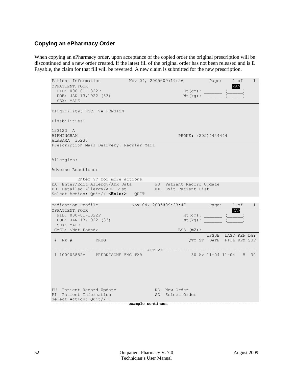## **Copying an ePharmacy Order**

When copying an ePharmacy order, upon acceptance of the copied order the original prescription will be discontinued and a new order created. If the latest fill of the original order has not been released and is E Payable, the claim for that fill will be reversed. A new claim is submitted for the new prescription.

| Patient Information                                                                                                                   | Nov 04, 2005@09:19:26 |                                                           | Page: | 1 of                                           | $\mathbf{1}$   |
|---------------------------------------------------------------------------------------------------------------------------------------|-----------------------|-----------------------------------------------------------|-------|------------------------------------------------|----------------|
| OPPATIENT, FOUR                                                                                                                       |                       |                                                           |       | $\langle A \rangle$                            |                |
| PID: 000-01-1322P                                                                                                                     |                       | $Ht$ (cm) :                                               |       |                                                |                |
| DOB: JAN 13,1922 (83)                                                                                                                 |                       | $Wt$ (kg) :                                               |       |                                                |                |
| SEX: MALE                                                                                                                             |                       |                                                           |       |                                                |                |
| Eligibility: NSC, VA PENSION                                                                                                          |                       |                                                           |       |                                                |                |
| Disabilities:                                                                                                                         |                       |                                                           |       |                                                |                |
| 123123 A<br>BIRMINGHAM<br>ALABAMA 35235<br>Prescription Mail Delivery: Regular Mail                                                   |                       | PHONE: (205)4444444                                       |       |                                                |                |
| Allergies:                                                                                                                            |                       |                                                           |       |                                                |                |
| Adverse Reactions:                                                                                                                    |                       |                                                           |       |                                                |                |
| Enter ?? for more actions                                                                                                             |                       |                                                           |       |                                                |                |
| EA Enter/Edit Allergy/ADR Data PU Patient Record Update<br>DD Detailed Allergy/ADR List<br>Select Action: Quit// <enter> QUIT</enter> |                       | EX Exit Patient List                                      |       |                                                |                |
|                                                                                                                                       |                       |                                                           |       |                                                |                |
| Medication Profile                                                                                                                    |                       | Nov 04, 2005@09:23:47 Page:                               |       | 1 of                                           | $\overline{1}$ |
| OPPATIENT, FOUR<br>PID: 000-01-1322P                                                                                                  |                       | $Ht$ (cm) :                                               |       | $<\lambda>$                                    |                |
| DOB: JAN 13,1922 (83)                                                                                                                 |                       | $Wt$ (kg):                                                |       |                                                |                |
| SEX: MALE                                                                                                                             |                       |                                                           |       |                                                |                |
| CrCL: <not found=""></not>                                                                                                            |                       | $BSA$ $(m2)$ :                                            |       |                                                |                |
| # RX # DRUG                                                                                                                           |                       |                                                           |       | ISSUE LAST REF DAY<br>QTY ST DATE FILL REM SUP |                |
| 1 100003852e PREDNISONE 5MG TAB                                                                                                       |                       |                                                           |       | 30 A> 11-04 11-04 5 30                         |                |
|                                                                                                                                       |                       |                                                           |       |                                                |                |
| PU Patient Record Update                                                                                                              |                       | NO New Order                                              |       |                                                |                |
| PI Patient Information<br>Select Action: Ouit// 1                                                                                     |                       | SO Select Order                                           |       |                                                |                |
|                                                                                                                                       |                       | --------example continues-------------------------------- |       |                                                |                |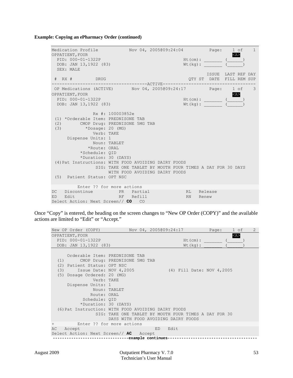**Example: Copying an ePharmacy Order (continued)**

Medication Profile  $Nov(04, 2005009:24:04$  Page:  $1 \text{ of } 1$ <br>OPPATIENT, FOUR OPPATIENT, FOUR<br>PID: 000-01-1322P<br>Http://en.com/handback.com/handback.com/handback.com/handback.com/h PID:  $000-01-1322P$  Ht(cm): \_\_\_\_\_\_ (\_\_\_\_\_)<br>DOB: JAN 13,1922 (83)  $Wt(kq)$ :  $($ DOB: JAN 13,1922 (83) Wt(kg):  $\frac{Wt(kq)}{1 - w}$  SEX: MALE ISSUE LAST REF DAY یہ SISSUE LAST REF DAY<br>Fill Ref Product to the Super State of the Super State of the Super State of the Super State of the Super State of the Super State of the Super State of the Super State of the Supe QTY ST DATE FILL REM SUP -------------------------------------ACTIVE------------------------------------ OP Medications (ACTIVE) Nov 04, 2005@09:24:17 Page: 1 of 3PPATIENT, FOUR OPPATIENT, FOUR<br>
PID: 000-01-1322P<br>
Ht(cm): ( ) PID: 000-01-1322P Ht(cm): \_\_\_\_\_\_\_ (\_\_\_\_\_\_) DOB: JAN 13,1922 (83) Rx #: 100003852e (1) \*Orderable Item: PREDNISONE TAB (2) CMOP Drug: PREDNISONE 5MG TAB<br>(3) \* Dosage: 20 (MG) (3) \*Dosage: 20 (MG) Verb: TAKE Dispense Units: 1 Noun: TABLET \*Route: ORAL \*Schedule: QID \*Duration: 30 (DAYS) (4)Pat Instructions: WITH FOOD AVOIDING DAIRY FOODS SIG: TAKE ONE TABLET BY MOUTH FOUR TIMES A DAY FOR 30 DAYS WITH FOOD AVOIDING DAIRY FOODS (5) Patient Status: OPT NSC Enter ?? for more actions DC Discontinue PR Partial RL Release RN Renew Select Action: Next Screen// CO CO

Once "Copy" is entered, the heading on the screen changes to "New OP Order (COPY)" and the available actions are limited to "Edit" or "Accept."

| New OP Order (COPY)                                                                                                                                     |                                                                                 | Nov 04, 2005@09:24:17                                                                        | Page: | 1 of          | $\overline{2}$ |
|---------------------------------------------------------------------------------------------------------------------------------------------------------|---------------------------------------------------------------------------------|----------------------------------------------------------------------------------------------|-------|---------------|----------------|
| OPPATIENT, FOUR<br>PID: 000-01-1322P<br>DOB: JAN 13,1922 (83)                                                                                           |                                                                                 | $Ht$ (cm) :<br>$Wt$ (kg):                                                                    |       | $<\!\!A\!\!>$ |                |
| (1)<br>(2) Patient Status: OPT NSC<br>Issue Date: NOV 4,2005<br>(3)<br>Dosage Ordered: 20 (MG)<br>(5)<br>Verb: TAKE<br>Dispense Units: 1<br>Route: ORAL | Orderable Item: PREDNISONE TAB<br>CMOP Drug: PREDNISONE 5MG TAB<br>Noun: TABLET | (4) Fill Date: NOV 4,2005                                                                    |       |               |                |
| Schedule: QID<br>*Duration: 30 (DAYS)<br>(6) Pat Instruction: WITH FOOD AVOIDING DAIRY FOODS                                                            |                                                                                 | SIG: TAKE ONE TABLET BY MOUTH FOUR TIMES A DAY FOR 30<br>DAYS WITH FOOD AVOIDING DAIRY FOODS |       |               |                |
| $^{+}$                                                                                                                                                  | Enter ?? for more actions                                                       |                                                                                              |       |               |                |
| Accept<br>AC<br>Select Action: Next Screen// AC Accept                                                                                                  |                                                                                 | ED.<br>Edit                                                                                  |       |               |                |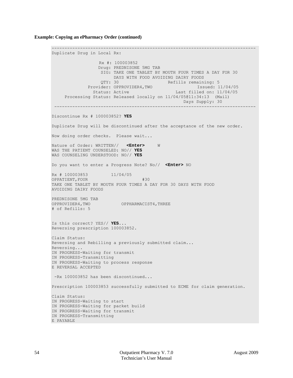**Example: Copying an ePharmacy Order (continued)**

------------------------------------------------------------------------------- Duplicate Drug in Local Rx: Rx #: 100003852 Drug: PREDNISONE 5MG TAB SIG: TAKE ONE TABLET BY MOUTH FOUR TIMES A DAY FOR 30 DAYS WITH FOOD AVOIDING DAIRY FOODS<br>OTY: 30 Refills remain: Refills remaining: 5<br>Issued: 11/04/05 Provider: OPPROVIDER4, TWO<br>Status: Active Last filled on: 11/04/05 Processing Status: Released locally on 11/04/05@11:34:13 (Mail) Days Supply: 30 ------------------------------------------------------------------------------ Discontinue Rx # 100003852? **YES** Duplicate Drug will be discontinued after the acceptance of the new order. Now doing order checks. Please wait... Nature of Order: WRITTEN// **<Enter>** W WAS THE PATIENT COUNSELED: NO// **YES** WAS COUNSELING UNDERSTOOD: NO// **YES** Do you want to enter a Progress Note? No// **<Enter>** NO Rx # 100003853 11/04/05 OPPATIENT, FOUR #30 TAKE ONE TABLET BY MOUTH FOUR TIMES A DAY FOR 30 DAYS WITH FOOD AVOIDING DAIRY FOODS PREDNISONE 5MG TAB OPPROVIDER4,TWO OPPHARMACIST4,THREE # of Refills: 5 Is this correct? YES// **YES**... Reversing prescription 100003852. Claim Status: Reversing and Rebilling a previously submitted claim... Reversing... IN PROGRESS-Waiting for transmit IN PROGRESS-Transmitting IN PROGRESS-Waiting to process response E REVERSAL ACCEPTED -Rx 100003852 has been discontinued... Prescription 100003853 successfully submitted to ECME for claim generation. Claim Status: IN PROGRESS-Waiting to start IN PROGRESS-Waiting for packet build IN PROGRESS-Waiting for transmit IN PROGRESS-Transmitting E PAYABLE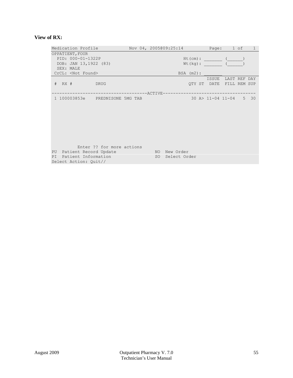## **View of RX:**

| Medication Profile                                                                                             |                          | Nov 04, 2005@09:25:14                           |                           | Page: 1 of<br>$\mathbf{1}$               |
|----------------------------------------------------------------------------------------------------------------|--------------------------|-------------------------------------------------|---------------------------|------------------------------------------|
| OPPATIENT, FOUR<br>PID: 000-01-1322P<br>DOB: JAN 13,1922 (83)<br>SEX: MALE                                     |                          |                                                 | $Ht$ (cm) :<br>$Wt$ (kq): |                                          |
| CrCL: <not found=""></not>                                                                                     |                          |                                                 | $BSA$ $(m2)$ :            |                                          |
| $#$ RX $#$<br>DRUG                                                                                             |                          |                                                 | ISSUE                     | LAST REF DAY<br>QTY ST DATE FILL REM SUP |
| 1 100003853e PREDNISONE 5MG TAB                                                                                | -----------------ACTIVE- |                                                 |                           | 30 A> 11-04 11-04 5 30                   |
| Enter ?? for more actions<br>PU<br>Patient Record Update<br>Patient Information<br>PI<br>Select Action: Quit// |                          | NO New Order<br>SO <sub>2</sub><br>Select Order |                           |                                          |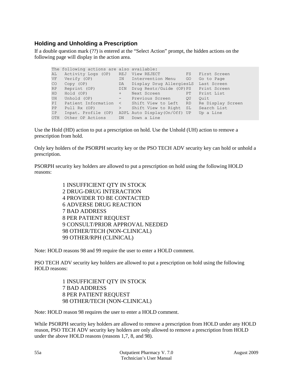## **Holding and Unholding a Prescription**

If a double question mark (??) is entered at the "Select Action" prompt, the hidden actions on the following page will display in the action area.

|     | The following actions are also available:     |                                                   |                   |
|-----|-----------------------------------------------|---------------------------------------------------|-------------------|
| AL  | Activity Logs (OP) REJ View REJECT FS         |                                                   | First Screen      |
| VF  | Verify (OP) M Intervention Menu GO Go to Page |                                                   |                   |
| CO  | Copy (OP) DA Display Drug AllergiesLS         |                                                   | Last Screen       |
| RP  | Reprint (OP) DIN                              | Drug Restr/Guide (OP) PS Print Screen             |                   |
| HD  | Hold (OP) +                                   | Next Screen PT Print List                         |                   |
| UH  | Unhold (OP) - Previous Screen OU              |                                                   | Ouit              |
| PI  | Patient Information < Shift View to Left RD   |                                                   | Re Display Screen |
| PP  |                                               | Pull Rx (OP) > Shift View to Right SL Search List |                   |
| IP  |                                               | Inpat. Profile (OP) ADPL Auto Display(On/Off) UP  | Up a Line         |
| OTH | Other OP Actions DN                           | Down a Line                                       |                   |
|     |                                               |                                                   |                   |

Use the Hold (HD) action to put a prescription on hold. Use the Unhold (UH) action to remove a prescription from hold.

Only key holders of the PSORPH security key or the PSO TECH ADV security key can hold or unhold a prescription.

PSORPH security key holders are allowed to put a prescription on hold using the following HOLD reasons:

> 1 INSUFFICIENT QTY IN STOCK 2 DRUG-DRUG INTERACTION 4 PROVIDER TO BE CONTACTED 6 ADVERSE DRUG REACTION 7 BAD ADDRESS 8 PER PATIENT REQUEST 9 CONSULT/PRIOR APPROVAL NEEDED 98 OTHER/TECH (NON-CLINICAL) 99 OTHER/RPH (CLINICAL)

Note: HOLD reasons 98 and 99 require the user to enter a HOLD comment.

PSO TECH ADV security key holders are allowed to put a prescription on hold using the following HOLD reasons:

> 1 INSUFFICIENT QTY IN STOCK 7 BAD ADDRESS 8 PER PATIENT REQUEST 98 OTHER/TECH (NON-CLINICAL)

Note: HOLD reason 98 requires the user to enter a HOLD comment.

While PSORPH security key holders are allowed to remove a prescription from HOLD under any HOLD reason, PSO TECH ADV security key holders are only allowed to remove a prescription from HOLD under the above HOLD reasons (reasons 1,7, 8, and 98).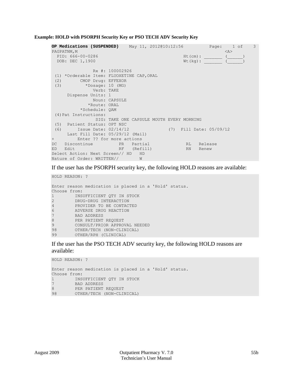**Example: HOLD with PSORPH Security Key or PSO TECH ADV Security Key**

```
OP Medications (SUSPENDED) May 11, 2012@10:12:56 Page: 1 of 3<br>PAGPATNM, M < A>
PAGPATNM, MASS AND THE RESERVE OF THE RESERVE OF THE RESERVE OF THE RESERVE OF THE RESERVE OF THE RESERVE OF THE RESERVE OF THE RESERVE OF THE RESERVE OF THE RESERVE OF THE RESERVE OF THE RESERVE OF THE RESERVE OF THE RESE
   PID: 666-00-0286 Ht(cm): _______ (______) 
  DOB: DEC 1,1900 Wt(kg): \overline{C} Rx #: 100002926 
 (1) *Orderable Item: FLUOXETINE CAP, ORAL<br>(2) CMOP Drug: EFFEXOR
 (2) CMOP Drug: EFFEXOR<br>(3) *Dosage: 10 (MG)
             (3) *Dosage: 10 (MG) 
                  Verb: TAKE 
       Dispense Units: 1 
                  Noun: CAPSULE 
                *Route: ORAL 
             *Schedule: QAM 
 (4)Pat Instructions: 
 SIG: TAKE ONE CAPSULE MOUTH EVERY MORNING<br>(5) Patient Status: OPT NSC
 (5) Patient Status: OPT NSC 
 (6) Issue Date: 02/14/12 (7) Fill Date: 05/09/12 
 Last Fill Date: 05/29/12 (Mail) 
+ Enter ?? for more actions 
DC Discontinue PR Partial RL Release
ED Edit RF (Refill) RN Renew
Select Action: Next Screen// HD HD<br>Nature of Order: WRITTEN// W
Nature of Order: WRITTEN//
```
If the user has the PSORPH security key, the following HOLD reasons are available:

```
HOLD REASON: ?
Enter reason medication is placed in a 'Hold' status.
Choose from:<br>1 TNSI
1 INSUFFICIENT QTY IN STOCK<br>2 DRUG-DRUG INTERACTION
2 DRUG-DRUG INTERACTION<br>4 PROVIDER TO BE CONTACY
4 PROVIDER TO BE CONTACTED<br>6 ADVERSE DRUG REACTION
6 ADVERSE DRUG REACTION<br>7 BAD ADDRESS
7 BAD ADDRESS<br>8 PER PATIENT
8 PER PATIENT REQUEST<br>9 CONSULT/PRIOR APPROT
9 CONSULT/PRIOR APPROVAL NEEDED<br>98 OTHER/TECH (NON-CLINICAL)
         OTHER/TECH (NON-CLINICAL)
99 OTHER/RPH (CLINICAL)
```
If the user has the PSO TECH ADV security key, the following HOLD reasons are available:

```
HOLD REASON: ?
Enter reason medication is placed in a 'Hold' status.
Choose from:<br>1 TNS
1 INSUFFICIENT QTY IN STOCK<br>7 BAD ADDRESS
7 BAD ADDRESS<br>8 PER PATIENT
        8 PER PATIENT REQUEST
98 OTHER/TECH (NON-CLINICAL)
```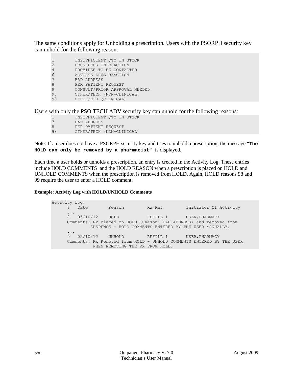The same conditions apply for Unholding a prescription. Users with the PSORPH security key can unhold for the following reason:

|                | INSUFFICIENT OTY IN STOCK     |
|----------------|-------------------------------|
| $\overline{2}$ | DRUG-DRUG INTERACTION         |
| 4              | PROVIDER TO BE CONTACTED      |
| 6              | ADVERSE DRUG REACTION         |
|                | <b>BAD ADDRESS</b>            |
| 8              | PER PATIENT REOUEST           |
| 9              | CONSULT/PRIOR APPROVAL NEEDED |
| 98             | OTHER/TECH (NON-CLINICAL)     |
| 99             | OTHER/RPH (CLINICAL)          |

Users with only the PSO TECH ADV security key can unhold for the following reasons:

| $\mathbf{1}$ | INSUFFICIENT OTY IN STOCK |
|--------------|---------------------------|
| 7            | BAD ADDRESS               |
| 8            | PER PATIENT REOUEST       |
| 98           | OTHER/TECH (NON-CLINICAL) |

Note: If a user does not have a PSORPH security key and tries to unhold a prescription, the message "**The HOLD can only be removed by a pharmacist"** is displayed.

Each time a user holds or unholds a prescription, an entry is created in the Activity Log. These entries include HOLD COMMENTS and the HOLD REASON when a prescription is placed on HOLD and UNHOLD COMMENTS when the prescription is removed from HOLD. Again, HOLD reasons 98 and 99 require the user to enter a HOLD comment.

## **Example: Activity Log with HOLD/UNHOLD Comments**

Activity Log:<br># Date Reason Rx Ref Initiator Of Activity<br>
HOLD REFILL 1 USER PHARMACY ... 8 05/10/12 HOLD REFILL 1 USER, PHARMACY Comments: Rx placed on HOLD (Reason: BAD ADDRESS) and removed from SUSPENSE - HOLD COMMENTS ENTERED BY THE USER MANUALLY. ... REFILL 1 USER, PHARMACY Comments: Rx Removed from HOLD - UNHOLD COMMENTS ENTERED BY THE USER WHEN REMOVING THE RX FROM HOLD.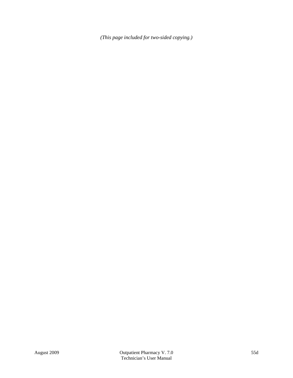*(This page included for two-sided copying.)*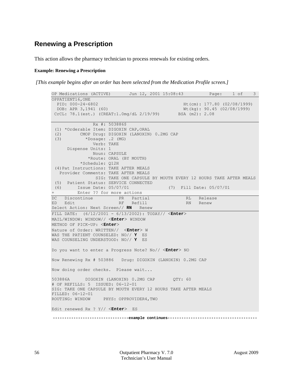## **Renewing a Prescription**

This action allows the pharmacy technician to process renewals for existing orders.

### **Example: Renewing a Prescription**

*[This example begins after an order has been selected from the Medication Profile screen.]*

```
OP Medications (ACTIVE) Jun 12, 2001 15:08:43 Page: 1 of 3 
OPPATIENT16, ONE<br>PID: 000-24-6802
  PID: 000-24-6802 Ht(cm): 177.80 (02/08/1999)<br>DOB: APR 3,1941 (60) Wt(kg): 90.45 (02/08/1999)
                                                 Wt(kg): 90.45 (02/08/1999)<br>BSA (m2): 2.08
 CrCL: 78.1(est.) (CREAT:1.0mg/dL 2/19/99)
                 Rx #: 503886$ 
 (1) *Orderable Item: DIGOXIN CAP, ORAL<br>(2) CMOP Drug: DIGOXIN (LANOXIN
 (2) CMOP Drug: DIGOXIN (LANOXIN) 0.2MG CAP<br>(3) *Dosage: .2 (MG)
             (3) *Dosage: .2 (MG) 
                 Verb: TAKE 
       Dispense Units: 1 
                 Noun: CAPSULE 
               *Route: ORAL (BY MOUTH) 
            *Schedule: Q12H 
 (4)Pat Instructions: TAKE AFTER MEALS 
    Provider Comments: TAKE AFTER MEALS 
                  SIG: TAKE ONE CAPSULE BY MOUTH EVERY 12 HOURS TAKE AFTER MEALS 
 (5) Patient Status: SERVICE CONNECTED<br>(6) Issue Date: 05/07/01
                                   (7) Fill Date: 05/07/01
      Enter ?? for more actions
DC Discontinue PR Partial RL Release
                          RF Refill RN Renew
Select Action: Next Screen// RN Renew
FILL DATE: (6/12/2001 - 6/13/2002): TODAY// <Enter>
MAIL/WINDOW: WINDOW// <Enter> WINDOW
METHOD OF PICK-UP: <Enter>
Nature of Order: WRITTEN// <Enter> W
WAS THE PATIENT COUNSELED: NO// Y ES
WAS COUNSELING UNDERSTOOD: NO// Y ES
Do you want to enter a Progress Note? No// <Enter> NO
Now Renewing Rx # 503886 Drug: DIGOXIN (LANOXIN) 0.2MG CAP
Now doing order checks. Please wait...
503886A DIGOXIN (LANOXIN) 0.2MG CAP QTY: 60
# OF REFILLS: 5 ISSUED: 06-12-01
SIG: TAKE ONE CAPSULE BY MOUTH EVERY 12 HOURS TAKE AFTER MEALS
FILLED: 06-12-01<br>ROUTING: WINDOW
                   PHYS: OPPROVIDER4,TWO
Edit renewed Rx ? Y// <Enter> ES
 ---------------------------------example continues---------------------------------------
```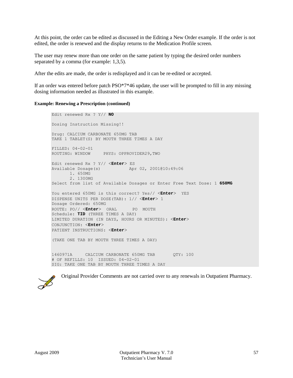At this point, the order can be edited as discussed in the Editing a New Order example. If the order is not edited, the order is renewed and the display returns to the Medication Profile screen.

The user may renew more than one order on the same patient by typing the desired order numbers separated by a comma (for example: 1,3,5).

After the edits are made, the order is redisplayed and it can be re-edited or accepted.

If an order was entered before patch  $PSO^*7*46$  update, the user will be prompted to fill in any missing dosing information needed as illustrated in this example.

### **Example: Renewing a Prescription (continued)**

```
Edit renewed Rx ? Y// NO
Dosing Instruction Missing!!
Drug: CALCIUM CARBONATE 650MG TAB 
TAKE 1 TABLET(S) BY MOUTH THREE TIMES A DAY 
FILLED: 04-02-01
ROUTING: WINDOW PHYS: OPPROVIDER29,TWO
Edit renewed Rx ? Y// <Enter> ES
Available Dosage(s) Apr 02, 2001@10:49:06
       1. 650MG
       2. 1300MG
Select from list of Available Dosages or Enter Free Text Dose: 1 650MG
You entered 650MG is this correct? Yes// <Enter> YES
DISPENSE UNITS PER DOSE(TAB): 1// <Enter> 1
Dosage Ordered: 650MG
ROUTE: PO// <Enter> ORAL PO MOUTH
Schedule: TID (THREE TIMES A DAY)
LIMITED DURATION (IN DAYS, HOURS OR MINUTES): <Enter>
CONJUNCTION: <Enter>
PATIENT INSTRUCTIONS: <Enter>
(TAKE ONE TAB BY MOUTH THREE TIMES A DAY)
1460971A CALCIUM CARBONATE 650MG TAB QTY: 100
# OF REFILLS: 10 ISSUED: 04-02-01
SIG: TAKE ONE TAB BY MOUTH THREE TIMES A DAY
```


Original Provider Comments are not carried over to any renewals in Outpatient Pharmacy.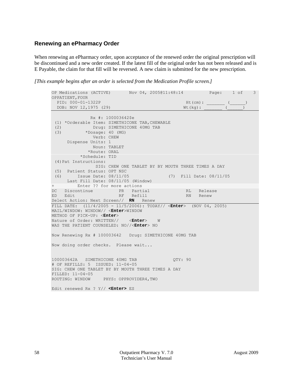## **Renewing an ePharmacy Order**

When renewing an ePharmacy order, upon acceptance of the renewed order the original prescription will be discontinued and a new order created. If the latest fill of the original order has not been released and is E Payable, the claim for that fill will be reversed. A new claim is submitted for the new prescription.

*[This example begins after an order is selected from the Medication Profile screen.]*

```
OP Medications (ACTIVE) Nov 04, 2005@11:48:14 Page: 1 of 3 
OPPATIENT, FOUR
   PID: 000-01-1322P Ht(cm): _______ (______) 
  DOB: NOV 12,1975 (29) Wt(kg): (2) Rx #: 100003642$e 
 (1) *Orderable Item: SIMETHICONE TAB, CHEWABLE<br>(2) Drug: SIMETHICONE 40MG TAB
 (2) Drug: SIMETHICONE 40MG TAB<br>(3) * Dosage: 40 (MG)
            (3) *Dosage: 40 (MG) 
               Verb: CHEW 
      Dispense Units: 1 
               Noun: TABLET 
              *Route: ORAL 
           *Schedule: TID 
 (4)Pat Instructions: 
                 SIG: CHEW ONE TABLET BY BY MOUTH THREE TIMES A DAY 
 (5) Patient Status: OPT NSC 
 (6) Issue Date: 08/11/05 (7) Fill Date: 08/11/05 
      Last Fill Date: 08/11/05 (Window) 
         Enter ?? for more actions<br>
Entinue PR Partial
DC Discontinue PR Partial RL Release
                        RF Refill
Select Action: Next Screen// RN Renew 
FILL DATE: (11/4/2005 - 11/5/2006): TODAY// <Enter> (NOV 04, 2005)
MAIL/WINDOW: WINDOW// <Enter>WINDOW
METHOD OF PICK-UP: <Enter> 
Nature of Order: WRITTEN// <Enter> W
WAS THE PATIENT COUNSELED: NO//<Enter> NO
Now Renewing Rx # 100003642 Drug: SIMETHICONE 40MG TAB
Now doing order checks. Please wait...
100003642A SIMETHICONE 40MG TAB QTY: 90
# OF REFILLS: 5 ISSUED: 11-04-05
SIG: CHEW ONE TABLET BY BY MOUTH THREE TIMES A DAY
FILLED: 11-04-05<br>ROUTING: WINDOW
                  PHYS: OPPROVIDER4, TWO
Edit renewed Rx ? Y// <Enter> ES
```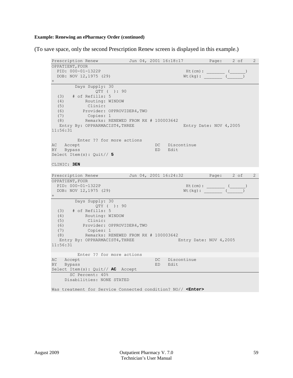## **Example: Renewing an ePharmacy Order (continued)**

(To save space, only the second Prescription Renew screen is displayed in this example.)

```
Prescription Renew Jun 04, 2001 16:18:17 Page: 2 of 2
OPPATIENT, FOUR
 PID: 000-01-1322P Ht(cm): ______ (____)<br>DOB: NOV 12,1975 (29) Wt(kg): _______ (____)
 DOB: NOV 12, 1975 (29)
+ 
        Days Supply: 30 
  QTY ( ): 90<br>(3) # of Refills: 5
  (3) # of Refills: 5<br>(4) Routing: WI
   (4) Routing: WINDOW 
   (5) Clinic: 
  (6) Provider: OPPROVIDER4, TWO<br>(7) Copies: 1
  (7) Copies: 1<br>(8) Remarks: R
          Remarks: RENEWED FROM RX # 100003642
  Entry By: OPPHARMACIST4, THREE Entry Date: NOV 4, 2005
11:56:31 
Enter ?? for more actions<br>AC Accept
                                      DC Discontinue<br>ED Edit
BY Bypass
Select Item(s): Quit// 5
CLINIC: 3EN
Prescription Renew Jun 04, 2001 16:24:32 Page: 2 of 2
OPPATIENT, FOUR
  PID: 000-01-1322P Ht(cm): _______ (______) 
 DOB: NOV 12, 1975 (29)
+ 
         Days Supply: 30 
  QTY ( ): 90<br>(3) # of Refills: 5
  (3) # of Refills: 5<br>(4) Routing: WJ
  (4) Routing: WINDOW<br>(5) Clinic:
   (5) Clinic: 
   (6) Provider: OPPROVIDER4,TWO 
  (7) Copies: 1<br>(8) Remarks: RE
            (8) Remarks: RENEWED FROM RX # 100003642 
  Entry By: OPPHARMACIST4, THREE
11:56:31 
Enter ?? for more actions<br>AC Accept
AC Accept DC Discontinue<br>BY Bypass BD ED Edit
    Bypass
Select Item(s): Quit// AC Accept 
  SC Percent: 40%
      Disabilities: NONE STATED
Was treatment for Service Connected condition? NO// <Enter>
```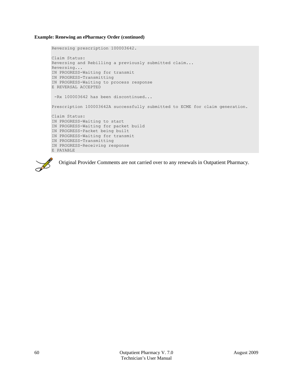### **Example: Renewing an ePharmacy Order (continued)**

```
Reversing prescription 100003642.
Claim Status: 
Reversing and Rebilling a previously submitted claim...
Reversing...
IN PROGRESS-Waiting for transmit
IN PROGRESS-Transmitting
IN PROGRESS-Waiting to process response
E REVERSAL ACCEPTED
 -Rx 100003642 has been discontinued...
Prescription 100003642A successfully submitted to ECME for claim generation.
Claim Status: 
IN PROGRESS-Waiting to start
IN PROGRESS-Waiting for packet build
IN PROGRESS-Packet being built
IN PROGRESS-Waiting for transmit
IN PROGRESS-Transmitting
IN PROGRESS-Receiving response
E PAYABLE
```


Original Provider Comments are not carried over to any renewals in Outpatient Pharmacy.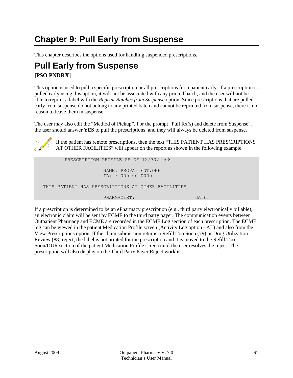# **Chapter 9: Pull Early from Suspense**

This chapter describes the options used for handling suspended prescriptions.

## **Pull Early from Suspense [PSO PNDRX]**

This option is used to pull a specific prescription or all prescriptions for a patient early. If a prescription is pulled early using this option, it will not be associated with any printed batch, and the user will not be able to reprint a label with the *Reprint Batches from Suspense* option. Since prescriptions that are pulled early from suspense do not belong to any printed batch and cannot be reprinted from suspense, there is no reason to leave them in suspense.

The user may also edit the "Method of Pickup". For the prompt "Pull Rx(s) and delete from Suspense", the user should answer **YES** to pull the prescriptions, and they will always be deleted from suspense.



If the patient has remote prescriptions, then the text "THIS PATIENT HAS PRESCRIPTIONS AT OTHER FACILITIES" will appear on the report as shown in the following example.

| PRESCRIPTION PROFILE AS OF 12/30/2008              |  |
|----------------------------------------------------|--|
| NAME: PSOPATIENT, ONE<br>ID# : 000-00-0000         |  |
| THIS PATIENT HAS PRESCRIPTIONS AT OTHER FACILITIES |  |
| PHARMACIST:<br>DATE:                               |  |

If a prescription is determined to be an ePharmacy prescription (e.g., third party electronically billable), an electronic claim will be sent by ECME to the third party payer. The communication events between Outpatient Pharmacy and ECME are recorded in the ECME Log section of each prescription. The ECME log can be viewed in the patient Medication Profile screen (Activity Log option - AL) and also from the View Prescriptions option. If the claim submission returns a Refill Too Soon (79) or Drug Utilization Review (88) reject, the label is not printed for the prescription and it is moved to the Refill Too Soon/DUR section of the patient Medication Profile screen until the user resolves the reject. The prescription will also display on the Third Party Payer Reject worklist.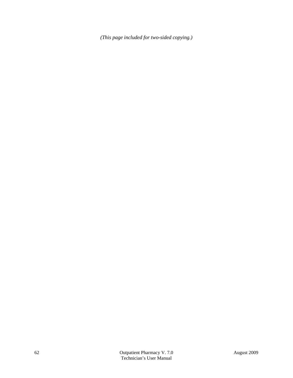*(This page included for two-sided copying.)*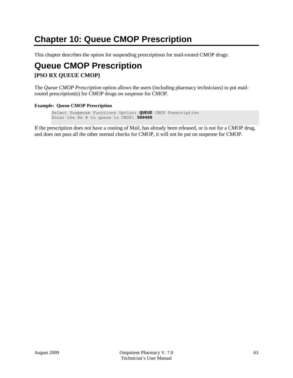# **Chapter 10: Queue CMOP Prescription**

This chapter describes the option for suspending prescriptions for mail-routed CMOP drugs.

## **Queue CMOP Prescription [PSO RX QUEUE CMOP]**

The *Queue CMOP Prescription* option allows the users (including pharmacy technicians) to put mailrouted prescription(s) for CMOP drugs on suspense for CMOP.

## **Example: Queue CMOP Prescription**

```
Select Suspense Functions Option: QUEUE CMOP Prescription
Enter the Rx # to queue to CMOP: 300486
```
If the prescription does not have a routing of Mail, has already been released, or is not for a CMOP drug, and does not pass all the other normal checks for CMOP, it will not be put on suspense for CMOP.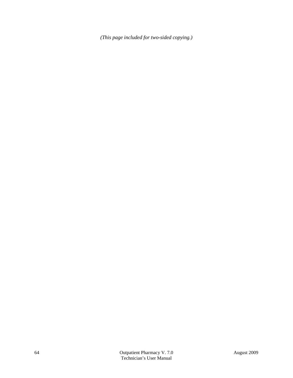*(This page included for two-sided copying.)*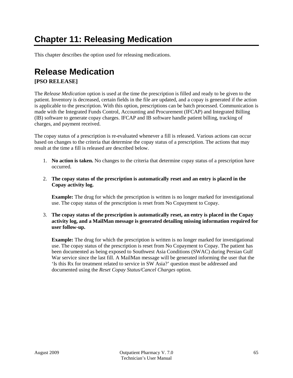# **Chapter 11: Releasing Medication**

This chapter describes the option used for releasing medications.

# **Release Medication**

#### **[PSO RELEASE]**

The *Release Medication* option is used at the time the prescription is filled and ready to be given to the patient. Inventory is decreased, certain fields in the file are updated, and a copay is generated if the action is applicable to the prescription. With this option, prescriptions can be batch processed. Communication is made with the Integrated Funds Control, Accounting and Procurement (IFCAP) and Integrated Billing (IB) software to generate copay charges. IFCAP and IB software handle patient billing, tracking of charges, and payment received.

The copay status of a prescription is re-evaluated whenever a fill is released. Various actions can occur based on changes to the criteria that determine the copay status of a prescription. The actions that may result at the time a fill is released are described below.

- 1. **No action is taken.** No changes to the criteria that determine copay status of a prescription have occurred.
- 2. **The copay status of the prescription is automatically reset and an entry is placed in the Copay activity log.**

**Example:** The drug for which the prescription is written is no longer marked for investigational use. The copay status of the prescription is reset from No Copayment to Copay.

3. **The copay status of the prescription is automatically reset, an entry is placed in the Copay activity log, and a MailMan message is generated detailing missing information required for user follow-up.**

**Example:** The drug for which the prescription is written is no longer marked for investigational use. The copay status of the prescription is reset from No Copayment to Copay. The patient has been documented as being exposed to Southwest Asia Conditions (SWAC) during Persian Gulf War service since the last fill. A MailMan message will be generated informing the user that the 'Is this Rx for treatment related to service in SW Asia?' question must be addressed and documented using the *Reset Copay Status/Cancel Charges* option.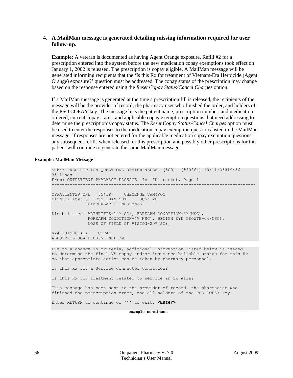#### 4. **A MailMan message is generated detailing missing information required for user follow-up.**

**Example:** A veteran is documented as having Agent Orange exposure. Refill #2 for a prescription entered into the system before the new medication copay exemptions took effect on January 1, 2002 is released. The prescription is copay eligible. A MailMan message will be generated informing recipients that the 'Is this Rx for treatment of Vietnam-Era Herbicide (Agent Orange) exposure?' question must be addressed. The copay status of the prescription may change based on the response entered using the *Reset Copay Status/Cancel Charges* option.

If a MailMan message is generated at the time a prescription fill is released, the recipients of the message will be the provider of record, the pharmacy user who finished the order, and holders of the PSO COPAY key. The message lists the patient name, prescription number, and medication ordered, current copay status, and applicable copay exemption questions that need addressing to determine the prescription's copay status. The *Reset Copay Status/Cancel Charges* option must be used to enter the responses to the medication copay exemption questions listed in the MailMan message. If responses are not entered for the applicable medication copay exemption questions, any subsequent refills when released for this prescription and possibly other prescriptions for this patient will continue to generate the same MailMan message.

#### **Example: MailMan Message**

Subj: PRESCRIPTION QUESTIONS REVIEW NEEDED (500) [#30364] 10/11/05@19:56 35 lines From: OUTPATIENT PHARMACY PACKAGE In 'IN' basket. Page 1 ------------------------------------------------------------------------------- OPPATIENT29,ONE (6543P) CHEYENNE VAM&ROC Eligibility: SC LESS THAN 50% SC%: 20 REIMBURSABLE INSURANCE Disabilities: ARTHRITIS-10%(SC), FOREARM CONDITION-5%(NSC), FOREARM CONDITION-4%(NSC), BENIGN EYE GROWTH-0%(NSC), LOSS OF FIELD OF VISION-20%(SC), Rx# 101906 (1) COPAY ALBUTEROL SO4 0.083% INHL 3ML Due to a change in criteria, additional information listed below is needed to determine the final VA copay and/or insurance billable status for this Rx so that appropriate action can be taken by pharmacy personnel. Is this Rx for a Service Connected Condition? Is this Rx for treatment related to service in SW Asia? This message has been sent to the provider of record, the pharmacist who finished the prescription order, and all holders of the PSO COPAY key. Enter RETURN to continue or '^' to exit: **<Enter>**

 **---------------------------------example continues---------------------------------------**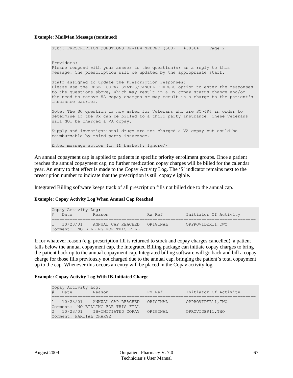#### **Example: MailMan Message (continued)**

```
Subj: PRESCRIPTION QUESTIONS REVIEW NEEDED (500) [#30364] Page 2
      -------------------------------------------------------------------------------
Providers:
Please respond with your answer to the question(s) as a reply to this
message. The prescription will be updated by the appropriate staff.
Staff assigned to update the Prescription responses:
Please use the RESET COPAY STATUS/CANCEL CHARGES option to enter the responses
to the questions above, which may result in a Rx copay status change and/or
the need to remove VA copay charges or may result in a charge to the patient's
insurance carrier.
Note: The SC question is now asked for Veterans who are SC>49% in order to
determine if the Rx can be billed to a third party insurance. These Veterans
will NOT be charged a VA copay.
Supply and investigational drugs are not charged a VA copay but could be
reimbursable by third party insurance.
Enter message action (in IN basket): Ignore//
```
An annual copayment cap is applied to patients in specific priority enrollment groups. Once a patient reaches the annual copayment cap, no further medication copay charges will be billed for the calendar year. An entry to that effect is made to the Copay Activity Log. The '\$' indicator remains next to the prescription number to indicate that the prescription is still copay eligible.

Integrated Billing software keeps track of all prescription fills not billed due to the annual cap.

#### **Example: Copay Activity Log When Annual Cap Reached**

| Copay Activity Log: |        |                                   |          |                       |
|---------------------|--------|-----------------------------------|----------|-----------------------|
|                     | # Date | Reason                            | Rx Ref   | Initiator Of Activity |
|                     |        |                                   |          |                       |
|                     |        | 1 10/23/01 ANNUAL CAP REACHED     | ORIGINAL | OPPROVIDER11, TWO     |
|                     |        | Comment: NO BILLING FOR THIS FILL |          |                       |

If for whatever reason (e.g. prescription fill is returned to stock and copay charges cancelled), a patient falls below the annual copayment cap, the Integrated Billing package can initiate copay charges to bring the patient back up to the annual copayment cap. Integrated billing software will go back and bill a copay charge for those fills previously not charged due to the annual cap, bringing the patient's total copayment up to the cap. Whenever this occurs an entry will be placed in the Copay activity log.

#### **Example: Copay Activity Log With IB-Initiated Charge**

| Copay Activity Log:     |        |                                        |          |                       |
|-------------------------|--------|----------------------------------------|----------|-----------------------|
|                         | # Date | Reason                                 | Rx Ref   | Initiator Of Activity |
|                         |        |                                        |          |                       |
|                         |        | 1 10/23/01 ANNUAL CAP REACHED ORIGINAL |          | OPPROVIDER11, TWO     |
|                         |        | Comment: NO BILLING FOR THIS FILL      |          |                       |
|                         |        | 2 10/23/01 IB-INITIATED COPAY          | ORIGINAL | OPROVIDER11, TWO      |
| Comment: PARTIAL CHARGE |        |                                        |          |                       |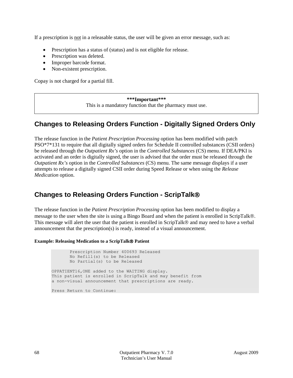If a prescription is not in a releasable status, the user will be given an error message, such as:

- Prescription has a status of (status) and is not eligible for release.
- Prescription was deleted.
- Improper barcode format.
- Non-existent prescription.

Copay is not charged for a partial fill.

#### **\*\*\*Important\*\*\*** This is a mandatory function that the pharmacy must use.

#### **Changes to Releasing Orders Function - Digitally Signed Orders Only**

The release function in the *Patient Prescription Processing* option has been modified with patch PSO\*7\*131 to require that all digitally signed orders for Schedule II controlled substances (CSII orders) be released through the *Outpatient Rx's* option in the *Controlled Substances* (CS) menu. If DEA/PKI is activated and an order is digitally signed, the user is advised that the order must be released through the *Outpatient Rx's* option in the *Controlled Substances* (CS) menu. The same message displays if a user attempts to release a digitally signed CSII order during Speed Release or when using the *Release Medication* option.

#### **Changes to Releasing Orders Function - ScripTalk**

The release function in the *Patient Prescription Processing* option has been modified to display a message to the user when the site is using a Bingo Board and when the patient is enrolled in ScripTalk®. This message will alert the user that the patient is enrolled in ScripTalk® and may need to have a verbal announcement that the prescription(s) is ready, instead of a visual announcement.

#### **Example: Releasing Medication to a ScripTalk Patient**

 Prescription Number 400693 Released No Refill(s) to be Released No Partial(s) to be Released OPPATIENT16,ONE added to the WAITING display. This patient is enrolled in ScripTalk and may benefit from a non-visual announcement that prescriptions are ready. Press Return to Continue: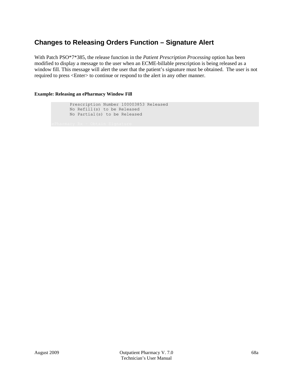#### **Changes to Releasing Orders Function – Signature Alert**

With Patch PSO\*7\*385, the release function in the *Patient Prescription Processing* option has been modified to display a message to the user when an ECME-billable prescription is being released as a window fill. This message will alert the user that the patient's signature must be obtained. The user is not required to press <Enter> to continue or respond to the alert in any other manner.

#### **Example: Releasing an ePharmacy Window Fill**

 Prescription Number 100003853 Released No Refill(s) to be Released No Partial(s) to be Released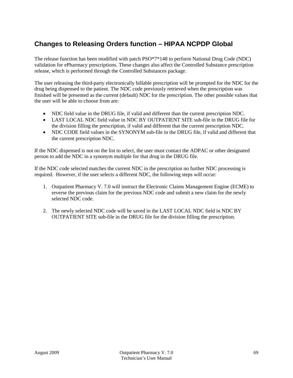### **Changes to Releasing Orders function – HIPAA NCPDP Global**

The release function has been modified with patch PSO\*7\*148 to perform National Drug Code (NDC) validation for ePharmacy prescriptions. These changes also affect the Controlled Substance prescription release, which is performed through the Controlled Substances package.

The user releasing the third-party electronically billable prescription will be prompted for the NDC for the drug being dispensed to the patient. The NDC code previously retrieved when the prescription was finished will be presented as the current (default) NDC for the prescription. The other possible values that the user will be able to choose from are:

- NDC field value in the DRUG file, if valid and different than the current prescription NDC.
- LAST LOCAL NDC field value in NDC BY OUTPATIENT SITE sub-file in the DRUG file for the division filling the prescription, if valid and different that the current prescription NDC.
- NDC CODE field values in the SYNONYM sub-file in the DRUG file, if valid and different that the current prescription NDC.

If the NDC dispensed is not on the list to select, the user must contact the ADPAC or other designated person to add the NDC in a synonym multiple for that drug in the DRUG file.

If the NDC code selected matches the current NDC in the prescription no further NDC processing is required. However, if the user selects a different NDC, the following steps will occur:

- 1. Outpatient Pharmacy V. 7.0 will instruct the Electronic Claims Management Engine (ECME) to reverse the previous claim for the previous NDC code and submit a new claim for the newly selected NDC code.
- 2. The newly selected NDC code will be saved in the LAST LOCAL NDC field in NDC BY OUTPATIENT SITE sub-file in the DRUG file for the division filling the prescription.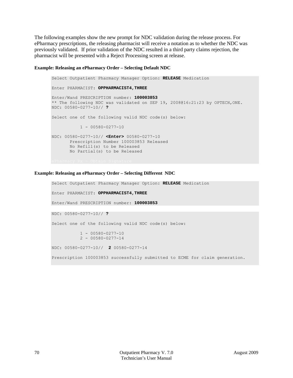The following examples show the new prompt for NDC validation during the release process. For ePharmacy prescriptions, the releasing pharmacist will receive a notation as to whether the NDC was previously validated. If prior validation of the NDC resulted in a third party claims rejection, the pharmacist will be presented with a Reject Processing screen at release.

#### **Example: Releasing an ePharmacy Order – Selecting Default NDC**

Select Outpatient Pharmacy Manager Option: **RELEASE** Medication Enter PHARMACIST: **OPPHARMACIST4,THREE** Enter/Wand PRESCRIPTION number: **100003853** \*\* The following NDC was validated on SEP 19, 2008@16:21:23 by OPTECH,ONE. NDC: 00580-0277-10// **?** Select one of the following valid NDC code(s) below:  $1 - 00580 - 0277 - 10$ NDC: 00580-0277-10// **<Enter>** 00580-0277-10 Prescription Number 100003853 Released No Refill(s) to be Released No Partial(s) to be Released

#### **Example: Releasing an ePharmacy Order – Selecting Different NDC**

```
Select Outpatient Pharmacy Manager Option: RELEASE Medication
Enter PHARMACIST: OPPHARMACIST4,THREE
Enter/Wand PRESCRIPTION number: 100003853
NDC: 00580-0277-10// ?
Select one of the following valid NDC code(s) below: 
           1 - 00580 - 0277 - 102 - 00580 - 0277 - 14NDC: 00580-0277-10// 2 00580-0277-14
Prescription 100003853 successfully submitted to ECME for claim generation.
```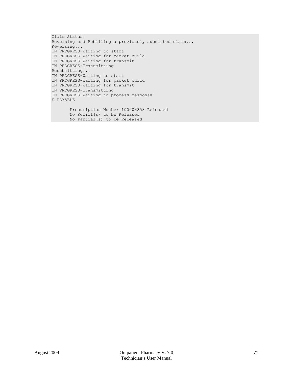```
Claim Status: 
Reversing and Rebilling a previously submitted claim...
Reversing...
IN PROGRESS-Waiting to start
IN PROGRESS-Waiting for packet build
IN PROGRESS-Waiting for transmit
IN PROGRESS-Transmitting
Resubmitting...
IN PROGRESS-Waiting to start
IN PROGRESS-Waiting for packet build
IN PROGRESS-Waiting for transmit
IN PROGRESS-Transmitting
IN PROGRESS-Waiting to process response
E PAYABLE
        Prescription Number 100003853 Released
```

```
 No Refill(s) to be Released
 No Partial(s) to be Released
```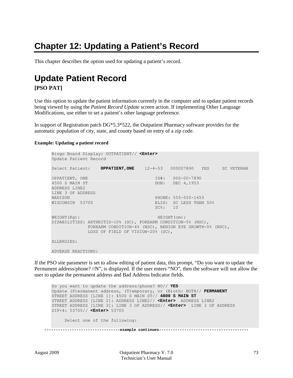# **Chapter 12: Updating a Patient's Record**

This chapter describes the option used for updating a patient's record.

# **Update Patient Record**

#### **[PSO PAT]**

Use this option to update the patient information currently in the computer and to update patient records being viewed by using the *Patient Record Update* screen action. If implementing Other Language Modifications, use either to set a patient's other language preference.

In support of Registration patch DG\*5.3\*522, the Outpatient Pharmacy software provides for the automatic population of city, state, and county based on entry of a zip code.

#### **Example: Updating a patient record**

```
Bingo Board Display: OUTPATIENT// <Enter>
Update Patient Record
Select Patient: OPPATIENT, ONE 12-4-53 000007890 YES SC VETERAN
OPPATIENT, ONE 1D#: 000-00-7890<br>1500 S MAIN ST 100B: DOB: DEC 4,1953
                                    DOB: DEC 4,1953
ADDRESS LINE2
LINE 3 OF ADDRESS<br>MADISON
MADISON PHONE: 555-555-1653
                                    ELIG: SC LESS THAN 50%
                                     SC%: 10
WEIGHT(Kg): HEIGHT(cm):
DISABILITIES: ARTHRITIS-10% (SC), FOREARM CONDITION-5% (NSC),
          FOREARM CONDITION-4% (NSC), BENIGN EYE GROWTH-0% (NSC),
             LOSS OF FIELD OF VISION-20% (SC),
ALLERGIES:
ADVERSE REACTIONS:
```
If the PSO site parameter is set to allow editing of patient data, this prompt, "Do you want to update the Permanent address/phone? //N", is displayed. If the user enters "NO", then the software will not allow the user to update the permanent address and Bad Address Indicator fields.

Do you want to update the address/phone? NO// **YES** Update (P)ermanent address, (T)emporary, or (B)oth: BOTH// **PERMANENT** STREET ADDRESS [LINE 1]: 4500 S MAIN ST// **4800 S MAIN ST** STREET ADDRESS [LINE 2]: ADDRESS LINE2// **<Enter>** ADDRESS LINE2 STREET ADDRESS [LINE 3]: LINE 3 OF ADDRESS// **<Enter>** LINE 3 OF ADDRESS ZIP+4: 53705// **<Enter>** 53705 Select one of the following: **---------------------------------example continues---------------------------------------**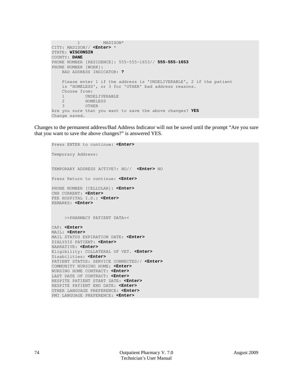```
 1 MADISON*
CITY: MADISON// <Enter> *
STATE: WISCONSIN
COUNTY: DANE
PHONE NUMBER [RESIDENCE]: 555-555-1653// 555-555-1653
PHONE NUMBER [WORK]:
     BAD ADDRESS INDICATOR: ?
     Please enter 1 if the address is 'UNDELIVERABLE', 2 if the patient
     is 'HOMELESS', or 3 for 'OTHER' bad address reasons.
     Choose from:
    1 UNDELIVERABLE<br>2 HOMELESS
    2 HOMELESS<br>3 OTHER
            OTHER
Are you sure that you want to save the above changes? YES
Change saved.
```
Changes to the permanent address/Bad Address Indicator will not be saved until the prompt "Are you sure that you want to save the above changes?" is answered YES.

```
Press ENTER to continue: <Enter>
Temporary Address: 
TEMPORARY ADDRESS ACTIVE?: NO// <Enter> NO
Press Return to continue: <Enter> 
PHONE NUMBER [CELLULAR]: <Enter>
CNH CURRENT: <Enter>
FEE HOSPITAL I.D.: <Enter>
REMARKS: <Enter>
      >>PHARMACY PATIENT DATA<<
CAP: <Enter>
MAIL: <Enter>
MAIL STATUS EXPIRATION DATE: <Enter>
DIALYSIS PATIENT: <Enter>
NARRATIVE: <Enter>
Eligibility: COLLATERAL OF VET. <Enter>
Disabilities: <Enter>
PATIENT STATUS: SERVICE CONNECTED// <Enter>
COMMUNITY NURSING HOME: <Enter>
NURSING HOME CONTRACT: <Enter>
LAST DATE OF CONTRACT: <Enter>
RESPITE PATIENT START DATE: <Enter>
RESPITE PATIENT END DATE: <Enter>
OTHER LANGUAGE PREFERENCE: <Enter>
PMI LANGUAGE PREFERENCE: <Enter>
```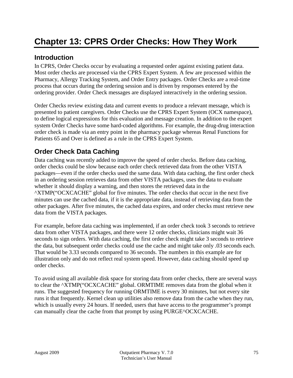#### **Introduction**

In CPRS, Order Checks occur by evaluating a requested order against existing patient data. Most order checks are processed via the CPRS Expert System. A few are processed within the Pharmacy, Allergy Tracking System, and Order Entry packages. Order Checks are a real-time process that occurs during the ordering session and is driven by responses entered by the ordering provider. Order Check messages are displayed interactively in the ordering session.

Order Checks review existing data and current events to produce a relevant message, which is presented to patient caregivers. Order Checks use the CPRS Expert System (OCX namespace), to define logical expressions for this evaluation and message creation. In addition to the expert system Order Checks have some hard-coded algorithms. For example, the drug-drug interaction order check is made via an entry point in the pharmacy package whereas Renal Functions for Patients 65 and Over is defined as a rule in the CPRS Expert System.

### **Order Check Data Caching**

Data caching was recently added to improve the speed of order checks. Before data caching, order checks could be slow because each order check retrieved data from the other VISTA packages—even if the order checks used the same data. With data caching, the first order check in an ordering session retrieves data from other VISTA packages, uses the data to evaluate whether it should display a warning, and then stores the retrieved data in the ^XTMP("OCXCACHE" global for five minutes. The order checks that occur in the next five minutes can use the cached data, if it is the appropriate data, instead of retrieving data from the other packages. After five minutes, the cached data expires, and order checks must retrieve new data from the VISTA packages.

For example, before data caching was implemented, if an order check took 3 seconds to retrieve data from other VISTA packages, and there were 12 order checks, clinicians might wait 36 seconds to sign orders. With data caching, the first order check might take 3 seconds to retrieve the data, but subsequent order checks could use the cache and might take only .03 seconds each. That would be 3.33 seconds compared to 36 seconds. The numbers in this example are for illustration only and do not reflect real system speed. However, data caching should speed up order checks.

To avoid using all available disk space for storing data from order checks, there are several ways to clear the ^XTMP("OCXCACHE" global. ORMTIME removes data from the global when it runs. The suggested frequency for running ORMTIME is every 30 minutes, but not every site runs it that frequently. Kernel clean up utilities also remove data from the cache when they run, which is usually every 24 hours. If needed, users that have access to the programmer's prompt can manually clear the cache from that prompt by using PURGE^OCXCACHE.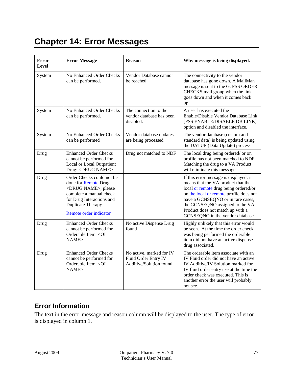# **Chapter 14: Error Messages**

| Error<br>Level | <b>Error Message</b>                                                                                                                                                                             | <b>Reason</b>                                                               | Why message is being displayed.                                                                                                                                                                                                                                                                                  |
|----------------|--------------------------------------------------------------------------------------------------------------------------------------------------------------------------------------------------|-----------------------------------------------------------------------------|------------------------------------------------------------------------------------------------------------------------------------------------------------------------------------------------------------------------------------------------------------------------------------------------------------------|
| System         | No Enhanced Order Checks<br>can be performed.                                                                                                                                                    | Vendor Database cannot<br>be reached.                                       | The connectivity to the vendor<br>database has gone down. A MailMan<br>message is sent to the G. PSS ORDER<br>CHECKS mail group when the link<br>goes down and when it comes back<br>up.                                                                                                                         |
| System         | No Enhanced Order Checks<br>can be performed.                                                                                                                                                    | The connection to the<br>vendor database has been<br>disabled.              | A user has executed the<br>Enable/Disable Vendor Database Link<br>[PSS ENABLE/DISABLE DB LINK]<br>option and disabled the interface.                                                                                                                                                                             |
| System         | No Enhanced Order Checks<br>can be performed                                                                                                                                                     | Vendor database updates<br>are being processed                              | The vendor database (custom and<br>standard data) is being updated using<br>the DATUP (Data Update) process.                                                                                                                                                                                                     |
| Drug           | <b>Enhanced Order Checks</b><br>cannot be performed for<br>Local or Local Outpatient<br>Drug: <drug name=""></drug>                                                                              | Drug not matched to NDF                                                     | The local drug being ordered/ or on<br>profile has not been matched to NDF.<br>Matching the drug to a VA Product<br>will eliminate this message.                                                                                                                                                                 |
| Drug           | Order Checks could not be.<br>done for Remote Drug:<br><drug name="">, please<br/>complete a manual check<br/>for Drug Interactions and<br/>Duplicate Therapy.<br/>Remote order indicator</drug> |                                                                             | If this error message is displayed, it<br>means that the VA product that the<br>local or remote drug being ordered/or<br>on the local or remote profile does not<br>have a GCNSEQNO or in rare cases,<br>the GCNSEQNO assigned to the VA<br>Product does not match up with a<br>GCNSEQNO in the vendor database. |
| Drug           | <b>Enhanced Order Checks</b><br>cannot be performed for<br>Orderable Item: < OI<br>NAME                                                                                                          | No active Dispense Drug<br>found                                            | Highly unlikely that this error would<br>be seen. At the time the order check<br>was being performed the orderable<br>item did not have an active dispense<br>drug associated.                                                                                                                                   |
| Drug           | <b>Enhanced Order Checks</b><br>cannot be performed for<br>Orderable Item: < OI<br>NAME                                                                                                          | No active, marked for IV<br>Fluid Order Entry IV<br>Additive/Solution found | The orderable item associate with an<br>IV Fluid order did not have an active<br>IV Additive/IV Solution marked for<br>IV fluid order entry use at the time the<br>order check was executed. This is<br>another error the user will probably<br>not see.                                                         |

### **Error Information**

The text in the error message and reason column will be displayed to the user. The type of error is displayed in column 1.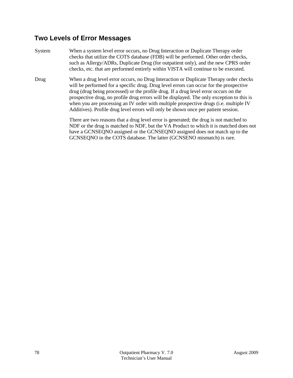#### **Two Levels of Error Messages**

- System When a system level error occurs, no Drug Interaction or Duplicate Therapy order checks that utilize the COTS database (FDB) will be performed. Other order checks, such as Allergy/ADRs, Duplicate Drug (for outpatient only), and the new CPRS order checks, etc. that are performed entirely within VISTA will continue to be executed.
- Drug When a drug level error occurs, no Drug Interaction or Duplicate Therapy order checks will be performed for a specific drug. Drug level errors can occur for the prospective drug (drug being processed) or the profile drug. If a drug level error occurs on the prospective drug, no profile drug errors will be displayed. The only exception to this is when you are processing an IV order with multiple prospective drugs (i.e. multiple IV Additives). Profile drug level errors will only be shown once per patient session.

There are two reasons that a drug level error is generated; the drug is not matched to NDF or the drug is matched to NDF, but the VA Product to which it is matched does not have a GCNSEQNO assigned or the GCNSEQNO assigned does not match up to the GCNSEQNO in the COTS database. The latter (GCNSENO mismatch) is rare.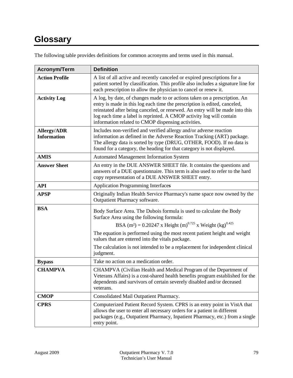# **Glossary**

| The following table provides definitions for common acronyms and terms used in this manual. |  |
|---------------------------------------------------------------------------------------------|--|
|---------------------------------------------------------------------------------------------|--|

| <b>Acronym/Term</b>                      | <b>Definition</b>                                                                                                                                                                                                                                                                                                                                                    |
|------------------------------------------|----------------------------------------------------------------------------------------------------------------------------------------------------------------------------------------------------------------------------------------------------------------------------------------------------------------------------------------------------------------------|
| <b>Action Profile</b>                    | A list of all active and recently canceled or expired prescriptions for a<br>patient sorted by classification. This profile also includes a signature line for<br>each prescription to allow the physician to cancel or renew it.                                                                                                                                    |
| <b>Activity Log</b>                      | A log, by date, of changes made to or actions taken on a prescription. An<br>entry is made in this log each time the prescription is edited, canceled,<br>reinstated after being canceled, or renewed. An entry will be made into this<br>log each time a label is reprinted. A CMOP activity log will contain<br>information related to CMOP dispensing activities. |
| <b>Allergy/ADR</b><br><b>Information</b> | Includes non-verified and verified allergy and/or adverse reaction<br>information as defined in the Adverse Reaction Tracking (ART) package.<br>The allergy data is sorted by type (DRUG, OTHER, FOOD). If no data is<br>found for a category, the heading for that category is not displayed.                                                                       |
| <b>AMIS</b>                              | <b>Automated Management Information System</b>                                                                                                                                                                                                                                                                                                                       |
| <b>Answer Sheet</b>                      | An entry in the DUE ANSWER SHEET file. It contains the questions and<br>answers of a DUE questionnaire. This term is also used to refer to the hard<br>copy representation of a DUE ANSWER SHEET entry.                                                                                                                                                              |
| <b>API</b>                               | <b>Application Programming Interfaces</b>                                                                                                                                                                                                                                                                                                                            |
| <b>APSP</b>                              | Originally Indian Health Service Pharmacy's name space now owned by the<br>Outpatient Pharmacy software.                                                                                                                                                                                                                                                             |
| <b>BSA</b>                               | Body Surface Area. The Dubois formula is used to calculate the Body<br>Surface Area using the following formula:<br>BSA (m <sup>2</sup> ) = 0.20247 x Height (m) <sup>0.725</sup> x Weight (kg) <sup>0.425</sup>                                                                                                                                                     |
|                                          | The equation is performed using the most recent patient height and weight<br>values that are entered into the vitals package.                                                                                                                                                                                                                                        |
|                                          | The calculation is not intended to be a replacement for independent clinical<br>judgment.                                                                                                                                                                                                                                                                            |
| <b>Bypass</b>                            | Take no action on a medication order.                                                                                                                                                                                                                                                                                                                                |
| <b>CHAMPVA</b>                           | CHAMPVA (Civilian Health and Medical Program of the Department of<br>Veterans Affairs) is a cost-shared health benefits program established for the<br>dependents and survivors of certain severely disabled and/or deceased<br>veterans.                                                                                                                            |
| <b>CMOP</b>                              | Consolidated Mail Outpatient Pharmacy.                                                                                                                                                                                                                                                                                                                               |
| <b>CPRS</b>                              | Computerized Patient Record System. CPRS is an entry point in VistA that<br>allows the user to enter all necessary orders for a patient in different<br>packages (e.g., Outpatient Pharmacy, Inpatient Pharmacy, etc.) from a single<br>entry point.                                                                                                                 |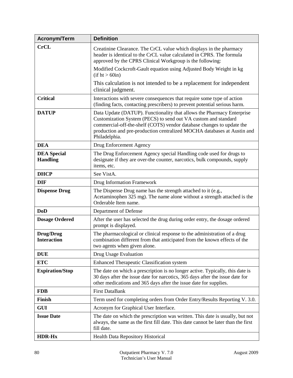| <b>Acronym/Term</b>                   | <b>Definition</b>                                                                                                                                                                                                                                                                                             |
|---------------------------------------|---------------------------------------------------------------------------------------------------------------------------------------------------------------------------------------------------------------------------------------------------------------------------------------------------------------|
| <b>CrCL</b>                           | Creatinine Clearance. The CrCL value which displays in the pharmacy<br>header is identical to the CrCL value calculated in CPRS. The formula<br>approved by the CPRS Clinical Workgroup is the following:                                                                                                     |
|                                       | Modified Cockcroft-Gault equation using Adjusted Body Weight in kg<br>(if ht > 60in)                                                                                                                                                                                                                          |
|                                       | This calculation is not intended to be a replacement for independent<br>clinical judgment.                                                                                                                                                                                                                    |
| <b>Critical</b>                       | Interactions with severe consequences that require some type of action<br>(finding facts, contacting prescribers) to prevent potential serious harm.                                                                                                                                                          |
| <b>DATUP</b>                          | Data Update (DATUP). Functionality that allows the Pharmacy Enterprise<br>Customization System (PECS) to send out VA custom and standard<br>commercial-off-the-shelf (COTS) vendor database changes to update the<br>production and pre-production centralized MOCHA databases at Austin and<br>Philadelphia. |
| <b>DEA</b>                            | Drug Enforcement Agency                                                                                                                                                                                                                                                                                       |
| <b>DEA</b> Special<br><b>Handling</b> | The Drug Enforcement Agency special Handling code used for drugs to<br>designate if they are over-the counter, narcotics, bulk compounds, supply<br>items, etc.                                                                                                                                               |
| <b>DHCP</b>                           | See VistA.                                                                                                                                                                                                                                                                                                    |
| <b>DIF</b>                            | Drug Information Framework                                                                                                                                                                                                                                                                                    |
| <b>Dispense Drug</b>                  | The Dispense Drug name has the strength attached to it (e.g.,<br>Acetaminophen 325 mg). The name alone without a strength attached is the<br>Orderable Item name.                                                                                                                                             |
| <b>DoD</b>                            | Department of Defense                                                                                                                                                                                                                                                                                         |
| <b>Dosage Ordered</b>                 | After the user has selected the drug during order entry, the dosage ordered<br>prompt is displayed.                                                                                                                                                                                                           |
| Drug/Drug<br><b>Interaction</b>       | The pharmacological or clinical response to the administration of a drug<br>combination different from that anticipated from the known effects of the<br>two agents when given alone.                                                                                                                         |
| <b>DUE</b>                            | Drug Usage Evaluation                                                                                                                                                                                                                                                                                         |
| <b>ETC</b>                            | <b>Enhanced Therapeutic Classification system</b>                                                                                                                                                                                                                                                             |
| <b>Expiration/Stop</b>                | The date on which a prescription is no longer active. Typically, this date is<br>30 days after the issue date for narcotics, 365 days after the issue date for<br>other medications and 365 days after the issue date for supplies.                                                                           |
| <b>FDB</b>                            | <b>First DataBank</b>                                                                                                                                                                                                                                                                                         |
| Finish                                | Term used for completing orders from Order Entry/Results Reporting V. 3.0.                                                                                                                                                                                                                                    |
| <b>GUI</b>                            | Acronym for Graphical User Interface.                                                                                                                                                                                                                                                                         |
| <b>Issue Date</b>                     | The date on which the prescription was written. This date is usually, but not<br>always, the same as the first fill date. This date cannot be later than the first<br>fill date.                                                                                                                              |
| <b>HDR-Hx</b>                         | Health Data Repository Historical                                                                                                                                                                                                                                                                             |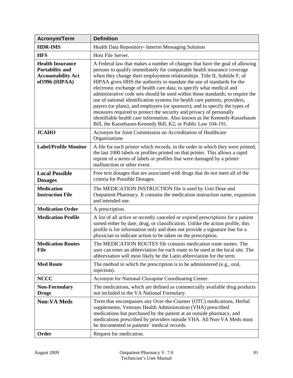| <b>Acronym/Term</b>                                                                              | <b>Definition</b>                                                                                                                                                                                                                                                                                                                                                                                                                                                                                                                                                                                                                                                                                                                                                                                                                                        |
|--------------------------------------------------------------------------------------------------|----------------------------------------------------------------------------------------------------------------------------------------------------------------------------------------------------------------------------------------------------------------------------------------------------------------------------------------------------------------------------------------------------------------------------------------------------------------------------------------------------------------------------------------------------------------------------------------------------------------------------------------------------------------------------------------------------------------------------------------------------------------------------------------------------------------------------------------------------------|
| <b>HDR-IMS</b>                                                                                   | Health Data Repository- Interim Messaging Solution                                                                                                                                                                                                                                                                                                                                                                                                                                                                                                                                                                                                                                                                                                                                                                                                       |
| <b>HFS</b>                                                                                       | Host File Server.                                                                                                                                                                                                                                                                                                                                                                                                                                                                                                                                                                                                                                                                                                                                                                                                                                        |
| <b>Health Insurance</b><br><b>Portability and</b><br><b>Accountability Act</b><br>of1996 (HIPAA) | A Federal law that makes a number of changes that have the goal of allowing<br>persons to qualify immediately for comparable health insurance coverage<br>when they change their employment relationships. Title II, Subtitle F, of<br>HIPAA gives HHS the authority to mandate the use of standards for the<br>electronic exchange of health care data; to specify what medical and<br>administrative code sets should be used within those standards; to require the<br>use of national identification systems for health care patients, providers,<br>payers (or plans), and employers (or sponsors); and to specify the types of<br>measures required to protect the security and privacy of personally<br>identifiable health care information. Also known as the Kennedy-Kassebaum<br>Bill, the Kassebaum-Kennedy Bill, K2, or Public Law 104-191. |
| <b>JCAHO</b>                                                                                     | Acronym for Joint Commission on Accreditation of Healthcare<br>Organizations                                                                                                                                                                                                                                                                                                                                                                                                                                                                                                                                                                                                                                                                                                                                                                             |
| <b>Label/Profile Monitor</b>                                                                     | A file for each printer which records, in the order in which they were printed,<br>the last 1000 labels or profiles printed on that printer. This allows a rapid<br>reprint of a series of labels or profiles that were damaged by a printer<br>malfunction or other event.                                                                                                                                                                                                                                                                                                                                                                                                                                                                                                                                                                              |
| <b>Local Possible</b><br><b>Dosages</b>                                                          | Free text dosages that are associated with drugs that do not meet all of the<br>criteria for Possible Dosages.                                                                                                                                                                                                                                                                                                                                                                                                                                                                                                                                                                                                                                                                                                                                           |
| <b>Medication</b><br><b>Instruction File</b>                                                     | The MEDICATION INSTRUCTION file is used by Unit Dose and<br>Outpatient Pharmacy. It contains the medication instruction name, expansion<br>and intended use.                                                                                                                                                                                                                                                                                                                                                                                                                                                                                                                                                                                                                                                                                             |
| <b>Medication Order</b>                                                                          | A prescription.                                                                                                                                                                                                                                                                                                                                                                                                                                                                                                                                                                                                                                                                                                                                                                                                                                          |
| <b>Medication Profile</b>                                                                        | A list of all active or recently canceled or expired prescriptions for a patient<br>sorted either by date, drug, or classification. Unlike the action profile, this<br>profile is for information only and does not provide a signature line for a<br>physician to indicate action to be taken on the prescription.                                                                                                                                                                                                                                                                                                                                                                                                                                                                                                                                      |
| <b>Medication Routes</b><br><b>File</b>                                                          | The MEDICATION ROUTES file contains medication route names. The<br>user can enter an abbreviation for each route to be used at the local site. The<br>abbreviation will most likely be the Latin abbreviation for the term.                                                                                                                                                                                                                                                                                                                                                                                                                                                                                                                                                                                                                              |
| <b>Med Route</b>                                                                                 | The method in which the prescription is to be administered (e.g., oral,<br>injection).                                                                                                                                                                                                                                                                                                                                                                                                                                                                                                                                                                                                                                                                                                                                                                   |
| <b>NCCC</b>                                                                                      | Acronym for National Clozapine Coordinating Center.                                                                                                                                                                                                                                                                                                                                                                                                                                                                                                                                                                                                                                                                                                                                                                                                      |
| <b>Non-Formulary</b><br><b>Drugs</b>                                                             | The medications, which are defined as commercially available drug products<br>not included in the VA National Formulary.                                                                                                                                                                                                                                                                                                                                                                                                                                                                                                                                                                                                                                                                                                                                 |
| <b>Non-VA Meds</b>                                                                               | Term that encompasses any Over-the-Counter (OTC) medications, Herbal<br>supplements, Veterans Health Administration (VHA) prescribed<br>medications but purchased by the patient at an outside pharmacy, and<br>medications prescribed by providers outside VHA. All Non-VA Meds must<br>be documented in patients' medical records.                                                                                                                                                                                                                                                                                                                                                                                                                                                                                                                     |
| Order                                                                                            | Request for medication.                                                                                                                                                                                                                                                                                                                                                                                                                                                                                                                                                                                                                                                                                                                                                                                                                                  |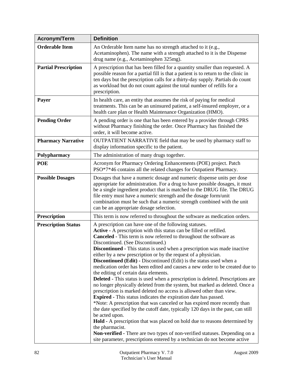| <b>Acronym/Term</b>         | <b>Definition</b>                                                                                                                                                                                                                                                                                                                                                                                                                                                                                                                                                                                                                                                                                                                                                                                                                                                                                                                                                                                                                                                                                                                                                                                                                                                                                                                                                         |
|-----------------------------|---------------------------------------------------------------------------------------------------------------------------------------------------------------------------------------------------------------------------------------------------------------------------------------------------------------------------------------------------------------------------------------------------------------------------------------------------------------------------------------------------------------------------------------------------------------------------------------------------------------------------------------------------------------------------------------------------------------------------------------------------------------------------------------------------------------------------------------------------------------------------------------------------------------------------------------------------------------------------------------------------------------------------------------------------------------------------------------------------------------------------------------------------------------------------------------------------------------------------------------------------------------------------------------------------------------------------------------------------------------------------|
| <b>Orderable Item</b>       | An Orderable Item name has no strength attached to it (e.g.,<br>Acetaminophen). The name with a strength attached to it is the Dispense<br>drug name (e.g., Acetaminophen 325mg).                                                                                                                                                                                                                                                                                                                                                                                                                                                                                                                                                                                                                                                                                                                                                                                                                                                                                                                                                                                                                                                                                                                                                                                         |
| <b>Partial Prescription</b> | A prescription that has been filled for a quantity smaller than requested. A<br>possible reason for a partial fill is that a patient is to return to the clinic in<br>ten days but the prescription calls for a thirty-day supply. Partials do count<br>as workload but do not count against the total number of refills for a<br>prescription.                                                                                                                                                                                                                                                                                                                                                                                                                                                                                                                                                                                                                                                                                                                                                                                                                                                                                                                                                                                                                           |
| Payer                       | In health care, an entity that assumes the risk of paying for medical<br>treatments. This can be an uninsured patient, a self-insured employer, or a<br>health care plan or Health Maintenance Organization (HMO).                                                                                                                                                                                                                                                                                                                                                                                                                                                                                                                                                                                                                                                                                                                                                                                                                                                                                                                                                                                                                                                                                                                                                        |
| <b>Pending Order</b>        | A pending order is one that has been entered by a provider through CPRS<br>without Pharmacy finishing the order. Once Pharmacy has finished the<br>order, it will become active.                                                                                                                                                                                                                                                                                                                                                                                                                                                                                                                                                                                                                                                                                                                                                                                                                                                                                                                                                                                                                                                                                                                                                                                          |
| <b>Pharmacy Narrative</b>   | OUTPATIENT NARRATIVE field that may be used by pharmacy staff to<br>display information specific to the patient.                                                                                                                                                                                                                                                                                                                                                                                                                                                                                                                                                                                                                                                                                                                                                                                                                                                                                                                                                                                                                                                                                                                                                                                                                                                          |
| Polypharmacy                | The administration of many drugs together.                                                                                                                                                                                                                                                                                                                                                                                                                                                                                                                                                                                                                                                                                                                                                                                                                                                                                                                                                                                                                                                                                                                                                                                                                                                                                                                                |
| <b>POE</b>                  | Acronym for Pharmacy Ordering Enhancements (POE) project. Patch<br>PSO*7*46 contains all the related changes for Outpatient Pharmacy.                                                                                                                                                                                                                                                                                                                                                                                                                                                                                                                                                                                                                                                                                                                                                                                                                                                                                                                                                                                                                                                                                                                                                                                                                                     |
| <b>Possible Dosages</b>     | Dosages that have a numeric dosage and numeric dispense units per dose<br>appropriate for administration. For a drug to have possible dosages, it must<br>be a single ingredient product that is matched to the DRUG file. The DRUG<br>file entry must have a numeric strength and the dosage form/unit<br>combination must be such that a numeric strength combined with the unit<br>can be an appropriate dosage selection.                                                                                                                                                                                                                                                                                                                                                                                                                                                                                                                                                                                                                                                                                                                                                                                                                                                                                                                                             |
| Prescription                | This term is now referred to throughout the software as medication orders.                                                                                                                                                                                                                                                                                                                                                                                                                                                                                                                                                                                                                                                                                                                                                                                                                                                                                                                                                                                                                                                                                                                                                                                                                                                                                                |
| <b>Prescription Status</b>  | A prescription can have one of the following statuses.<br>Active - A prescription with this status can be filled or refilled.<br>Canceled - This term is now referred to throughout the software as<br>Discontinued. (See Discontinued.)<br>Discontinued - This status is used when a prescription was made inactive<br>either by a new prescription or by the request of a physician.<br><b>Discontinued (Edit)</b> - Discontinued (Edit) is the status used when a<br>medication order has been edited and causes a new order to be created due to<br>the editing of certain data elements.<br><b>Deleted - This status is used when a prescription is deleted. Prescriptions are</b><br>no longer physically deleted from the system, but marked as deleted. Once a<br>prescription is marked deleted no access is allowed other than view.<br><b>Expired</b> - This status indicates the expiration date has passed.<br>*Note: A prescription that was canceled or has expired more recently than<br>the date specified by the cutoff date, typically 120 days in the past, can still<br>be acted upon.<br>Hold - A prescription that was placed on hold due to reasons determined by<br>the pharmacist.<br>Non-verified - There are two types of non-verified statuses. Depending on a<br>site parameter, prescriptions entered by a technician do not become active |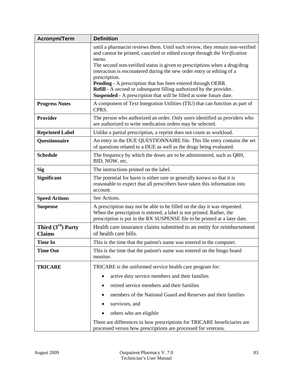| <b>Acronym/Term</b>                  | <b>Definition</b>                                                                                                                                                                                                                                                                                                                                                                                                                                                                                                                                                     |  |
|--------------------------------------|-----------------------------------------------------------------------------------------------------------------------------------------------------------------------------------------------------------------------------------------------------------------------------------------------------------------------------------------------------------------------------------------------------------------------------------------------------------------------------------------------------------------------------------------------------------------------|--|
|                                      | until a pharmacist reviews them. Until such review, they remain non-verified<br>and cannot be printed, canceled or edited except through the Verification<br>menu.<br>The second non-verified status is given to prescriptions when a drug/drug<br>interaction is encountered during the new order entry or editing of a<br>prescription.<br><b>Pending -</b> A prescription that has been entered through OERR.<br><b>Refill -</b> A second or subsequent filling authorized by the provider.<br>Suspended - A prescription that will be filled at some future date. |  |
| <b>Progress Notes</b>                | A component of Text Integration Utilities (TIU) that can function as part of<br>CPRS.                                                                                                                                                                                                                                                                                                                                                                                                                                                                                 |  |
| <b>Provider</b>                      | The person who authorized an order. Only users identified as providers who<br>are authorized to write medication orders may be selected.                                                                                                                                                                                                                                                                                                                                                                                                                              |  |
| <b>Reprinted Label</b>               | Unlike a partial prescription, a reprint does not count as workload.                                                                                                                                                                                                                                                                                                                                                                                                                                                                                                  |  |
| Questionnaire                        | An entry in the DUE QUESTIONNAIRE file. This file entry contains the set<br>of questions related to a DUE as well as the drugs being evaluated.                                                                                                                                                                                                                                                                                                                                                                                                                       |  |
| <b>Schedule</b>                      | The frequency by which the doses are to be administered, such as Q8H,<br>BID, NOW, etc.                                                                                                                                                                                                                                                                                                                                                                                                                                                                               |  |
| <b>Sig</b>                           | The instructions printed on the label.                                                                                                                                                                                                                                                                                                                                                                                                                                                                                                                                |  |
| <b>Significant</b>                   | The potential for harm is either rare or generally known so that it is<br>reasonable to expect that all prescribers have taken this information into<br>account.                                                                                                                                                                                                                                                                                                                                                                                                      |  |
| <b>Speed Actions</b>                 | See Actions.                                                                                                                                                                                                                                                                                                                                                                                                                                                                                                                                                          |  |
| <b>Suspense</b>                      | A prescription may not be able to be filled on the day it was requested.<br>When the prescription is entered, a label is not printed. Rather, the<br>prescription is put in the RX SUSPENSE file to be printed at a later date.                                                                                                                                                                                                                                                                                                                                       |  |
| Third $(3rd)$ Party<br><b>Claims</b> | Health care insurance claims submitted to an entity for reimbursement<br>of health care bills.                                                                                                                                                                                                                                                                                                                                                                                                                                                                        |  |
| <b>Time In</b>                       | This is the time that the patient's name was entered in the computer.                                                                                                                                                                                                                                                                                                                                                                                                                                                                                                 |  |
| <b>Time Out</b>                      | This is the time that the patient's name was entered on the bingo board<br>monitor.                                                                                                                                                                                                                                                                                                                                                                                                                                                                                   |  |
| <b>TRICARE</b>                       | TRICARE is the uniformed service health care program for:                                                                                                                                                                                                                                                                                                                                                                                                                                                                                                             |  |
|                                      | active duty service members and their families                                                                                                                                                                                                                                                                                                                                                                                                                                                                                                                        |  |
|                                      | retired service members and their families                                                                                                                                                                                                                                                                                                                                                                                                                                                                                                                            |  |
|                                      | members of the National Guard and Reserves and their families                                                                                                                                                                                                                                                                                                                                                                                                                                                                                                         |  |
|                                      | survivors, and                                                                                                                                                                                                                                                                                                                                                                                                                                                                                                                                                        |  |
|                                      | others who are eligible                                                                                                                                                                                                                                                                                                                                                                                                                                                                                                                                               |  |
|                                      | There are differences in how prescriptions for TRICARE beneficiaries are                                                                                                                                                                                                                                                                                                                                                                                                                                                                                              |  |
|                                      | processed versus how prescriptions are processed for veterans.                                                                                                                                                                                                                                                                                                                                                                                                                                                                                                        |  |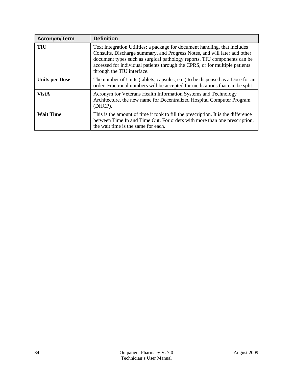| <b>Acronym/Term</b>   | <b>Definition</b>                                                                                                                                                                                                                                                                                                                                |
|-----------------------|--------------------------------------------------------------------------------------------------------------------------------------------------------------------------------------------------------------------------------------------------------------------------------------------------------------------------------------------------|
| TIU                   | Text Integration Utilities; a package for document handling, that includes<br>Consults, Discharge summary, and Progress Notes, and will later add other<br>document types such as surgical pathology reports. TIU components can be<br>accessed for individual patients through the CPRS, or for multiple patients<br>through the TIU interface. |
| <b>Units per Dose</b> | The number of Units (tablets, capsules, etc.) to be dispensed as a Dose for an<br>order. Fractional numbers will be accepted for medications that can be split.                                                                                                                                                                                  |
| <b>VistA</b>          | Acronym for Veterans Health Information Systems and Technology<br>Architecture, the new name for Decentralized Hospital Computer Program<br>(DHCP).                                                                                                                                                                                              |
| <b>Wait Time</b>      | This is the amount of time it took to fill the prescription. It is the difference<br>between Time In and Time Out. For orders with more than one prescription,<br>the wait time is the same for each.                                                                                                                                            |